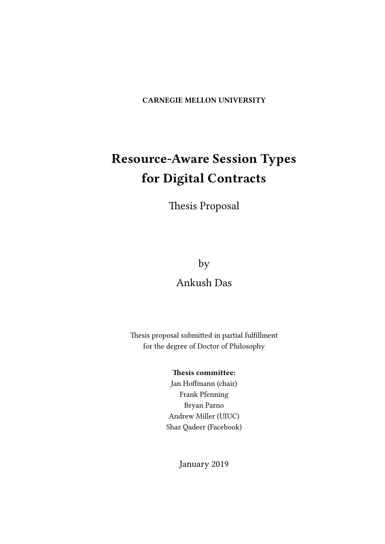CARNEGIE MELLON UNIVERSITY

# Resource-Aware Session Types for Digital Contracts

Thesis Proposal

by

## Ankush Das

Thesis proposal submitted in partial fulfillment for the degree of Doctor of Philosophy

## Thesis committee:

Jan Hoffmann (chair) Frank Pfenning Bryan Parno Andrew Miller (UIUC) Shaz Qadeer (Facebook)

January 2019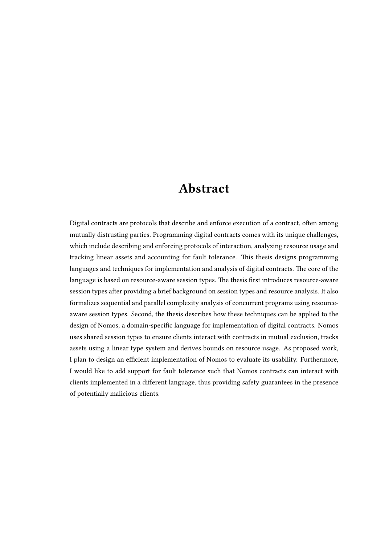## Abstract

<span id="page-1-0"></span>Digital contracts are protocols that describe and enforce execution of a contract, often among mutually distrusting parties. Programming digital contracts comes with its unique challenges, which include describing and enforcing protocols of interaction, analyzing resource usage and tracking linear assets and accounting for fault tolerance. This thesis designs programming languages and techniques for implementation and analysis of digital contracts. The core of the language is based on resource-aware session types. The thesis first introduces resource-aware session types after providing a brief background on session types and resource analysis. It also formalizes sequential and parallel complexity analysis of concurrent programs using resourceaware session types. Second, the thesis describes how these techniques can be applied to the design of Nomos, a domain-specific language for implementation of digital contracts. Nomos uses shared session types to ensure clients interact with contracts in mutual exclusion, tracks assets using a linear type system and derives bounds on resource usage. As proposed work, I plan to design an efficient implementation of Nomos to evaluate its usability. Furthermore, I would like to add support for fault tolerance such that Nomos contracts can interact with clients implemented in a different language, thus providing safety guarantees in the presence of potentially malicious clients.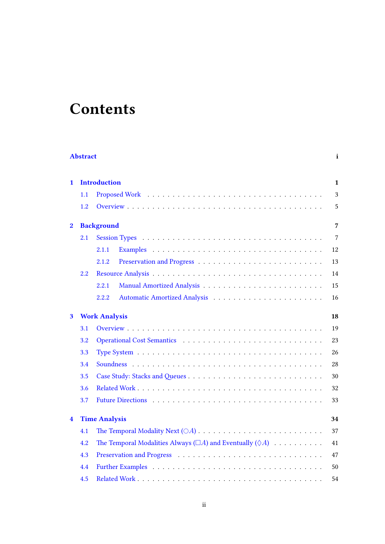# **Contents**

| <b>Abstract</b><br>$\mathbf{i}$ |         |                                                                             |                |  |  |  |  |
|---------------------------------|---------|-----------------------------------------------------------------------------|----------------|--|--|--|--|
| $\mathbf{1}$                    |         | <b>Introduction</b>                                                         | $\mathbf{1}$   |  |  |  |  |
|                                 | 1.1     |                                                                             | 3              |  |  |  |  |
|                                 | 1.2     |                                                                             | 5              |  |  |  |  |
| $\bf{2}$                        |         | <b>Background</b>                                                           | 7              |  |  |  |  |
|                                 | 2.1     |                                                                             | $\overline{7}$ |  |  |  |  |
|                                 |         | 2.1.1                                                                       | 12             |  |  |  |  |
|                                 |         | 2.1.2                                                                       | 13             |  |  |  |  |
|                                 | $2.2\,$ |                                                                             | 14             |  |  |  |  |
|                                 |         | 2.2.1                                                                       | 15             |  |  |  |  |
|                                 |         | 2.2.2                                                                       | 16             |  |  |  |  |
| 3                               |         | <b>Work Analysis</b><br>18                                                  |                |  |  |  |  |
|                                 | 3.1     |                                                                             | 19             |  |  |  |  |
|                                 | 3.2     |                                                                             | 23             |  |  |  |  |
|                                 | 3.3     |                                                                             | 26             |  |  |  |  |
|                                 | 3.4     |                                                                             | 28             |  |  |  |  |
|                                 | 3.5     |                                                                             | 30             |  |  |  |  |
|                                 | 3.6     |                                                                             | 32             |  |  |  |  |
|                                 | 3.7     |                                                                             | 33             |  |  |  |  |
| $\overline{\mathbf{4}}$         |         | <b>Time Analysis</b>                                                        | 34             |  |  |  |  |
|                                 | 4.1     |                                                                             | 37             |  |  |  |  |
|                                 | 4.2     | The Temporal Modalities Always ( $\Box A$ ) and Eventually ( $\Diamond A$ ) | 41             |  |  |  |  |
|                                 | 4.3     |                                                                             | 47             |  |  |  |  |
|                                 | 4.4     |                                                                             | 50             |  |  |  |  |
|                                 | 4.5     |                                                                             | 54             |  |  |  |  |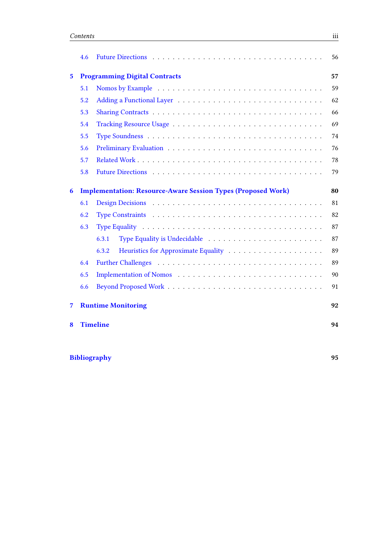|                | 4.6 |                                                                     | 56 |
|----------------|-----|---------------------------------------------------------------------|----|
| $5\phantom{a}$ |     | <b>Programming Digital Contracts</b>                                | 57 |
|                | 5.1 |                                                                     | 59 |
|                | 5.2 |                                                                     | 62 |
|                | 5.3 |                                                                     | 66 |
|                | 5.4 |                                                                     | 69 |
|                | 5.5 |                                                                     | 74 |
|                | 5.6 |                                                                     | 76 |
|                | 5.7 |                                                                     | 78 |
|                | 5.8 |                                                                     | 79 |
| 6              |     | <b>Implementation: Resource-Aware Session Types (Proposed Work)</b> | 80 |
|                | 6.1 |                                                                     | 81 |
|                | 6.2 |                                                                     | 82 |
|                | 6.3 |                                                                     | 87 |
|                |     | Type Equality is Undecidable<br>6.3.1                               | 87 |
|                |     | 6.3.2                                                               | 89 |
|                | 6.4 |                                                                     | 89 |
|                | 6.5 |                                                                     | 90 |
|                | 6.6 |                                                                     | 91 |
| 7              |     | <b>Runtime Monitoring</b>                                           | 92 |
| 8              |     | <b>Timeline</b>                                                     | 94 |

## [Bibliography](#page-98-0) 95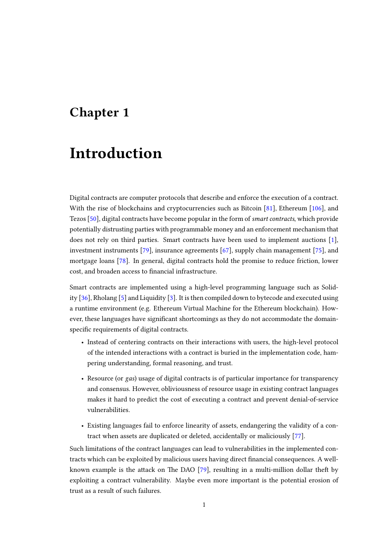## <span id="page-4-0"></span>Chapter 1

# Introduction

Digital contracts are computer protocols that describe and enforce the execution of a contract. With the rise of blockchains and cryptocurrencies such as Bitcoin [\[81\]](#page-104-0), Ethereum [\[106\]](#page-106-0), and Tezos [\[50\]](#page-102-0), digital contracts have become popular in the form of smart contracts, which provide potentially distrusting parties with programmable money and an enforcement mechanism that does not rely on third parties. Smart contracts have been used to implement auctions [\[1\]](#page-98-1), investment instruments [\[79\]](#page-104-1), insurance agreements [\[67\]](#page-103-0), supply chain management [\[75\]](#page-104-2), and mortgage loans [\[78\]](#page-104-3). In general, digital contracts hold the promise to reduce friction, lower cost, and broaden access to financial infrastructure.

Smart contracts are implemented using a high-level programming language such as Solidity [\[36\]](#page-101-0), Rholang [\[5\]](#page-98-2) and Liquidity [\[3\]](#page-98-3). It is then compiled down to bytecode and executed using a runtime environment (e.g. Ethereum Virtual Machine for the Ethereum blockchain). However, these languages have significant shortcomings as they do not accommodate the domainspecific requirements of digital contracts.

- Instead of centering contracts on their interactions with users, the high-level protocol of the intended interactions with a contract is buried in the implementation code, hampering understanding, formal reasoning, and trust.
- Resource (or gas) usage of digital contracts is of particular importance for transparency and consensus. However, obliviousness of resource usage in existing contract languages makes it hard to predict the cost of executing a contract and prevent denial-of-service vulnerabilities.
- Existing languages fail to enforce linearity of assets, endangering the validity of a contract when assets are duplicated or deleted, accidentally or maliciously [\[77\]](#page-104-4).

Such limitations of the contract languages can lead to vulnerabilities in the implemented contracts which can be exploited by malicious users having direct nancial consequences. A wellknown example is the attack on The DAO  $[79]$ , resulting in a multi-million dollar theft by exploiting a contract vulnerability. Maybe even more important is the potential erosion of trust as a result of such failures.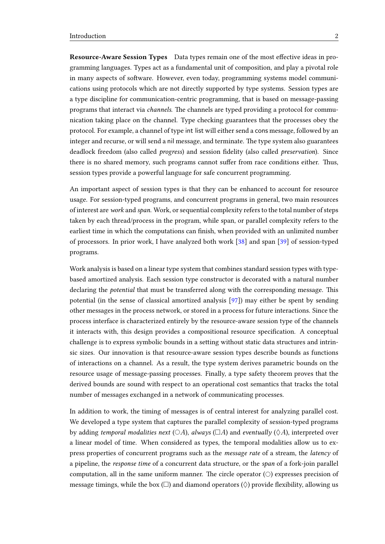Resource-Aware Session Types Data types remain one of the most effective ideas in programming languages. Types act as a fundamental unit of composition, and play a pivotal role in many aspects of software. However, even today, programming systems model communications using protocols which are not directly supported by type systems. Session types are a type discipline for communication-centric programming, that is based on message-passing programs that interact via *channels*. The channels are typed providing a protocol for communication taking place on the channel. Type checking guarantees that the processes obey the protocol. For example, a channel of type int list will either send a cons message, followed by an integer and recurse, or will send a nil message, and terminate. The type system also guarantees deadlock freedom (also called *progress*) and session fidelity (also called *preservation*). Since there is no shared memory, such programs cannot suffer from race conditions either. Thus, session types provide a powerful language for safe concurrent programming.

An important aspect of session types is that they can be enhanced to account for resource usage. For session-typed programs, and concurrent programs in general, two main resources of interest are work and span. Work, or sequential complexity refers to the total number of steps taken by each thread/process in the program, while span, or parallel complexity refers to the earliest time in which the computations can finish, when provided with an unlimited number of processors. In prior work, I have analyzed both work [\[38\]](#page-101-1) and span [\[39\]](#page-101-2) of session-typed programs.

Work analysis is based on a linear type system that combines standard session types with typebased amortized analysis. Each session type constructor is decorated with a natural number declaring the *potential* that must be transferred along with the corresponding message. This potential (in the sense of classical amortized analysis [\[97\]](#page-105-0)) may either be spent by sending other messages in the process network, or stored in a process for future interactions. Since the process interface is characterized entirely by the resource-aware session type of the channels it interacts with, this design provides a compositional resource specification. A conceptual challenge is to express symbolic bounds in a setting without static data structures and intrinsic sizes. Our innovation is that resource-aware session types describe bounds as functions of interactions on a channel. As a result, the type system derives parametric bounds on the resource usage of message-passing processes. Finally, a type safety theorem proves that the derived bounds are sound with respect to an operational cost semantics that tracks the total number of messages exchanged in a network of communicating processes.

In addition to work, the timing of messages is of central interest for analyzing parallel cost. We developed a type system that captures the parallel complexity of session-typed programs by adding temporal modalities next ( $\bigcirc A$ ), always ( $\Box A$ ) and eventually ( $\Diamond A$ ), interpreted over a linear model of time. When considered as types, the temporal modalities allow us to express properties of concurrent programs such as the message rate of a stream, the latency of a pipeline, the response time of a concurrent data structure, or the span of a fork-join parallel computation, all in the same uniform manner. The circle operator  $(\bigcirc)$  expresses precision of message timings, while the box  $(\Box)$  and diamond operators  $(\Diamond)$  provide flexibility, allowing us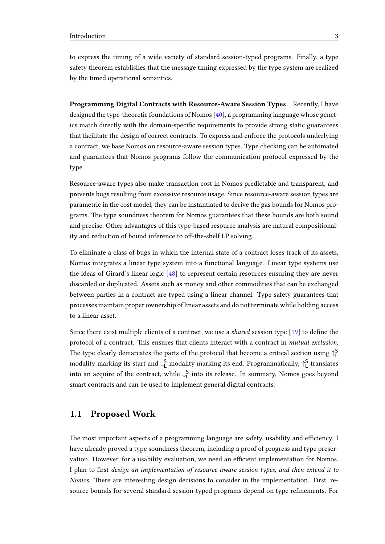to express the timing of a wide variety of standard session-typed programs. Finally, a type safety theorem establishes that the message timing expressed by the type system are realized by the timed operational semantics.

Programming Digital Contracts with Resource-Aware Session Types Recently, I have designed the type-theoretic foundations of Nomos [\[40\]](#page-101-3), a programming language whose genetics match directly with the domain-specific requirements to provide strong static guarantees that facilitate the design of correct contracts. To express and enforce the protocols underlying a contract, we base Nomos on resource-aware session types. Type checking can be automated and guarantees that Nomos programs follow the communication protocol expressed by the type.

Resource-aware types also make transaction cost in Nomos predictable and transparent, and prevents bugs resulting from excessive resource usage. Since resource-aware session types are parametric in the cost model, they can be instantiated to derive the gas bounds for Nomos programs. The type soundness theorem for Nomos guarantees that these bounds are both sound and precise. Other advantages of this type-based resource analysis are natural compositionality and reduction of bound inference to off-the-shelf LP solving.

To eliminate a class of bugs in which the internal state of a contract loses track of its assets, Nomos integrates a linear type system into a functional language. Linear type systems use the ideas of Girard's linear logic [\[48\]](#page-102-1) to represent certain resources ensuring they are never discarded or duplicated. Assets such as money and other commodities that can be exchanged between parties in a contract are typed using a linear channel. Type safety guarantees that processes maintain proper ownership of linear assets and do not terminate while holding access to a linear asset.

Since there exist multiple clients of a contract, we use a *shared* session type  $[19]$  to define the protocol of a contract. This ensures that clients interact with a contract in mutual exclusion. The type clearly demarcates the parts of the protocol that become a critical section using  $\uparrow_{\mathsf{L}}^\mathsf{S}$ modality marking its start and  $\downarrow^S_L$  modality marking its end. Programmatically,  $\uparrow^S_L$  translates into an acquire of the contract, while  $\downarrow^S_L$  into its release. In summary, Nomos goes beyond smart contracts and can be used to implement general digital contracts.

## <span id="page-6-0"></span>1.1 Proposed Work

The most important aspects of a programming language are safety, usability and efficiency. I have already proved a type soundness theorem, including a proof of progress and type preservation. However, for a usability evaluation, we need an efficient implementation for Nomos. I plan to first design an implementation of resource-aware session types, and then extend it to Nomos. There are interesting design decisions to consider in the implementation. First, resource bounds for several standard session-typed programs depend on type refinements. For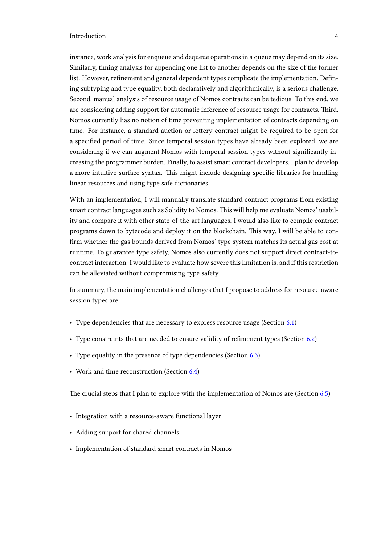instance, work analysis for enqueue and dequeue operations in a queue may depend on its size. Similarly, timing analysis for appending one list to another depends on the size of the former list. However, refinement and general dependent types complicate the implementation. Defining subtyping and type equality, both declaratively and algorithmically, is a serious challenge. Second, manual analysis of resource usage of Nomos contracts can be tedious. To this end, we are considering adding support for automatic inference of resource usage for contracts. Third, Nomos currently has no notion of time preventing implementation of contracts depending on time. For instance, a standard auction or lottery contract might be required to be open for a specified period of time. Since temporal session types have already been explored, we are considering if we can augment Nomos with temporal session types without signicantly increasing the programmer burden. Finally, to assist smart contract developers, I plan to develop a more intuitive surface syntax. This might include designing specific libraries for handling linear resources and using type safe dictionaries.

With an implementation, I will manually translate standard contract programs from existing smart contract languages such as Solidity to Nomos. This will help me evaluate Nomos' usability and compare it with other state-of-the-art languages. I would also like to compile contract programs down to bytecode and deploy it on the blockchain. This way, I will be able to confirm whether the gas bounds derived from Nomos' type system matches its actual gas cost at runtime. To guarantee type safety, Nomos also currently does not support direct contract-tocontract interaction. I would like to evaluate how severe this limitation is, and if this restriction can be alleviated without compromising type safety.

In summary, the main implementation challenges that I propose to address for resource-aware session types are

- Type dependencies that are necessary to express resource usage (Section [6.1\)](#page-84-0)
- Type constraints that are needed to ensure validity of refinement types (Section [6.2\)](#page-85-0)
- Type equality in the presence of type dependencies (Section [6.3\)](#page-90-0)
- Work and time reconstruction (Section [6.4\)](#page-92-1)

The crucial steps that I plan to explore with the implementation of Nomos are (Section  $6.5$ )

- Integration with a resource-aware functional layer
- Adding support for shared channels
- Implementation of standard smart contracts in Nomos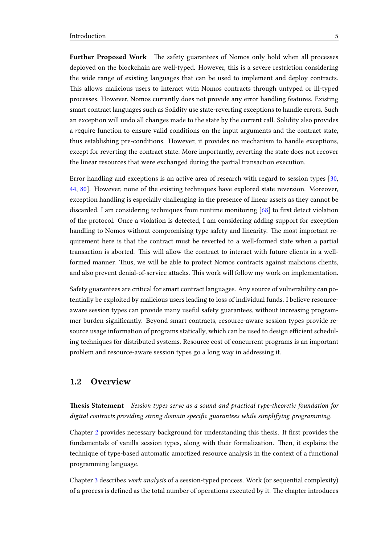Further Proposed Work The safety guarantees of Nomos only hold when all processes deployed on the blockchain are well-typed. However, this is a severe restriction considering the wide range of existing languages that can be used to implement and deploy contracts. This allows malicious users to interact with Nomos contracts through untyped or ill-typed processes. However, Nomos currently does not provide any error handling features. Existing smart contract languages such as Solidity use state-reverting exceptions to handle errors. Such an exception will undo all changes made to the state by the current call. Solidity also provides a require function to ensure valid conditions on the input arguments and the contract state, thus establishing pre-conditions. However, it provides no mechanism to handle exceptions, except for reverting the contract state. More importantly, reverting the state does not recover the linear resources that were exchanged during the partial transaction execution.

Error handling and exceptions is an active area of research with regard to session types [\[30,](#page-100-0) [44,](#page-101-4) [80\]](#page-104-5). However, none of the existing techniques have explored state reversion. Moreover, exception handling is especially challenging in the presence of linear assets as they cannot be discarded. I am considering techniques from runtime monitoring  $[68]$  to first detect violation of the protocol. Once a violation is detected, I am considering adding support for exception handling to Nomos without compromising type safety and linearity. The most important requirement here is that the contract must be reverted to a well-formed state when a partial transaction is aborted. This will allow the contract to interact with future clients in a wellformed manner. Thus, we will be able to protect Nomos contracts against malicious clients, and also prevent denial-of-service attacks. This work will follow my work on implementation.

Safety guarantees are critical for smart contract languages. Any source of vulnerability can potentially be exploited by malicious users leading to loss of individual funds. I believe resourceaware session types can provide many useful safety guarantees, without increasing programmer burden signicantly. Beyond smart contracts, resource-aware session types provide resource usage information of programs statically, which can be used to design efficient scheduling techniques for distributed systems. Resource cost of concurrent programs is an important problem and resource-aware session types go a long way in addressing it.

### <span id="page-8-0"></span>1.2 Overview

**Thesis Statement** Session types serve as a sound and practical type-theoretic foundation for digital contracts providing strong domain specific guarantees while simplifying programming.

Chapter [2](#page-10-0) provides necessary background for understanding this thesis. It first provides the fundamentals of vanilla session types, along with their formalization. Then, it explains the technique of type-based automatic amortized resource analysis in the context of a functional programming language.

Chapter [3](#page-21-0) describes work analysis of a session-typed process. Work (or sequential complexity) of a process is defined as the total number of operations executed by it. The chapter introduces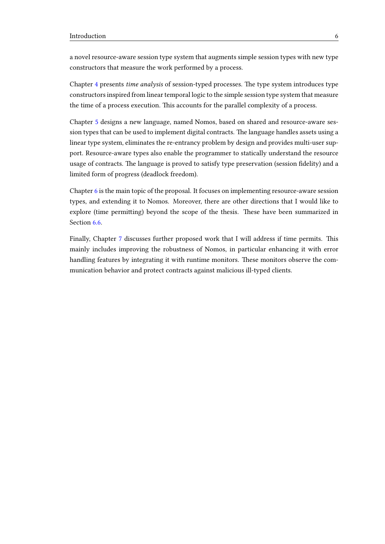a novel resource-aware session type system that augments simple session types with new type constructors that measure the work performed by a process.

Chapter [4](#page-37-0) presents time analysis of session-typed processes. The type system introduces type constructors inspired from linear temporal logic to the simple session type system that measure the time of a process execution. This accounts for the parallel complexity of a process.

Chapter [5](#page-60-0) designs a new language, named Nomos, based on shared and resource-aware session types that can be used to implement digital contracts. The language handles assets using a linear type system, eliminates the re-entrancy problem by design and provides multi-user support. Resource-aware types also enable the programmer to statically understand the resource usage of contracts. The language is proved to satisfy type preservation (session fidelity) and a limited form of progress (deadlock freedom).

Chapter [6](#page-83-0) is the main topic of the proposal. It focuses on implementing resource-aware session types, and extending it to Nomos. Moreover, there are other directions that I would like to explore (time permitting) beyond the scope of the thesis. These have been summarized in Section [6.6.](#page-94-0)

Finally, Chapter [7](#page-95-0) discusses further proposed work that I will address if time permits. This mainly includes improving the robustness of Nomos, in particular enhancing it with error handling features by integrating it with runtime monitors. These monitors observe the communication behavior and protect contracts against malicious ill-typed clients.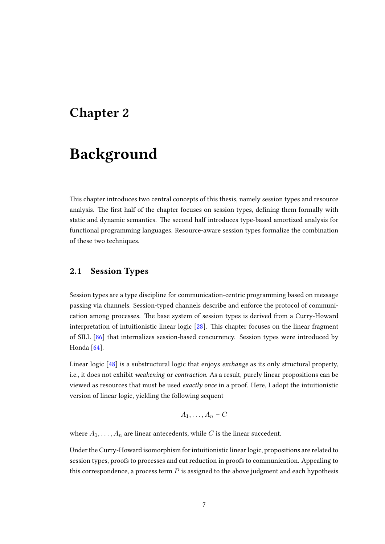## <span id="page-10-0"></span>Chapter 2

# Background

This chapter introduces two central concepts of this thesis, namely session types and resource analysis. The first half of the chapter focuses on session types, defining them formally with static and dynamic semantics. The second half introduces type-based amortized analysis for functional programming languages. Resource-aware session types formalize the combination of these two techniques.

## <span id="page-10-1"></span>2.1 Session Types

Session types are a type discipline for communication-centric programming based on message passing via channels. Session-typed channels describe and enforce the protocol of communication among processes. The base system of session types is derived from a Curry-Howard interpretation of intuitionistic linear logic  $[28]$ . This chapter focuses on the linear fragment of SILL [\[86\]](#page-104-6) that internalizes session-based concurrency. Session types were introduced by Honda<sup>[\[64\]](#page-103-2)</sup>.

Linear logic [\[48\]](#page-102-1) is a substructural logic that enjoys *exchange* as its only structural property, i.e., it does not exhibit weakening or contraction. As a result, purely linear propositions can be viewed as resources that must be used exactly once in a proof. Here, I adopt the intuitionistic version of linear logic, yielding the following sequent

$$
A_1,\ldots,A_n\vdash C
$$

where  $A_1, \ldots, A_n$  are linear antecedents, while C is the linear succedent.

Under the Curry-Howard isomorphism for intuitionistic linear logic, propositions are related to session types, proofs to processes and cut reduction in proofs to communication. Appealing to this correspondence, a process term  $P$  is assigned to the above judgment and each hypothesis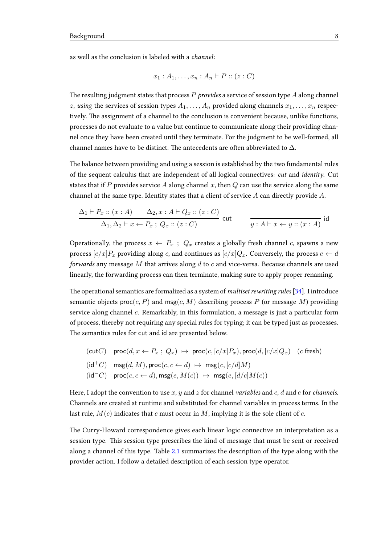as well as the conclusion is labeled with a channel:

$$
x_1:A_1,\ldots,x_n:A_n\vdash P::(z:C)
$$

The resulting judgment states that process  $P$  provides a service of session type  $A$  along channel z, using the services of session types  $A_1, \ldots, A_n$  provided along channels  $x_1, \ldots, x_n$  respectively. The assignment of a channel to the conclusion is convenient because, unlike functions, processes do not evaluate to a value but continue to communicate along their providing channel once they have been created until they terminate. For the judgment to be well-formed, all channel names have to be distinct. The antecedents are often abbreviated to  $\Delta$ .

The balance between providing and using a session is established by the two fundamental rules of the sequent calculus that are independent of all logical connectives: cut and identity. Cut states that if P provides service A along channel x, then  $Q$  can use the service along the same channel at the same type. Identity states that a client of service  $A$  can directly provide  $A$ .

$$
\frac{\Delta_1 \vdash P_x :: (x:A) \qquad \Delta_2, x : A \vdash Q_x :: (z:C)}{\Delta_1, \Delta_2 \vdash x \leftarrow P_x ; Q_x :: (z:C)} \text{ cut} \qquad \frac{}{y : A \vdash x \leftarrow y :: (x:A)} \text{ id}
$$

Operationally, the process  $x \leftarrow P_x$ ;  $Q_x$  creates a globally fresh channel c, spawns a new process  $[c/x]P_x$  providing along c, and continues as  $[c/x]Q_x$ . Conversely, the process  $c \leftarrow d$ forwards any message M that arrives along  $d$  to  $c$  and vice-versa. Because channels are used linearly, the forwarding process can then terminate, making sure to apply proper renaming.

The operational semantics are formalized as a system of *multiset rewriting rules*  $[34]$ . I introduce semantic objects  $\text{proc}(c, P)$  and  $\text{msg}(c, M)$  describing process P (or message M) providing service along channel c. Remarkably, in this formulation, a message is just a particular form of process, thereby not requiring any special rules for typing; it can be typed just as processes. The semantics rules for cut and id are presented below.

$$
\begin{aligned}\n(\text{cut}C) \quad & \text{proc}(d, x \leftarrow P_x \, ; \, Q_x) \, \mapsto \, \text{proc}(c, [c/x]P_x), \text{proc}(d, [c/x]Q_x) \quad (c \text{ fresh}) \\
(\text{id}^+C) \quad & \text{msg}(d, M), \text{proc}(c, c \leftarrow d) \, \mapsto \, \text{msg}(c, [c/d]M) \\
(\text{id}^-C) \quad & \text{proc}(c, c \leftarrow d), \text{msg}(e, M(c)) \, \mapsto \, \text{msg}(e, [d/c]M(c))\n\end{aligned}
$$

Here, I adopt the convention to use x, y and z for channel variables and  $c$ , d and  $e$  for channels. Channels are created at runtime and substituted for channel variables in process terms. In the last rule,  $M(c)$  indicates that c must occur in M, implying it is the sole client of c.

The Curry-Howard correspondence gives each linear logic connective an interpretation as a session type. This session type prescribes the kind of message that must be sent or received along a channel of this type. Table [2.1](#page-12-0) summarizes the description of the type along with the provider action. I follow a detailed description of each session type operator.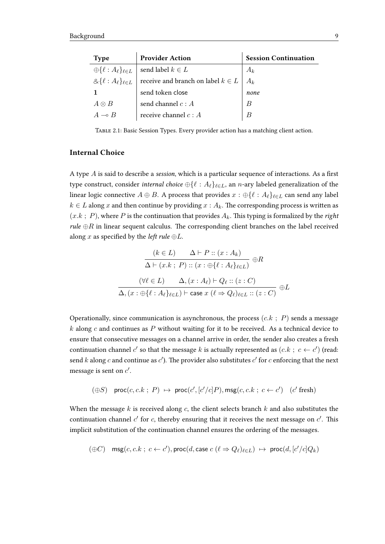<span id="page-12-0"></span>

| <b>Type</b>   | <b>Provider Action</b>                                                                | <b>Session Continuation</b> |
|---------------|---------------------------------------------------------------------------------------|-----------------------------|
|               | $\bigoplus \{\ell : A_{\ell}\}_{\ell \in L}$   send label $k \in L$                   | $A_k$                       |
|               | $\mathcal{L}\{\ell : A_{\ell}\}_{\ell \in L}$   receive and branch on label $k \in L$ |                             |
|               | send token close                                                                      | none                        |
| $A \otimes B$ | send channel $c : A$                                                                  | B                           |
|               | receive channel $c : A$                                                               |                             |

Table 2.1: Basic Session Types. Every provider action has a matching client action.

#### Internal Choice

A type  $A$  is said to describe a session, which is a particular sequence of interactions. As a first type construct, consider *internal choice*  $\bigoplus \{ \ell : A_{\ell} \}_{\ell \in L}$ , an *n*-ary labeled generalization of the linear logic connective  $A \oplus B$ . A process that provides  $x : \bigoplus \{ \ell : A_{\ell} \}_{\ell \in L}$  can send any label  $k \in L$  along x and then continue by providing  $x : A_k$ . The corresponding process is written as  $(x.k ; P)$ , where P is the continuation that provides  $A_k$ . This typing is formalized by the right rule  $\oplus R$  in linear sequent calculus. The corresponding client branches on the label received along x as specified by the *left rule*  $\oplus L$ .

$$
(k \in L) \quad \Delta \vdash P :: (x : A_k)
$$

$$
\Delta \vdash (x.k ; P) :: (x : \oplus \{\ell : A_{\ell}\}_{\ell \in L}) \oplus R
$$

$$
(\forall \ell \in L) \quad \Delta, (x : A_{\ell}) \vdash Q_{\ell} :: (z : C)
$$

$$
\Delta, (x : \oplus \{\ell : A_{\ell}\}_{\ell \in L}) \vdash \text{case } x (\ell \Rightarrow Q_{\ell})_{\ell \in L} :: (z : C) \quad \oplus L
$$

Operationally, since communication is asynchronous, the process  $(c.k ; P)$  sends a message  $k$  along  $c$  and continues as  $P$  without waiting for it to be received. As a technical device to ensure that consecutive messages on a channel arrive in order, the sender also creates a fresh continuation channel  $c'$  so that the message  $k$  is actually represented as  $(c.k \ ; \ c \leftarrow c')$  (read: send  $k$  along  $c$  and continue as  $c'$ ). The provider also substitutes  $c'$  for  $c$  enforcing that the next message is sent on  $c'$ .

$$
(\oplus S)
$$
 proc $(c, c, k; P) \mapsto \text{proc}(c', [c'/c]P), \text{msg}(c, c, k; c \leftarrow c')$  (c' fresh)

When the message  $k$  is received along  $c$ , the client selects branch  $k$  and also substitutes the continuation channel  $c'$  for  $c$ , thereby ensuring that it receives the next message on  $c'$ . This implicit substitution of the continuation channel ensures the ordering of the messages.

$$
(\oplus C) \quad \text{msg}(c,c.k \ ; \ c \leftarrow c'), \text{proc}(d, \text{case } c \ (\ell \Rightarrow Q_{\ell})_{\ell \in L}) \ \mapsto \ \text{proc}(d,[c'/c]Q_k)
$$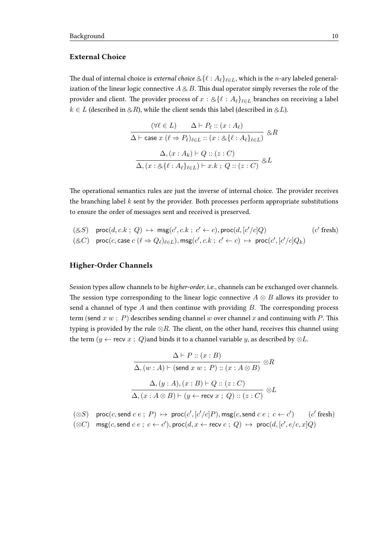#### External Choice

The dual of internal choice is external choice  $\&\{\ell : A_\ell\}_{\ell \in L}$ , which is the n-ary labeled generalization of the linear logic connective  $A \otimes B$ . This dual operator simply reverses the role of the provider and client. The provider process of  $x : \mathcal{L}\{\ell : A_{\ell}\}_{\ell \in L}$  branches on receiving a label  $k \in L$  (described in  $\&R$ ), while the client sends this label (described in  $\&L$ ).

$$
\frac{(\forall \ell \in L) \quad \Delta \vdash P_{\ell} :: (x : A_{\ell})}{\Delta \vdash \text{case } x \ (\ell \Rightarrow P_{\ell})_{\ell \in L} :: (x : \otimes \{\ell : A_{\ell}\}_{\ell \in L})} \otimes R
$$

$$
\frac{\Delta, (x : A_k) \vdash Q :: (z : C)}{\Delta, (x : \otimes \{\ell : A_{\ell}\}_{\ell \in L}) \vdash x.k ; Q :: (z : C)} \otimes L
$$

The operational semantics rules are just the inverse of internal choice. The provider receives the branching label  $k$  sent by the provider. Both processes perform appropriate substitutions to ensure the order of messages sent and received is preserved.

$$
\begin{array}{lll} & (\otimes S) & \mathsf{proc}(d,c.k \; ; \; Q) \; \mapsto \; \mathsf{msg}(c',c.k \; ; \; c' \leftarrow c), \mathsf{proc}(d,[c'/c]Q) & (c' \; \mathsf{fresh}) \\ & (\otimes C) & \mathsf{proc}(c,\mathsf{case}\; c\; (\ell \Rightarrow Q_\ell)_{\ell \in L}), \mathsf{msg}(c',c.k \; ; \; c' \leftarrow c) \; \mapsto \; \mathsf{proc}(c',[c'/c]Q_k) \end{array}
$$

#### Higher-Order Channels

Session types allow channels to be higher-order, i.e., channels can be exchanged over channels. The session type corresponding to the linear logic connective  $A \otimes B$  allows its provider to send a channel of type  $A$  and then continue with providing  $B$ . The corresponding process term (send  $x \ w$ ; P) describes sending channel  $w$  over channel  $x$  and continuing with P. This typing is provided by the rule  $\otimes R$ . The client, on the other hand, receives this channel using the term ( $y \leftarrow$  recv  $x$ ;  $Q$ ) and binds it to a channel variable  $y$ , as described by  $\otimes L$ .

$$
\Delta \vdash P :: (x : B)
$$
  
\n
$$
\Delta, (w : A) \vdash (\text{send } x w ; P) :: (x : A \otimes B) \otimes R
$$
  
\n
$$
\Delta, (y : A), (x : B) \vdash Q :: (z : C)
$$
  
\n
$$
\Delta, (x : A \otimes B) \vdash (y \leftarrow \text{recv } x ; Q) :: (z : C) \otimes L
$$

$$
(\otimes S) \quad \text{proc}(c, \text{send } c \ e \ ; \ P) \; \mapsto \; \text{proc}(c', [c'/c]P), \text{msg}(c, \text{send } c \ e \ ; \ c \leftarrow c') \qquad (c' \ \text{fresh})
$$

 $(\otimes C)$  msg $(c, \text{send } c \cdot e; c \leftarrow c'), \text{proc}(d, x \leftarrow \text{recv } c; Q) \mapsto \text{proc}(d, [c', e/c, x]Q)$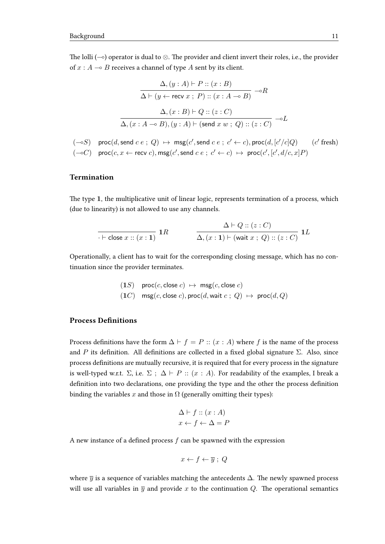The lolli ( $\sim$ ) operator is dual to ⊗. The provider and client invert their roles, i.e., the provider of  $x : A \rightarrow B$  receives a channel of type A sent by its client.

$$
\Delta, (y : A) \vdash P :: (x : B)
$$

$$
\Delta \vdash (y \leftarrow \text{recv } x ; P) :: (x : A \multimap B) \multimap R
$$

$$
\Delta, (x : B) \vdash Q :: (z : C)
$$

$$
\Delta, (x : A \multimap B), (y : A) \vdash (\text{send } x w ; Q) :: (z : C) \multimap L
$$

 $(-\circ S)$  proc $(d, \text{send } c \cdot e; Q) \mapsto \text{msg}(c', \text{send } c \cdot e; c' \leftarrow c), \text{proc}(d, [c'/c]Q)$  (c  $'$  fresh)  $(-\circ C)$  proc $(c, x \leftarrow \text{recv } c)$ , msg $(c', \text{send } c \ e \ ; \ c' \leftarrow c) \ \mapsto \ \text{proc}(c', [c', d/c, x]P)$ 

#### Termination

The type 1, the multiplicative unit of linear logic, represents termination of a process, which (due to linearity) is not allowed to use any channels.

$$
\frac{\Delta \vdash Q :: (z : C)}{\Delta, (x : 1) \vdash (\text{wait } x : Q) :: (z : C)} \ 1L
$$

Operationally, a client has to wait for the corresponding closing message, which has no continuation since the provider terminates.

$$
(1S) \quad \text{proc}(c, \text{close } c) \ \mapsto \ \text{msg}(c, \text{close } c)
$$
\n
$$
(1C) \quad \text{msg}(c, \text{close } c), \text{proc}(d, \text{wait } c \ ; \ Q) \ \mapsto \ \text{proc}(d, Q)
$$

#### **Process Definitions**

Process definitions have the form  $\Delta \vdash f = P :: (x : A)$  where f is the name of the process and P its definition. All definitions are collected in a fixed global signature  $\Sigma$ . Also, since process definitions are mutually recursive, it is required that for every process in the signature is well-typed w.r.t.  $\Sigma$ , i.e.  $\Sigma$ ;  $\Delta \vdash P$  ::  $(x : A)$ . For readability of the examples, I break a definition into two declarations, one providing the type and the other the process definition binding the variables x and those in  $\Omega$  (generally omitting their types):

$$
\Delta \vdash f :: (x : A)
$$

$$
x \leftarrow f \leftarrow \Delta = P
$$

A new instance of a defined process  $f$  can be spawned with the expression

$$
x \leftarrow f \leftarrow \overline{y} \; ; \; Q
$$

where  $\overline{y}$  is a sequence of variables matching the antecedents  $\Delta$ . The newly spawned process will use all variables in  $\overline{y}$  and provide x to the continuation Q. The operational semantics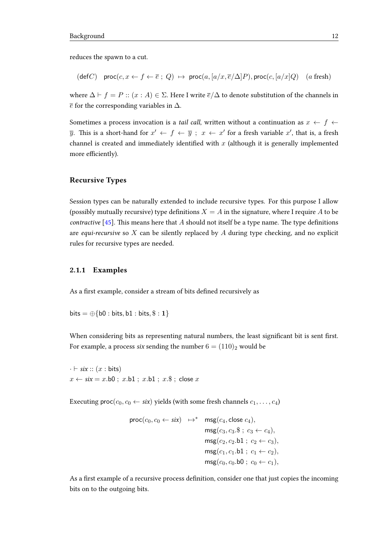reduces the spawn to a cut.

$$
(\text{def } C) \quad \text{proc}(c, x \leftarrow f \leftarrow \overline{e} \ ; \ Q) \ \mapsto \ \text{proc}(a, [a/x, \overline{e}/\Delta]P), \text{proc}(c, [a/x]Q) \quad (a \ \text{fresh})
$$

where  $\Delta \vdash f = P :: (x : A) \in \Sigma$ . Here I write  $\overline{e}/\Delta$  to denote substitution of the channels in  $\bar{e}$  for the corresponding variables in  $\Delta$ .

Sometimes a process invocation is a *tail call*, written without a continuation as  $x \leftarrow f \leftarrow$  $\overline{y}$ . This is a short-hand for  $x' \leftarrow f \leftarrow \overline{y}$ ;  $x \leftarrow x'$  for a fresh variable  $x'$ , that is, a fresh channel is created and immediately identified with  $x$  (although it is generally implemented more efficiently).

#### Recursive Types

Session types can be naturally extended to include recursive types. For this purpose I allow (possibly mutually recursive) type definitions  $X = A$  in the signature, where I require A to be *contractive* [\[45\]](#page-101-5). This means here that A should not itself be a type name. The type definitions are *equi-recursive* so  $X$  can be silently replaced by  $A$  during type checking, and no explicit rules for recursive types are needed.

#### <span id="page-15-0"></span>2.1.1 Examples

As a first example, consider a stream of bits defined recursively as

bits  $= \bigoplus \{b0 : bits, b1 : bits, \$ : 1\}$ 

When considering bits as representing natural numbers, the least significant bit is sent first. For example, a process six sending the number  $6 = (110)<sub>2</sub>$  would be

 $\cdot \vdash$  six ::  $(x : \text{bits})$  $x \leftarrow$  six = x.b0; x.b1; x.b1; x.\$; close x

Executing  $\text{proc}(c_0, c_0 \leftarrow \text{six})$  yields (with some fresh channels  $c_1, \ldots, c_4$ )

$$
\begin{aligned}\n\text{proc}(c_0, c_0 \leftarrow six) &\mapsto^* \quad \text{msg}(c_4, \text{close } c_4), \\
&\quad \text{msg}(c_3, c_3. \$ \, ; \, c_3 \leftarrow c_4), \\
&\quad \text{msg}(c_2, c_2. \text{bl} \, ; \, c_2 \leftarrow c_3), \\
&\quad \text{msg}(c_1, c_1. \text{bl} \, ; \, c_1 \leftarrow c_2), \\
&\quad \text{msg}(c_0, c_0. \text{bl} \, ; \, c_0 \leftarrow c_1),\n\end{aligned}
$$

As a first example of a recursive process definition, consider one that just copies the incoming bits on to the outgoing bits.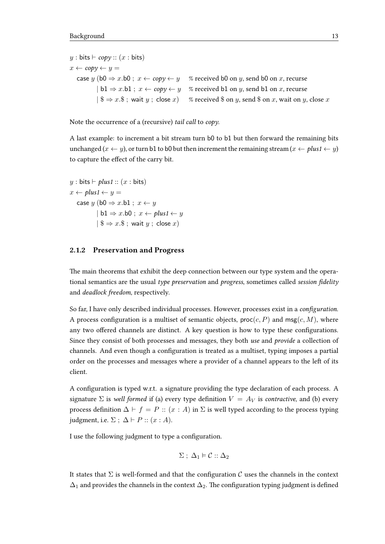y : bits  $\vdash$  copy :: (x : bits)  $x \leftarrow copy \leftarrow y =$ case y (b0  $\Rightarrow$  x.b0 ;  $x \leftarrow copy \leftarrow y$  % received b0 on y, send b0 on x, recurse  $| b1 \Rightarrow x.b1$ ;  $x \leftarrow copy \leftarrow y$  % received b1 on y, send b1 on x, recurse  $|\$ \$  $\Rightarrow$  x.\$ ; wait y ; close x) % received \$ on y, send \$ on x, wait on y, close x

Note the occurrence of a (recursive) tail call to copy.

A last example: to increment a bit stream turn b0 to b1 but then forward the remaining bits unchanged  $(x \leftarrow y)$ , or turn b1 to b0 but then increment the remaining stream  $(x \leftarrow plus1 \leftarrow y)$ to capture the effect of the carry bit.

y : bits  $\vdash plus1 :: (x : bits)$  $x \leftarrow plus1 \leftarrow y =$ case y (b0  $\Rightarrow$  x.b1 ;  $x \leftarrow y$  $| b1 \Rightarrow x.b0 \text{ ; } x \leftarrow \text{plus1} \leftarrow y$  $| \$  \Rightarrow x.\; wait  $y$ ; close  $x)$ 

#### <span id="page-16-0"></span>2.1.2 Preservation and Progress

The main theorems that exhibit the deep connection between our type system and the operational semantics are the usual type preservation and progress, sometimes called session fidelity and deadlock freedom, respectively.

So far, I have only described individual processes. However, processes exist in a *configuration*. A process configuration is a multiset of semantic objects,  $\text{proc}(c, P)$  and  $\text{msg}(c, M)$ , where any two offered channels are distinct. A key question is how to type these configurations. Since they consist of both processes and messages, they both use and provide a collection of channels. And even though a configuration is treated as a multiset, typing imposes a partial order on the processes and messages where a provider of a channel appears to the left of its client.

A configuration is typed w.r.t. a signature providing the type declaration of each process. A signature  $\Sigma$  is well formed if (a) every type definition  $V = A_V$  is contractive, and (b) every process definition  $\Delta \vdash f = P :: (x : A)$  in  $\Sigma$  is well typed according to the process typing judgment, i.e.  $\Sigma$ ;  $\Delta \vdash P :: (x : A)$ .

I use the following judgment to type a configuration.

$$
\Sigma\;;\;\Delta_1\vDash \mathcal{C}::\Delta_2
$$

It states that  $\Sigma$  is well-formed and that the configuration C uses the channels in the context  $\Delta_1$  and provides the channels in the context  $\Delta_2$ . The configuration typing judgment is defined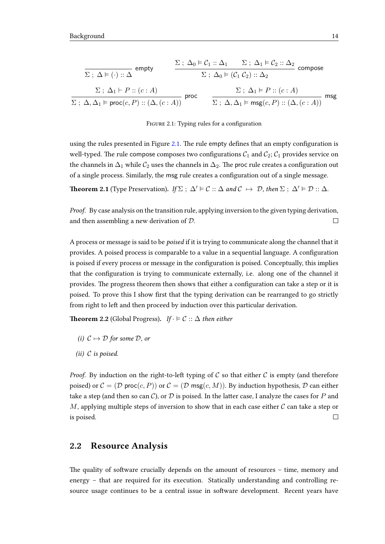<span id="page-17-1"></span>
$$
\frac{\Sigma: \Delta_0 \models \mathcal{C}_1 :: \Delta_1 \qquad \Sigma: \Delta_1 \models \mathcal{C}_2 :: \Delta_2}{\Sigma: \Delta_0 \models (\mathcal{C}_1 \mathcal{C}_2) :: \Delta_2} \text{ compose}
$$
\n
$$
\frac{\Sigma: \Delta_0 \models (\mathcal{C}_1 \mathcal{C}_2) :: \Delta_2}{\Sigma: \Delta_0 \models (\mathcal{C}_1 \mathcal{C}_2) :: \Delta_2} \text{ compose}
$$
\n
$$
\frac{\Sigma: \Delta_1 \models P :: (c:A)}{\Sigma: \Delta, \Delta_1 \models \text{proc}(c, P) :: (\Delta, (c:A))} \text{proc}
$$
\n
$$
\frac{\Sigma: \Delta_1 \models P :: (c:A)}{\Sigma: \Delta, \Delta_1 \models \text{msg}(c, P) :: (\Delta, (c:A))} \text{msg}
$$

FIGURE 2.1: Typing rules for a configuration

using the rules presented in Figure [2.1.](#page-17-1) The rule empty defines that an empty configuration is well-typed. The rule compose composes two configurations  $C_1$  and  $C_2$ ;  $C_1$  provides service on the channels in  $\Delta_1$  while  $C_2$  uses the channels in  $\Delta_2$ . The proc rule creates a configuration out of a single process. Similarly, the msg rule creates a configuration out of a single message.

**Theorem 2.1** (Type Preservation). If  $\Sigma$ ;  $\Delta' \models C :: \Delta$  and  $C \mapsto D$ , then  $\Sigma$ ;  $\Delta' \models D :: \Delta$ .

Proof. By case analysis on the transition rule, applying inversion to the given typing derivation, and then assembling a new derivation of D.  $\Box$ 

A process or message is said to be poised if it is trying to communicate along the channel that it provides. A poised process is comparable to a value in a sequential language. A configuration is poised if every process or message in the configuration is poised. Conceptually, this implies that the configuration is trying to communicate externally, i.e. along one of the channel it provides. The progress theorem then shows that either a configuration can take a step or it is poised. To prove this I show first that the typing derivation can be rearranged to go strictly from right to left and then proceed by induction over this particular derivation.

**Theorem 2.2** (Global Progress). If  $\cdot \vDash \mathcal{C} :: \Delta$  then either

- (i)  $C \mapsto D$  for some D, or
- (ii)  $C$  is poised.

*Proof.* By induction on the right-to-left typing of C so that either C is empty (and therefore poised) or  $\mathcal{C} = (\mathcal{D} \text{ proc}(c, P))$  or  $\mathcal{C} = (\mathcal{D} \text{ msg}(c, M))$ . By induction hypothesis,  $\mathcal{D}$  can either take a step (and then so can C), or D is poised. In the latter case, I analyze the cases for P and M, applying multiple steps of inversion to show that in each case either  $\mathcal C$  can take a step or is poised.  $\Box$ 

#### <span id="page-17-0"></span>2.2 Resource Analysis

The quality of software crucially depends on the amount of resources  $-$  time, memory and energy – that are required for its execution. Statically understanding and controlling resource usage continues to be a central issue in software development. Recent years have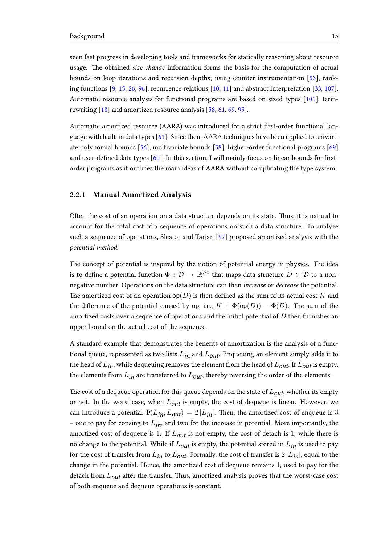seen fast progress in developing tools and frameworks for statically reasoning about resource usage. The obtained size change information forms the basis for the computation of actual bounds on loop iterations and recursion depths; using counter instrumentation [\[53\]](#page-102-2), ranking functions [\[9,](#page-98-4) [15,](#page-99-1) [26,](#page-100-3) [96\]](#page-105-1), recurrence relations [\[10,](#page-98-5) [11\]](#page-98-6) and abstract interpretation [\[33,](#page-100-4) [107\]](#page-106-1). Automatic resource analysis for functional programs are based on sized types [\[101\]](#page-105-2), termrewriting [\[18\]](#page-99-2) and amortized resource analysis [\[58,](#page-102-3) [61,](#page-103-3) [69,](#page-103-4) [95\]](#page-105-3).

Automatic amortized resource (AARA) was introduced for a strict first-order functional language with built-in data types [\[61\]](#page-103-3). Since then, AARA techniques have been applied to univariate polynomial bounds [\[56\]](#page-102-4), multivariate bounds [\[58\]](#page-102-3), higher-order functional programs [\[69\]](#page-103-4) and user-defined data types  $[60]$ . In this section, I will mainly focus on linear bounds for firstorder programs as it outlines the main ideas of AARA without complicating the type system.

#### <span id="page-18-0"></span>2.2.1 Manual Amortized Analysis

Often the cost of an operation on a data structure depends on its state. Thus, it is natural to account for the total cost of a sequence of operations on such a data structure. To analyze such a sequence of operations, Sleator and Tarjan [\[97\]](#page-105-0) proposed amortized analysis with the potential method.

The concept of potential is inspired by the notion of potential energy in physics. The idea is to define a potential function  $\Phi\,:\,\mathcal{D}\,\to\,\mathbb{R}^{\geq 0}$  that maps data structure  $D\,\in\,\mathcal{D}$  to a nonnegative number. Operations on the data structure can then increase or decrease the potential. The amortized cost of an operation  $op(D)$  is then defined as the sum of its actual cost K and the difference of the potential caused by op, i.e.,  $K + \Phi$ (op(D)) –  $\Phi$ (D). The sum of the amortized costs over a sequence of operations and the initial potential of  $D$  then furnishes an upper bound on the actual cost of the sequence.

A standard example that demonstrates the benefits of amortization is the analysis of a functional queue, represented as two lists  $L_{in}$  and  $L_{out}$ . Enqueuing an element simply adds it to the head of  $L_{in}$ , while dequeuing removes the element from the head of  $L_{out}$ . If  $L_{out}$  is empty, the elements from  $L_{in}$  are transferred to  $L_{out}$ , thereby reversing the order of the elements.

The cost of a dequeue operation for this queue depends on the state of  $L_{out}$ , whether its empty or not. In the worst case, when  $L_{out}$  is empty, the cost of dequeue is linear. However, we can introduce a potential  $\Phi(L_{in}, L_{out}) = 2 |L_{in}|$ . Then, the amortized cost of enqueue is 3 – one to pay for consing to  $L_{in}$ , and two for the increase in potential. More importantly, the amortized cost of dequeue is 1. If  $L_{out}$  is not empty, the cost of detach is 1, while there is no change to the potential. While if  $L_{out}$  is empty, the potential stored in  $L_{in}$  is used to pay for the cost of transfer from  $L_{in}$  to  $L_{out}$ . Formally, the cost of transfer is  $2 |L_{in}|$ , equal to the change in the potential. Hence, the amortized cost of dequeue remains 1, used to pay for the detach from  $L_{out}$  after the transfer. Thus, amortized analysis proves that the worst-case cost of both enqueue and dequeue operations is constant.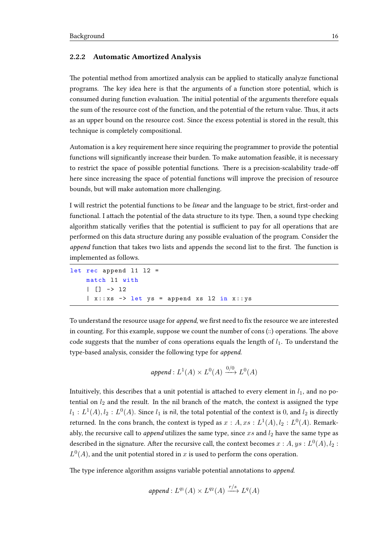#### <span id="page-19-0"></span>2.2.2 Automatic Amortized Analysis

The potential method from amortized analysis can be applied to statically analyze functional programs. The key idea here is that the arguments of a function store potential, which is consumed during function evaluation. The initial potential of the arguments therefore equals the sum of the resource cost of the function, and the potential of the return value. Thus, it acts as an upper bound on the resource cost. Since the excess potential is stored in the result, this technique is completely compositional.

Automation is a key requirement here since requiring the programmer to provide the potential functions will significantly increase their burden. To make automation feasible, it is necessary to restrict the space of possible potential functions. There is a precision-scalability trade-off here since increasing the space of potential functions will improve the precision of resource bounds, but will make automation more challenging.

I will restrict the potential functions to be linear and the language to be strict, first-order and functional. I attach the potential of the data structure to its type. Then, a sound type checking algorithm statically verifies that the potential is sufficient to pay for all operations that are performed on this data structure during any possible evaluation of the program. Consider the append function that takes two lists and appends the second list to the first. The function is implemented as follows.

```
let rec append 11 12 =
   match l1 with
    | [] -> l2
    |x::xs -> let ys = append xs 12 in x::ys
```
To understand the resource usage for *append*, we first need to fix the resource we are interested in counting. For this example, suppose we count the number of cons  $(:):$  operations. The above code suggests that the number of cons operations equals the length of  $l_1$ . To understand the type-based analysis, consider the following type for append.

$$
append: L^1(A) \times L^0(A) \xrightarrow{0/0} L^0(A)
$$

Intuitively, this describes that a unit potential is attached to every element in  $l_1$ , and no potential on  $l_2$  and the result. In the nil branch of the match, the context is assigned the type  $l_1: L^1(A), l_2: L^0(A).$  Since  $l_1$  is nil, the total potential of the context is  $0,$  and  $l_2$  is directly returned. In the cons branch, the context is typed as  $x:A,xs:L^1(A),l_2:L^0(A).$  Remarkably, the recursive call to *append* utilizes the same type, since  $xs$  and  $l_2$  have the same type as described in the signature. After the recursive call, the context becomes  $x:A,ys:L^0(A),l_2:$  $L^0(A)$ , and the unit potential stored in x is used to perform the cons operation.

The type inference algorithm assigns variable potential annotations to append.

$$
append: L^{q_1}(A) \times L^{q_2}(A) \xrightarrow{r/s} L^q(A)
$$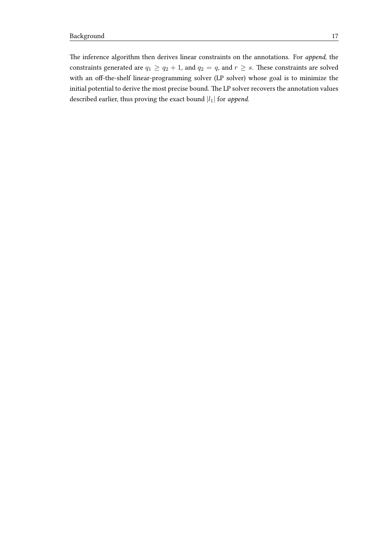The inference algorithm then derives linear constraints on the annotations. For append, the constraints generated are  $q_1 \ge q_2 + 1$ , and  $q_2 = q$ , and  $r \ge s$ . These constraints are solved with an off-the-shelf linear-programming solver (LP solver) whose goal is to minimize the initial potential to derive the most precise bound. The LP solver recovers the annotation values described earlier, thus proving the exact bound  $|l_1|$  for append.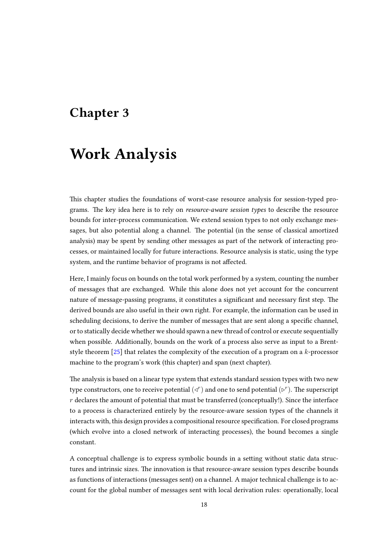## <span id="page-21-0"></span>Chapter 3

# Work Analysis

This chapter studies the foundations of worst-case resource analysis for session-typed programs. The key idea here is to rely on *resource-aware session types* to describe the resource bounds for inter-process communication. We extend session types to not only exchange messages, but also potential along a channel. The potential (in the sense of classical amortized analysis) may be spent by sending other messages as part of the network of interacting processes, or maintained locally for future interactions. Resource analysis is static, using the type system, and the runtime behavior of programs is not affected.

Here, I mainly focus on bounds on the total work performed by a system, counting the number of messages that are exchanged. While this alone does not yet account for the concurrent nature of message-passing programs, it constitutes a significant and necessary first step. The derived bounds are also useful in their own right. For example, the information can be used in scheduling decisions, to derive the number of messages that are sent along a specific channel, or to statically decide whether we should spawn a new thread of control or execute sequentially when possible. Additionally, bounds on the work of a process also serve as input to a Brentstyle theorem [\[25\]](#page-100-5) that relates the complexity of the execution of a program on a k-processor machine to the program's work (this chapter) and span (next chapter).

The analysis is based on a linear type system that extends standard session types with two new type constructors, one to receive potential  $(\triangle^r)$  and one to send potential  $(\triangleright^r).$  The superscript  $r$  declares the amount of potential that must be transferred (conceptually!). Since the interface to a process is characterized entirely by the resource-aware session types of the channels it interacts with, this design provides a compositional resource specification. For closed programs (which evolve into a closed network of interacting processes), the bound becomes a single constant.

A conceptual challenge is to express symbolic bounds in a seing without static data structures and intrinsic sizes. The innovation is that resource-aware session types describe bounds as functions of interactions (messages sent) on a channel. A major technical challenge is to account for the global number of messages sent with local derivation rules: operationally, local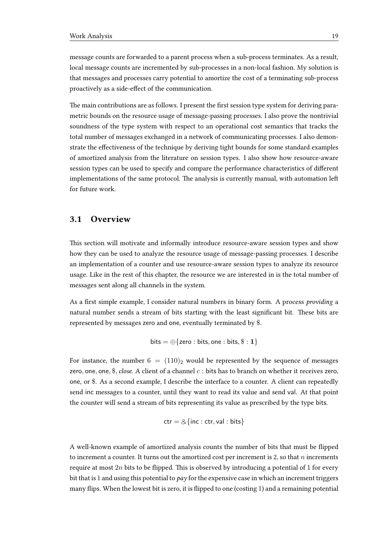message counts are forwarded to a parent process when a sub-process terminates. As a result, local message counts are incremented by sub-processes in a non-local fashion. My solution is that messages and processes carry potential to amortize the cost of a terminating sub-process proactively as a side-effect of the communication.

The main contributions are as follows. I present the first session type system for deriving parametric bounds on the resource usage of message-passing processes. I also prove the nontrivial soundness of the type system with respect to an operational cost semantics that tracks the total number of messages exchanged in a network of communicating processes. I also demonstrate the effectiveness of the technique by deriving tight bounds for some standard examples of amortized analysis from the literature on session types. I also show how resource-aware session types can be used to specify and compare the performance characteristics of different implementations of the same protocol. The analysis is currently manual, with automation left for future work.

## <span id="page-22-0"></span>3.1 Overview

This section will motivate and informally introduce resource-aware session types and show how they can be used to analyze the resource usage of message-passing processes. I describe an implementation of a counter and use resource-aware session types to analyze its resource usage. Like in the rest of this chapter, the resource we are interested in is the total number of messages sent along all channels in the system.

As a first simple example, I consider natural numbers in binary form. A process *providing* a natural number sends a stream of bits starting with the least significant bit. These bits are represented by messages zero and one, eventually terminated by \$.

$$
\mathsf{bits} = \oplus \{\mathsf{zero} : \mathsf{bits}, \mathsf{one} : \mathsf{bits}, \$ : 1\}
$$

For instance, the number  $6 = (110)_2$  would be represented by the sequence of messages zero, one, one,  $\frac{1}{2}$ , *close.* A client of a channel c : bits has to branch on whether it receives zero, one, or \$. As a second example, I describe the interface to a counter. A client can repeatedly send inc messages to a counter, until they want to read its value and send val. At that point the counter will send a stream of bits representing its value as prescribed by the type bits.

$$
ctr = \& \{inc :ctr, val : bits\}
$$

A well-known example of amortized analysis counts the number of bits that must be flipped to increment a counter. It turns out the amortized cost per increment is 2, so that  $n$  increments require at most  $2n$  bits to be flipped. This is observed by introducing a potential of 1 for every bit that is 1 and using this potential to  $pay$  for the expensive case in which an increment triggers many flips. When the lowest bit is zero, it is flipped to one (costing 1) and a remaining potential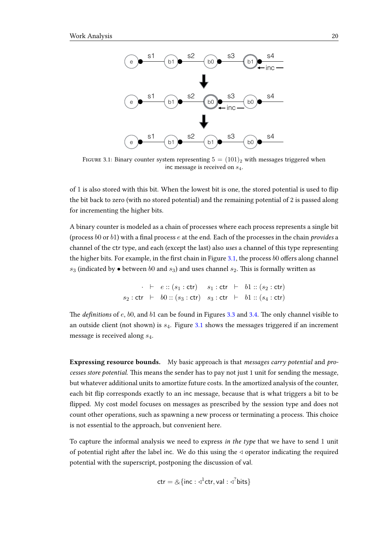<span id="page-23-0"></span>

FIGURE 3.1: Binary counter system representing  $5 = (101)_2$  with messages triggered when inc message is received on  $s_4$ .

of 1 is also stored with this bit. When the lowest bit is one, the stored potential is used to flip the bit back to zero (with no stored potential) and the remaining potential of 2 is passed along for incrementing the higher bits.

A binary counter is modeled as a chain of processes where each process represents a single bit (process  $b0$  or  $b1$ ) with a final process  $e$  at the end. Each of the processes in the chain *provides* a channel of the ctr type, and each (except the last) also uses a channel of this type representing the higher bits. For example, in the first chain in Figure [3.1,](#page-23-0) the process  $b0$  offers along channel  $s_3$  (indicated by  $\bullet$  between  $b0$  and  $s_3$ ) and uses channel  $s_2$ . This is formally written as

$$
\vdots \vdash e :: (s_1 : \text{ctr}) \quad s_1 : \text{ctr} \vdash b1 :: (s_2 : \text{ctr})
$$
  

$$
s_2 : \text{ctr} \vdash b0 :: (s_3 : \text{ctr}) \quad s_3 : \text{ctr} \vdash b1 :: (s_4 : \text{ctr})
$$

The *definitions* of  $e$ ,  $b0$ , and  $b1$  can be found in Figures [3.3](#page-26-1) and [3.4.](#page-27-0) The only channel visible to an outside client (not shown) is  $s_4$ . Figure [3.1](#page-23-0) shows the messages triggered if an increment message is received along  $s_4$ .

Expressing resource bounds. My basic approach is that *messages carry potential* and *pro*cesses store potential. This means the sender has to pay not just 1 unit for sending the message, but whatever additional units to amortize future costs. In the amortized analysis of the counter, each bit flip corresponds exactly to an inc message, because that is what triggers a bit to be flipped. My cost model focuses on messages as prescribed by the session type and does not count other operations, such as spawning a new process or terminating a process. This choice is not essential to the approach, but convenient here.

To capture the informal analysis we need to express in the type that we have to send 1 unit of potential right after the label inc. We do this using the  $\triangleleft$  operator indicating the required potential with the superscript, postponing the discussion of val.

$$
ctr = \& \{ inc : \triangleleft^{1}ctr, val : \triangleleft^{2} bits \}
$$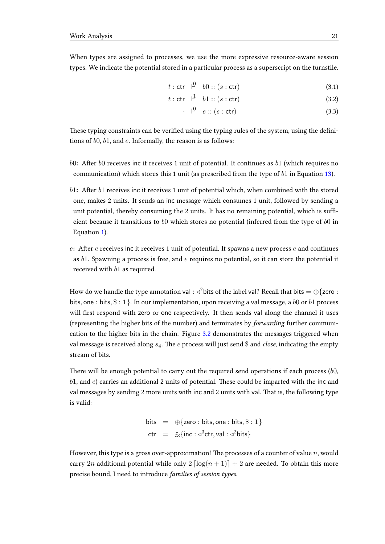When types are assigned to processes, we use the more expressive resource-aware session types. We indicate the potential stored in a particular process as a superscript on the turnstile.

$$
t: \text{ctr} \quad \stackrel{0}{\leftarrow} \quad b0::(s: \text{ctr}) \tag{3.1}
$$

$$
t: \text{ctr} \quad \stackrel{\text{1}}{\vdash} \quad b1 :: (s : \text{ctr}) \tag{3.2}
$$

$$
\cdot \quad \stackrel{\circ}{\vdash} \quad e :: (s : \text{ctr}) \tag{3.3}
$$

These typing constraints can be verified using the typing rules of the system, using the definitions of b0, b1, and e. Informally, the reason is as follows:

- $b0$ : After  $b0$  receives inc it receives 1 unit of potential. It continues as  $b1$  (which requires no communication) which stores this 1 unit (as prescribed from the type of  $b1$  in Equation [13\)](#page-27-1).
- $b1$ : After  $b1$  receives inc it receives 1 unit of potential which, when combined with the stored one, makes 2 units. It sends an inc message which consumes 1 unit, followed by sending a unit potential, thereby consuming the 2 units. It has no remaining potential, which is sufficient because it transitions to  $b0$  which stores no potential (inferred from the type of  $b0$  in Equation [1\)](#page-26-2).
- e: After  $e$  receives inc it receives 1 unit of potential. It spawns a new process  $e$  and continues as  $b1$ . Spawning a process is free, and  $e$  requires no potential, so it can store the potential it received with b1 as required.

How do we handle the type annotation val : ⊲ $^?$ bits of the label val? Recall that bits  $= \oplus \{ {\sf zero} :$ bits, one : bits,  $\frac{1}{2}$ . In our implementation, upon receiving a val message, a b0 or b1 process will first respond with zero or one respectively. It then sends val along the channel it uses (representing the higher bits of the number) and terminates by forwarding further communication to the higher bits in the chain. Figure [3.2](#page-25-0) demonstrates the messages triggered when val message is received along  $s_4$ . The e process will just send \$ and close, indicating the empty stream of bits.

There will be enough potential to carry out the required send operations if each process  $(b0, b)$  $b1$ , and  $e$ ) carries an additional 2 units of potential. These could be imparted with the inc and val messages by sending 2 more units with inc and 2 units with val. That is, the following type is valid:

bits = 
$$
\bigoplus
$$
{zero : bits, one : bits, \$ : 1}  
ctr =  $\&$ {inc :  $\triangleleft$ <sup>3</sup>ctr, val :  $\triangleleft$ <sup>2</sup>bits}

However, this type is a gross over-approximation! The processes of a counter of value  $n$ , would carry 2n additional potential while only  $2 \left[ \log(n + 1) \right] + 2$  are needed. To obtain this more precise bound, I need to introduce families of session types.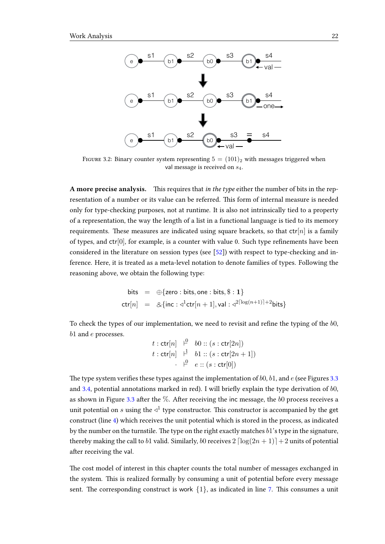<span id="page-25-0"></span>

FIGURE 3.2: Binary counter system representing  $5 = (101)_2$  with messages triggered when val message is received on  $s_4$ .

A more precise analysis. This requires that in the type either the number of bits in the representation of a number or its value can be referred. This form of internal measure is needed only for type-checking purposes, not at runtime. It is also not intrinsically tied to a property of a representation, the way the length of a list in a functional language is tied to its memory requirements. These measures are indicated using square brackets, so that  $\text{ctr}[n]$  is a family of types, and  $ctr[0]$ , for example, is a counter with value 0. Such type refinements have been considered in the literature on session types (see [\[52\]](#page-102-5)) with respect to type-checking and inference. Here, it is treated as a meta-level notation to denote families of types. Following the reasoning above, we obtain the following type:

bits = 
$$
\bigoplus
$$
 {zero : bits, one : bits, \$ : 1}  
ctr[*n*] =  $\&$ {inc :  $\triangleleft$ <sup>1</sup>ctr[*n* + 1], val :  $\triangleleft$ <sup>2[log(*n*+1)]+2</sup>bits}

To check the types of our implementation, we need to revisit and refine the typing of the  $b0$ , b1 and  $e$  processes.

$$
t: \operatorname{ctr}[n] \xrightarrow{\downarrow} b0 :: (s: \operatorname{ctr}[2n])
$$
  

$$
t: \operatorname{ctr}[n] \xrightarrow{\downarrow} b1 :: (s: \operatorname{ctr}[2n+1])
$$
  

$$
\cdot \xrightarrow{\downarrow} e :: (s: \operatorname{ctr}[0])
$$

The type system verifies these types against the implementation of  $b0$ ,  $b1$ , and  $e$  (see Figures [3.3](#page-26-1)) and [3.4,](#page-27-0) potential annotations marked in red). I will briefly explain the type derivation of  $b0$ , as shown in Figure [3.3](#page-26-1) after the  $\%$ . After receiving the inc message, the b0 process receives a unit potential on  $s$  using the  $\triangleleft^1$  type constructor. This constructor is accompanied by the get construct (line [4\)](#page-26-3) which receives the unit potential which is stored in the process, as indicated by the number on the turnstile. The type on the right exactly matches  $b1$ 's type in the signature, thereby making the call to b1 valid. Similarly, b0 receives  $2 \left[ \log(2n + 1) \right] + 2$  units of potential after receiving the val.

The cost model of interest in this chapter counts the total number of messages exchanged in the system. This is realized formally by consuming a unit of potential before every message sent. The corresponding construct is work  $\{1\}$ , as indicated in line [7.](#page-26-4) This consumes a unit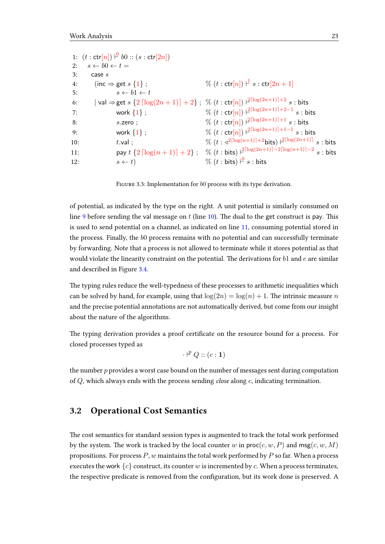<span id="page-26-3"></span><span id="page-26-2"></span><span id="page-26-1"></span>1:  $(t : \text{ctr}[n]) \vdash^{0} b0 :: (s : \text{ctr}[2n])$ 2:  $s \leftarrow b0 \leftarrow t =$  $3: \qquad \text{case } s$ 4: (inc  $\Rightarrow$  get s {1};  $\frac{1}{s}$   $s$  :  $\mathsf{ctr}[2n+1]$ 5:  $s \leftarrow b1 \leftarrow t$ 6: │ val ⇒ get  $s\ \{2\ \lceil \log(2n+1) \rceil + 2\}$  ; %  $(t:\mathsf{ctr}[n]) \ \rceil^{\lceil \log(2n+1) \rceil + 2} \ s$  : bits 7: work  $\{1\}$  ;  $\%\ (t:\mathsf{ctr}[n]) \; \textcolor{red}{}_{\textcolor{red}{\sim}}\; \textcolor{red}{}_{\textcolor{red}{\sim}} \; \textcolor{red}{}_{\textcolor{red}{\sim}} \; \textcolor{red}{}_{\textcolor{red}{\sim}} \; \textcolor{red}{}_{\textcolor{red}{\sim}} \; \textcolor{red}{}_{\textcolor{red}{\sim}} \; \textcolor{red}{}_{\textcolor{red}{\sim}} \; \textcolor{red}{}_{\textcolor{red}{\sim}} \; \textcolor{red}{}_{\textcolor{red}{\sim}} \; \textcolor{red}{}_{\textcolor{red}{\sim}}$ 8: s.zero ;  $\%\ (t: \text{ctr}[n]) \; \vert^{2 \lceil \log (2n+1) \rceil + 1} \; s: \text{bits}$ 9: work  $\{1\}$  ;  $\%\ (t:\mathsf{ctr}[n]) \; \textcolor{red} {^{|\mathfrak{Q}|(2n+1)|+1-1}} \; s: \textcolor{red} {bits}$ 10:  $t.\mathsf{val}$ ;  $\%$  ( $t : \triangleleft$ <sup>2</sup>dlog(n+1)e+2bits) ` 2dlog(2n+1)e s : bits 11: **pay**  $t \{2 \lceil \log(n+1) \rceil + 2\}$ ; %  $(t : \text{bits}) \frac{2^{\lceil \log(2n+1) \rceil - 2\lceil \log(n+1) \rceil - 2}}{s : \text{bits}}$ 12:  $s \leftarrow t$  %  $(t : \text{bits}) \mid^0 s : \text{bits}$ 

<span id="page-26-7"></span><span id="page-26-6"></span><span id="page-26-5"></span><span id="page-26-4"></span>FIGURE 3.3: Implementation for  $b0$  process with its type derivation.

of potential, as indicated by the type on the right. A unit potential is similarly consumed on line [9](#page-26-5) before sending the val message on  $t$  (line [10\)](#page-26-6). The dual to the get construct is pay. This is used to send potential on a channel, as indicated on line [11,](#page-26-7) consuming potential stored in the process. Finally, the b0 process remains with no potential and can successfully terminate by forwarding. Note that a process is not allowed to terminate while it stores potential as that would violate the linearity constraint on the potential. The derivations for  $b1$  and  $e$  are similar and described in Figure [3.4.](#page-27-0)

The typing rules reduce the well-typedness of these processes to arithmetic inequalities which can be solved by hand, for example, using that  $\log(2n) = \log(n) + 1$ . The intrinsic measure n and the precise potential annotations are not automatically derived, but come from our insight about the nature of the algorithms.

The typing derivation provides a proof certificate on the resource bound for a process. For closed processes typed as

$$
\cdot \n\mathrel{\mathop:}\nolimits^{p} Q :: (c : 1)
$$

the number  $p$  provides a worst case bound on the number of messages sent during computation of  $Q$ , which always ends with the process sending *close* along  $c$ , indicating termination.

### <span id="page-26-0"></span>3.2 Operational Cost Semantics

The cost semantics for standard session types is augmented to track the total work performed by the system. The work is tracked by the local counter w in  $\textsf{proc}(c, w, P)$  and  $\textsf{msg}(c, w, M)$ propositions. For process  $P$ , w maintains the total work performed by  $P$  so far. When a process executes the work  ${c}$  construct, its counter w is incremented by c. When a process terminates, the respective predicate is removed from the configuration, but its work done is preserved. A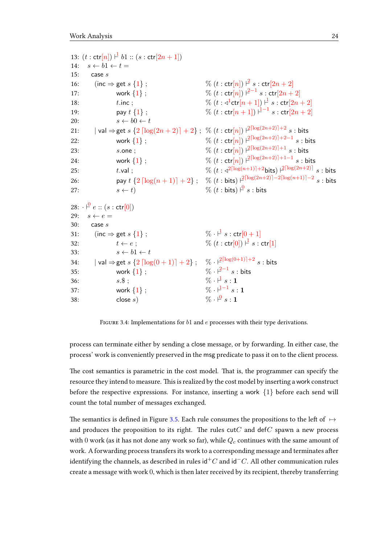<span id="page-27-1"></span><span id="page-27-0"></span>13:  $(t : \text{ctr}[n]) \vdash b1 :: (s : \text{ctr}[2n + 1])$ 14:  $s \leftarrow b1 \leftarrow t =$ 15:  $\csc s$ 16: (inc  $\Rightarrow$  get s {1};  $\%$  (t: ctr[n])  $\downarrow^2$  s: ctr[2n + 2] 17: work  $\{1\}$ ;  $\%$   $(t : \text{ctr}[n]) \stackrel{2-1}{\longleftarrow} s : \text{ctr}[2n+2]$ 18: t.inc ;  $\frac{8}{10} (t : \sqrt{1} \text{ctr}[n+1])^{\frac{1}{2}} s : \text{ctr}[2n+2]$ 19: pay  $t\{1\}$ ;  $\% (t: \text{ctr}[n+1]) \stackrel{1}{\vdash}^{-1} s: \text{ctr}[2n+2]$ 20:  $s \leftarrow b0 \leftarrow t$ 21: │ val ⇒ get  $s\ \{2\ \lceil \log(2n+2) \rceil + 2\}$  ; %  $(t:\mathsf{ctr}[n]) \; \mathsf{H}^{2\lceil \log(2n+2) \rceil + 2} \; s$  : bits 22: work  $\{1\}$  ;  $\%$   $(t:\textsf{ctr}[n]) \not\mid^{2\lceil \log (2n+2) \rceil + 2 - 1} s$  : bits 23: s.one ;  $\% (t : \text{ctr}[n]) \|^2^{\lceil \log (2n+2) \rceil + 1} s : \text{bits}$ 24: work  $\{1\}$  ;  $\%$   $(t:\text{\textsf{ctr}}[n]) \; \textcolor{red}{|^{2\lceil \log (2n+2) \rceil+1-1}} \; s$  : bits 25: t.val ;  $t.$  t.val ;  $\%$  (t :  $\triangleleft^{2\lceil \log(n+1) \rceil + 2}$ bits)  $\frac{\rceil 2\lceil \log(2n+2) \rceil}{s}$  : bits 26: **pay**  $t \{2 \lceil \log(n+1) \rceil + 2\}$ ;  $\%$   $(t : \text{bits}) \neq^{\lceil \log(2n+2) \rceil - 2\lceil \log(n+1) \rceil - 2} s$ : bits 27:  $s \leftarrow t$ ) % (t : bits)  $\downarrow^{\mathcal{Q}} s$  : bits  $28:$  $\stackrel{\circ}{\vdash}$  e :: (s : ctr[0]) 29:  $s \leftarrow e =$  $30:$  case  $s$ 31: (inc  $\Rightarrow$  get s {1};  $\% \cdot \frac{1}{2} s : \text{ctr}[0 + 1]$ 32:  $t \leftarrow e$ ;  $\% (t : \text{ctr}[0]) \stackrel{\text{d}}{\leftarrow} s : \text{ctr}[1]$ 33:  $s \leftarrow b1 \leftarrow t$ 34:  $|\text{val}\Rightarrow \text{get }s\text{ }\{2\lceil\log(0+1)\rceil+2\}\;;\quad \%\cdot \text{ }|\text{supp}(0+1)|+2\ s:\text{ bits}$ 35: work  ${1}$ ;  $\% \cdot \frac{2-1}{s}$  s : bits 36:  $s.\$\; ;$   $\% \cdot \frac{1}{s} s : \mathbf{1}$ 37: work  ${1}$ ;  $\% \cdot \vdash^{1-1} s : \mathbf{1}$  $38: \text{close } s$  $\% \cdot \frac{\rho}{\epsilon} s \cdot 1$ 

FIGURE 3.4: Implementations for  $b1$  and  $e$  processes with their type derivations.

process can terminate either by sending a close message, or by forwarding. In either case, the process' work is conveniently preserved in the msg predicate to pass it on to the client process.

The cost semantics is parametric in the cost model. That is, the programmer can specify the resource they intend to measure. This is realized by the cost model by inserting a work construct before the respective expressions. For instance, inserting a work  $\{1\}$  before each send will count the total number of messages exchanged.

The semantics is defined in Figure [3.5.](#page-28-0) Each rule consumes the propositions to the left of  $\mapsto$ and produces the proposition to its right. The rules  $cutC$  and def $C$  spawn a new process with 0 work (as it has not done any work so far), while  $Q_c$  continues with the same amount of work. A forwarding process transfers its work to a corresponding message and terminates after identifying the channels, as described in rules id<sup>+</sup>C and id<sup>-</sup>C. All other communication rules create a message with work 0, which is then later received by its recipient, thereby transferring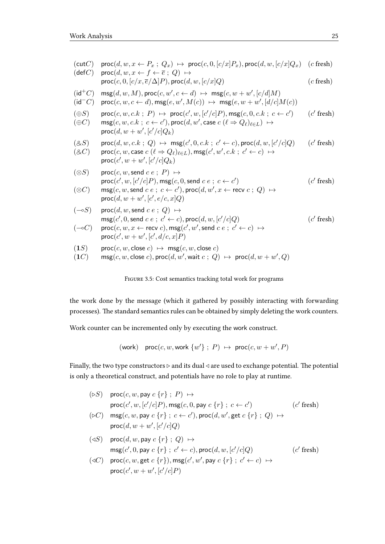<span id="page-28-0"></span>

| (cutC)<br>$(\mathsf{def} C)$ | $\mathsf{proc}(d, w, x \leftarrow P_x ; Q_x) \mapsto \mathsf{proc}(c, 0, [c/x]P_x), \mathsf{proc}(d, w, [c/x]Q_x)$ (c fresh)<br>$\textsf{proc}(d, w, x \leftarrow f \leftarrow \overline{e} ; Q) \mapsto$                                                                                                   |              |
|------------------------------|-------------------------------------------------------------------------------------------------------------------------------------------------------------------------------------------------------------------------------------------------------------------------------------------------------------|--------------|
|                              | $\textsf{proc}(c, 0, [c/x, \overline{e}/\Delta]P), \textsf{proc}(d, w, [c/x]Q)$                                                                                                                                                                                                                             | $(c$ fresh)  |
| $(id^+C)$<br>$(id^-C)$       | $\mathsf{msg}(d, w, M), \mathsf{proc}(c, w', c \leftarrow d) \mapsto \mathsf{msg}(c, w + w', [c/d]M)$<br>$\mathsf{proc}(c, w, c \leftarrow d), \mathsf{msg}(e, w', M(c)) \mapsto \mathsf{msg}(e, w + w', [d/c]M(c))$                                                                                        |              |
| $(\oplus S)$<br>$(\oplus C)$ | $\textsf{proc}(c, w, c.k ; P) \rightarrow \textsf{proc}(c', w, [c'/c]P), \textsf{msg}(c, 0, c.k ; c \leftarrow c')$<br>$\mathsf{msg}(c,w,c.k; c \leftarrow c')$ , proc $(d,w',$ case $c$ $(\ell \Rightarrow Q_{\ell})_{\ell \in L}) \mapsto$<br>$\mathsf{proc}(d, w + w', [c'/c]Q_k)$                       | $(c'$ fresh) |
| (S, S)<br>$(\&C)$            | $\textsf{proc}(d, w, c.k ; Q) \mapsto \textsf{msg}(c', 0, c.k ; c' \leftarrow c), \textsf{proc}(d, w, [c'/c]Q)$<br>$\mathsf{proc}(c, w, \mathsf{case} \ c \ (\ell \Rightarrow Q_{\ell})_{\ell \in L}), \mathsf{msg}(c', w', c.k \ ; \ c' \leftarrow c) \ \mapsto$<br>$\textsf{proc}(c', w + w', [c'/c]Q_k)$ | $(c'$ fresh) |
| $(\otimes S)$                | $\textsf{proc}(c, w, \textsf{send } c \, e \, ; \, P) \mapsto$<br>$\textsf{proc}(c', w, [c'/c]P), \textsf{msg}(c, 0, \textsf{send } c \ e \ ; \ c \leftarrow c')$                                                                                                                                           | $(c'$ fresh) |
| $(\otimes C)$                | $\mathsf{msg}(c, w, \mathsf{send}\; c\; e \; ; \; c \leftarrow c'), \mathsf{proc}(d, w', x \leftarrow \mathsf{recv}\; c \; ; \; Q) \mapsto$<br>$proc(d, w + w', [c', e/c, x]Q)$                                                                                                                             |              |
| $(-\circ S)$                 | $\textsf{proc}(d, w, \textsf{send } c \ e \ ; \ Q) \mapsto$<br>$\mathsf{msg}(c', 0, \mathsf{send}\; c\; e \; ; \; c' \leftarrow c), \mathsf{proc}(d, w, [c'/c]Q)$                                                                                                                                           | $(c'$ fresh) |
| $(-\circ C)$                 | $\mathsf{proc}(c, w, x \leftarrow \mathsf{recv} c), \mathsf{msg}(c', w', \mathsf{send} c e; c' \leftarrow c) \mapsto$<br>$proc(c', w + w', [c', d/c, x]P)$                                                                                                                                                  |              |
| (1S)<br>(1C)                 | $\mathsf{proc}(c, w, \mathsf{close} c) \leftrightarrow \mathsf{msg}(c, w, \mathsf{close} c)$<br>$\mathsf{msg}(c, w, \mathsf{close}\ c), \mathsf{proc}(d, w', \mathsf{wait}\ c\ ;\ Q) \ \mapsto \ \mathsf{proc}(d, w + w', Q)$                                                                               |              |
|                              |                                                                                                                                                                                                                                                                                                             |              |



the work done by the message (which it gathered by possibly interacting with forwarding processes). The standard semantics rules can be obtained by simply deleting the work counters.

Work counter can be incremented only by executing the work construct.

$$
(work)
$$
 proc $(c, w, work \{w'\}; P) \mapsto proc(c, w + w', P)$ 

Finally, the two type constructors  $\triangleright$  and its dual  $\triangleleft$  are used to exchange potential. The potential is only a theoretical construct, and potentials have no role to play at runtime.

- $(\triangleright S)$  proc $(c, w, \text{pay } c \{r\}$ ;  $P) \mapsto$  $\mathsf{proc}(c', w, [c'/c]P), \mathsf{msg}(c, 0, \mathsf{pay}\; c\; \{r\} \; ; \; c \leftarrow c'$  $(c'$  fresh)
- $(\triangleright C)$  msg $(c, w, \text{pay } c \{r\}$ ;  $c \leftarrow c'$ ), proc $(d, w', \text{get } c \{r\}$ ;  $Q) \mapsto$  $\mathsf{proc}(d, w + w', [c'/c]Q)$
- $(\triangleleft S)$  proc $(d, w, \text{pay } c \{r\} ; Q) \mapsto$  $\mathsf{msg}(c',0,\mathsf{pay}\;c\; \{r\} \; ; \; c' \leftarrow c), \mathsf{proc}(d,w,[c'/c]Q)$  (c 0 fresh)
- $(\triangleleft C)$  proc $(c, w, \text{get } c \{r\}), \text{msg}(c', w', \text{pay } c \{r\} ; c' \leftarrow c) \mapsto$  $\mathsf{proc}(c', w + w', [c'/c]P)$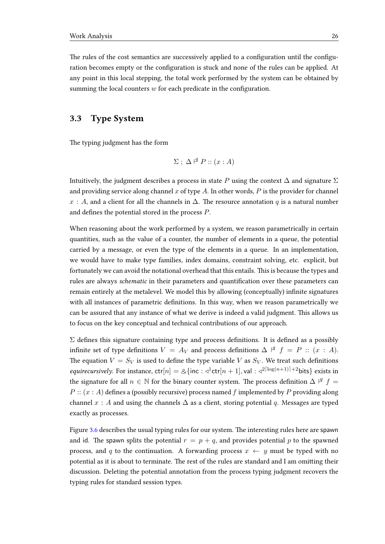The rules of the cost semantics are successively applied to a configuration until the configuration becomes empty or the configuration is stuck and none of the rules can be applied. At any point in this local stepping, the total work performed by the system can be obtained by summing the local counters  $w$  for each predicate in the configuration.

## <span id="page-29-0"></span>3.3 Type System

The typing judgment has the form

$$
\Sigma\; ;\; \Delta \; |^{\mathcal{G}}\; P :: (x:A)
$$

Intuitively, the judgment describes a process in state P using the context  $\Delta$  and signature  $\Sigma$ and providing service along channel x of type A. In other words,  $P$  is the provider for channel x : A, and a client for all the channels in  $\Delta$ . The resource annotation q is a natural number and defines the potential stored in the process  $P$ .

When reasoning about the work performed by a system, we reason parametrically in certain quantities, such as the value of a counter, the number of elements in a queue, the potential carried by a message, or even the type of the elements in a queue. In an implementation, we would have to make type families, index domains, constraint solving, etc. explicit, but fortunately we can avoid the notational overhead that this entails. This is because the types and rules are always schematic in their parameters and quantification over these parameters can remain entirely at the metalevel. We model this by allowing (conceptually) infinite signatures with all instances of parametric definitions. In this way, when we reason parametrically we can be assured that any instance of what we derive is indeed a valid judgment. This allows us to focus on the key conceptual and technical contributions of our approach.

 $\Sigma$  defines this signature containing type and process definitions. It is defined as a possibly infinite set of type definitions  $V = A_V$  and process definitions  $\Delta \begin{bmatrix} \n\sigma \n\end{bmatrix}$   $f = P :: (x : A)$ . The equation  $V = S_V$  is used to define the type variable V as  $S_V$ . We treat such definitions *equirecursively.* For instance,  $\text{ctr}[n] = \& \{ \text{inc} : \triangleleft \text{ctr}[n+1], \text{val} : \triangleleft \text{2}^{\lceil \log(n+1) \rceil + 2} \text{bits} \}$  exists in the signature for all  $n \in \mathbb{N}$  for the binary counter system. The process definition  $\Delta \nvert^g f =$  $P$  ::  $(x : A)$  defines a (possibly recursive) process named f implemented by P providing along channel x : A and using the channels  $\Delta$  as a client, storing potential q. Messages are typed exactly as processes.

Figure [3.6](#page-30-0) describes the usual typing rules for our system. The interesting rules here are spawn and id. The spawn splits the potential  $r = p + q$ , and provides potential p to the spawned process, and q to the continuation. A forwarding process  $x \leftarrow y$  must be typed with no potential as it is about to terminate. The rest of the rules are standard and I am omitting their discussion. Deleting the potential annotation from the process typing judgment recovers the typing rules for standard session types.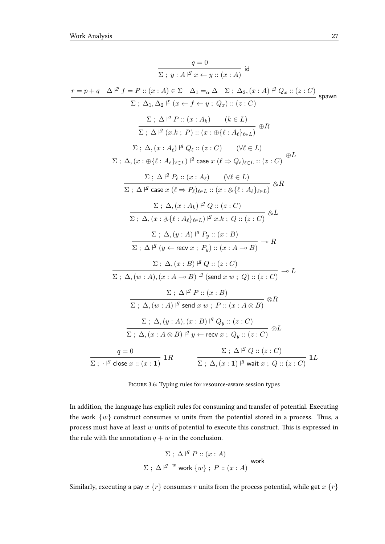<span id="page-30-0"></span>
$$
\frac{q=0}{\sum; y:A|^2 x + y :: (x:A)} \text{ id}
$$
\n
$$
\frac{r=p+q \Delta t^p f = P :: (x:A) \in \Sigma \Delta_1 =_{\alpha} \Delta \Sigma; \Delta_2, (x:A) \uparrow^q Q_x :: (z:C) \Delta_1, \Delta_2 \uparrow^r (x \leftarrow f \leftarrow y; Q_x) :: (z:C) \Delta_1 \Delta_2 \uparrow^r (x \leftarrow f \leftarrow y; Q_x) :: (z:C) \Delta_1 \Delta_2 \uparrow^r (x \leftarrow f \leftarrow y; Q_x) :: (z:C) \Delta_1 \Delta_2 \uparrow^r (x \leftarrow f \leftarrow y; Q_x) :: (z:C) \Delta_2 \Delta_2 \uparrow^r (x \leftarrow f \leftarrow f; Q_x) \Delta_2 \uparrow^r (x \leftarrow f; Q_x) \Delta_2 \uparrow^r (x \leftarrow f; Q_x) \Delta_2 \uparrow^r (x \leftarrow f; Q_x) \Delta_2 \uparrow^r (x \leftarrow f; Q_x) \Delta_2 \uparrow^r (x \leftarrow f; Q_x) \Delta_2 \uparrow^r (x \leftarrow f; Q_x) \Delta_2 \uparrow^r (x \leftarrow f; Q_x) \Delta_2 \downarrow^r (x \leftarrow f; Q_x) \Delta_2 \downarrow^r (x \leftarrow f; Q_x) \Delta_2 \downarrow^r (x \leftarrow f; Q_x) \Delta_2 \downarrow^r (x \leftarrow f; Q_x) \Delta_2 \downarrow^r (x \leftarrow f; Q_x) \Delta_2 \downarrow^r (x \leftarrow f; Q_x) \Delta_2 \downarrow^r (x \leftarrow f; Q_x) \Delta_2 \downarrow^r (x \leftarrow f; Q_x) \Delta_2 \downarrow^r (x \leftarrow f; Q_x) \Delta_2 \downarrow^r (x \leftarrow f; Q_x) \Delta_2 \downarrow^r (x \leftarrow f; Q_x) \Delta_2 \downarrow^r (x \leftarrow f; Q_x) \Delta_2 \downarrow^r (x \leftarrow f; Q_x) \Delta_2 \downarrow^r (x \leftarrow f; Q_x) \Delta_2 \downarrow^r (x \leftarrow f; Q_x) \Delta_2 \downarrow^r (x \leftarrow f; Q_x) \Delta_2 \downarrow^r (x \leftarrow f; Q_x) \Delta_2 \downarrow^r (x \leftarrow f; Q_x) \Delta_2 \downarrow^r (x \leftarrow f; Q_x) \Delta_2 \downarrow^r (x \leftarrow f;
$$

Figure 3.6: Typing rules for resource-aware session types

In addition, the language has explicit rules for consuming and transfer of potential. Executing the work  $\{w\}$  construct consumes w units from the potential stored in a process. Thus, a process must have at least  $w$  units of potential to execute this construct. This is expressed in the rule with the annotation  $q + w$  in the conclusion.

$$
\frac{\Sigma\; ; \; \Delta\; \mathsf{I}^g\; P :: (x:A)}{\Sigma\; ; \; \Delta\; \mathsf{I}^{g+w} \; \text{work} \; \{w\} \; ; \; P :: (x:A)} \; \text{work}
$$

Similarly, executing a pay  $x$   $\{r\}$  consumes  $r$  units from the process potential, while get  $x$   $\{r\}$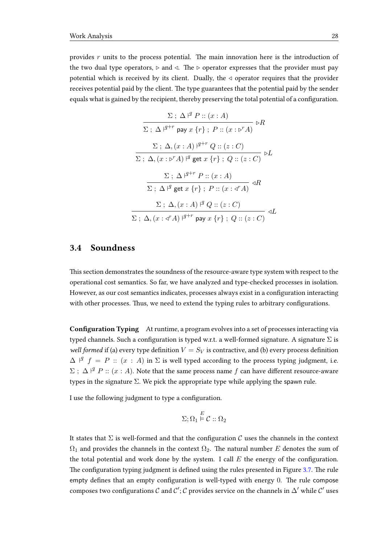provides  $r$  units to the process potential. The main innovation here is the introduction of the two dual type operators,  $\rhd$  and  $\triangleleft$ . The  $\rhd$  operator expresses that the provider must pay potential which is received by its client. Dually, the  $\triangleleft$  operator requires that the provider receives potential paid by the client. The type guarantees that the potential paid by the sender equals what is gained by the recipient, thereby preserving the total potential of a configuration.

$$
\frac{\Sigma; \Delta \nmid P :: (x:A)}{\Sigma; \Delta \nmid^{q+r} \text{ pay } x \{r\}; P :: (x:e^{r}A)} \nmid R
$$
\n
$$
\frac{\Sigma; \Delta, (x:A) \nmid^{q+r} Q :: (z:C)}{\Sigma; \Delta, (x:e^{r}A) \nmid^{q} \text{get } x \{r\}; Q :: (z:C)} \nmid L
$$
\n
$$
\frac{\Sigma; \Delta \nmid^{q+r} P :: (x:A)}{\Sigma; \Delta \nmid^{q} \text{get } x \{r\}; P :: (x:e^{r}A)} \nmid R
$$
\n
$$
\frac{\Sigma; \Delta, (x:A) \nmid^{q} Q :: (z:C)}{\Sigma; \Delta, (x:e^{r}A) \nmid^{q+r} \text{pay } x \{r\}; Q :: (z:C)} \nmid L
$$

## <span id="page-31-0"></span>3.4 Soundness

This section demonstrates the soundness of the resource-aware type system with respect to the operational cost semantics. So far, we have analyzed and type-checked processes in isolation. However, as our cost semantics indicates, processes always exist in a configuration interacting with other processes. Thus, we need to extend the typing rules to arbitrary configurations.

Configuration Typing At runtime, a program evolves into a set of processes interacting via typed channels. Such a configuration is typed w.r.t. a well-formed signature. A signature  $\Sigma$  is well formed if (a) every type definition  $V = S_V$  is contractive, and (b) every process definition  $\Delta$   $\vert$ <sup>q</sup>  $f = P$  ::  $(x : A)$  in  $\Sigma$  is well typed according to the process typing judgment, i.e.  $\Sigma$ ;  $\Delta$   $\vert^g$   $P$  ::  $(x : A)$ . Note that the same process name f can have different resource-aware types in the signature  $\Sigma$ . We pick the appropriate type while applying the spawn rule.

I use the following judgment to type a configuration.

$$
\Sigma;\Omega_1 \overset{E}{\models} \mathcal{C} :: \Omega_2
$$

It states that  $\Sigma$  is well-formed and that the configuration C uses the channels in the context  $\Omega_1$  and provides the channels in the context  $\Omega_2$ . The natural number E denotes the sum of the total potential and work done by the system. I call  $E$  the energy of the configuration. The configuration typing judgment is defined using the rules presented in Figure [3.7.](#page-32-0) The rule empty defines that an empty configuration is well-typed with energy 0. The rule compose composes two configurations  $\mathcal C$  and  $\mathcal C';\mathcal C$  provides service on the channels in  $\Delta'$  while  $\mathcal C'$  uses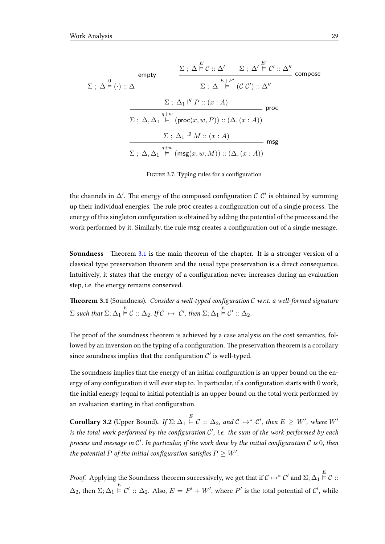<span id="page-32-0"></span>
$$
\frac{\Sigma: \Delta \stackrel{E}{\models} C :: \Delta' \quad \Sigma: \Delta' \stackrel{E'}{\models} C' :: \Delta''}{\Sigma: \Delta \stackrel{E}{\models} C' :: \Delta''} \text{ compose}
$$
\n
$$
\Sigma: \Delta \stackrel{E+E'}{\models} (C C') :: \Delta''
$$
\n
$$
\frac{\Sigma: \Delta_1 \stackrel{q}{\models} P :: (x:A)}{\Sigma: \Delta, \Delta_1 \stackrel{q+w}{\models} (\text{proc}(x, w, P)) :: (\Delta, (x:A))} \text{proc}
$$
\n
$$
\frac{\Sigma: \Delta_1 \stackrel{q}{\models} (p \text{roc}(x, w, P)) :: (\Delta, (x:A))}{\Sigma: \Delta, \Delta_1 \stackrel{q+w}{\models} (\text{msg}(x, w, M)) :: (\Delta, (x:A))} \text{msg}
$$

FIGURE 3.7: Typing rules for a configuration

the channels in  $\Delta'$ . The energy of the composed configuration  $\mathcal{C}$   $\mathcal{C}'$  is obtained by summing up their individual energies. The rule proc creates a configuration out of a single process. The energy of this singleton configuration is obtained by adding the potential of the process and the work performed by it. Similarly, the rule msg creates a configuration out of a single message.

Soundness Theorem [3.1](#page-32-1) is the main theorem of the chapter. It is a stronger version of a classical type preservation theorem and the usual type preservation is a direct consequence. Intuitively, it states that the energy of a configuration never increases during an evaluation step, i.e. the energy remains conserved.

<span id="page-32-1"></span>**Theorem 3.1** (Soundness). Consider a well-typed configuration C w.r.t. a well-formed signature  $\Sigma$  such that  $\Sigma; \Delta_1 \stackrel{E}{\models} \mathcal{C} :: \Delta_2$ . If  $\mathcal{C} \mapsto \mathcal{C}',$  then  $\Sigma; \Delta_1 \stackrel{E}{\models} \mathcal{C}' :: \Delta_2$ .

The proof of the soundness theorem is achieved by a case analysis on the cost semantics, followed by an inversion on the typing of a configuration. The preservation theorem is a corollary since soundness implies that the configuration  $\mathcal{C}'$  is well-typed.

The soundness implies that the energy of an initial configuration is an upper bound on the energy of any configuration it will ever step to. In particular, if a configuration starts with 0 work, the initial energy (equal to initial potential) is an upper bound on the total work performed by an evaluation starting in that configuration.

**Corollary 3.2** (Upper Bound). If  $\Sigma; \Delta_1 \stackrel{E}{\models} \mathcal{C} :: \Delta_2$ , and  $\mathcal{C} \mapsto^* \mathcal{C}'$ , then  $E \geq W'$ , where  $W'$ is the total work performed by the configuration  $\mathcal{C}'$ , i.e. the sum of the work performed by each process and message in C'. In particular, if the work done by the initial configuration C is  $0$ , then the potential P of the initial configuration satisfies  $P\geq W'.$ 

*Proof.* Applying the Soundness theorem successively, we get that if  $\mathcal{C} \mapsto^* \mathcal{C}'$  and  $\Sigma; \Delta_1 \stackrel{E}{\models} \mathcal{C}$  ::  $\Delta_2$ , then  $\Sigma; \Delta_1 \overset{E}{\models} \mathcal{C}' :: \Delta_2$ . Also,  $E=P'+W'$ , where  $P'$  is the total potential of  $\mathcal{C}',$  while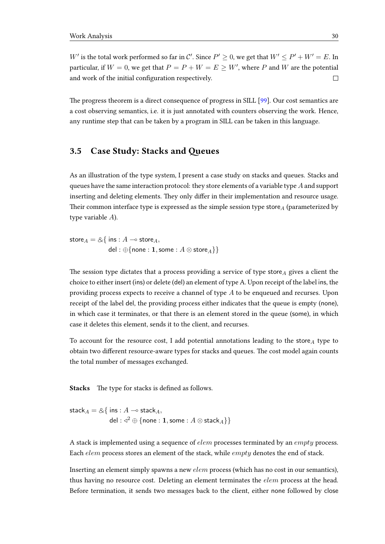W' is the total work performed so far in C'. Since  $P' \ge 0$ , we get that  $W' \le P' + W' = E$ . In particular, if  $W = 0$ , we get that  $P = P + W = E \geq W'$ , where P and W are the potential and work of the initial configuration respectively.  $\Box$ 

The progress theorem is a direct consequence of progress in SILL [\[99\]](#page-105-4). Our cost semantics are a cost observing semantics, i.e. it is just annotated with counters observing the work. Hence, any runtime step that can be taken by a program in SILL can be taken in this language.

### <span id="page-33-0"></span>3.5 Case Study: Stacks and Queues

As an illustration of the type system, I present a case study on stacks and queues. Stacks and queues have the same interaction protocol: they store elements of a variable type  $A$  and support inserting and deleting elements. They only differ in their implementation and resource usage. Their common interface type is expressed as the simple session type store $_A$  (parameterized by type variable A).

store  $A = \& \{ \text{ins} : A \rightarrow \text{store}_A,$ del : ⊕{none : 1, some :  $A \otimes$  store  $_A$ }}

The session type dictates that a process providing a service of type store $_A$  gives a client the choice to either insert (ins) or delete (del) an element of type A. Upon receipt of the label ins, the providing process expects to receive a channel of type A to be enqueued and recurses. Upon receipt of the label del, the providing process either indicates that the queue is empty (none), in which case it terminates, or that there is an element stored in the queue (some), in which case it deletes this element, sends it to the client, and recurses.

To account for the resource cost, I add potential annotations leading to the store $_A$  type to obtain two different resource-aware types for stacks and queues. The cost model again counts the total number of messages exchanged.

Stacks The type for stacks is defined as follows.

stack $A = \& \{$  ins :  $A \rightarrow$  stack $A$ ,  $\mathsf{del} : \triangleleft^2 \oplus \{\mathsf{none} : \mathbf{1}, \mathsf{some} : A \otimes \mathsf{stack}_A\} \}$ 

A stack is implemented using a sequence of *elem* processes terminated by an *empty* process. Each *elem* process stores an element of the stack, while *empty* denotes the end of stack.

Inserting an element simply spawns a new elem process (which has no cost in our semantics), thus having no resource cost. Deleting an element terminates the *elem* process at the head. Before termination, it sends two messages back to the client, either none followed by close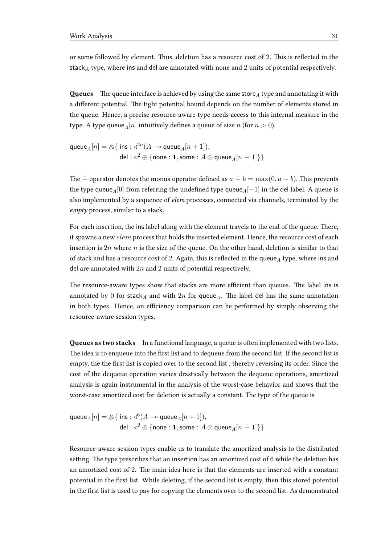or some followed by element. Thus, deletion has a resource cost of 2. This is reflected in the stack<sub>A</sub> type, where ins and del are annotated with none and 2 units of potential respectively.

**Queues** The queue interface is achieved by using the same store $_A$  type and annotating it with a different potential. The tight potential bound depends on the number of elements stored in the queue. Hence, a precise resource-aware type needs access to this internal measure in the type. A type queue  $_A[n]$  intuitively defines a queue of size n (for  $n > 0$ ).

$$
\begin{aligned} \mathsf{queue}_A[n] = \&\{\ \mathsf{ins} : \triangleleft^{2n}(A \multimap \mathsf{queue}_A[n+1]), \\ \mathsf{del} : \triangleleft^{2} \oplus \{\mathsf{none} : \mathbf{1}, \mathsf{some} : A \otimes \mathsf{queue}_A[n-1]\}\} \end{aligned}
$$

The  $\dot{-}$  operator denotes the monus operator defined as  $a - b = \max(0, a - b)$ . This prevents the type queue<sub>A</sub>[0] from referring the undefined type queue<sub>A</sub>[−1] in the del label. A queue is also implemented by a sequence of elem processes, connected via channels, terminated by the empty process, similar to a stack.

For each insertion, the ins label along with the element travels to the end of the queue. There, it spawns a new *elem* process that holds the inserted element. Hence, the resource cost of each insertion is  $2n$  where  $n$  is the size of the queue. On the other hand, deletion is similar to that of stack and has a resource cost of 2. Again, this is reflected in the queue<sub>A</sub> type, where ins and del are annotated with  $2n$  and  $2$  units of potential respectively.

The resource-aware types show that stacks are more efficient than queues. The label ins is annotated by 0 for stack<sub>A</sub> and with  $2n$  for queue<sub>A</sub>. The label del has the same annotation in both types. Hence, an efficiency comparison can be performed by simply observing the resource-aware session types.

Queues as two stacks In a functional language, a queue is often implemented with two lists. The idea is to enqueue into the first list and to dequeue from the second list. If the second list is empty, the the first list is copied over to the second list, thereby reversing its order. Since the cost of the dequeue operation varies drastically between the dequeue operations, amortized analysis is again instrumental in the analysis of the worst-case behavior and shows that the worst-case amortized cost for deletion is actually a constant. The type of the queue is

$$
\begin{aligned} \mathsf{queue}_A[n] = \&\{\ \mathsf{ins} : \sphericalangle^6(A \multimap \mathsf{queue}_A[n+1]), \\ \mathsf{del} : \sphericalangle^2 \oplus \{\mathsf{none} : \mathbf{1}, \mathsf{some} : A \otimes \mathsf{queue}_A[n-1] \} \} \end{aligned}
$$

Resource-aware session types enable us to translate the amortized analysis to the distributed setting. The type prescribes that an insertion has an amortized cost of 6 while the deletion has an amortized cost of 2. The main idea here is that the elements are inserted with a constant potential in the first list. While deleting, if the second list is empty, then this stored potential in the first list is used to pay for copying the elements over to the second list. As demonstrated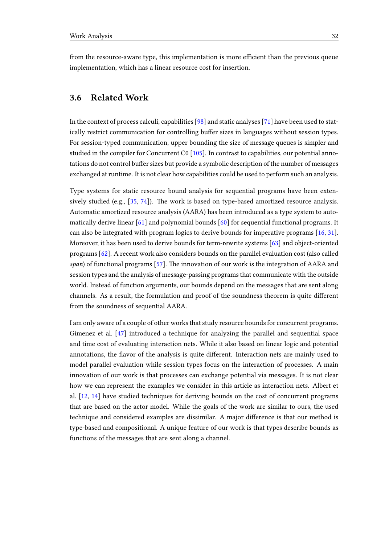from the resource-aware type, this implementation is more efficient than the previous queue implementation, which has a linear resource cost for insertion.

## <span id="page-35-0"></span>3.6 Related Work

In the context of process calculi, capabilities [\[98\]](#page-105-5) and static analyses [\[71\]](#page-103-6) have been used to statically restrict communication for controlling buffer sizes in languages without session types. For session-typed communication, upper bounding the size of message queues is simpler and studied in the compiler for Concurrent C0 [\[105\]](#page-106-2). In contrast to capabilities, our potential annotations do not control buffer sizes but provide a symbolic description of the number of messages exchanged at runtime. It is not clear how capabilities could be used to perform such an analysis.

Type systems for static resource bound analysis for sequential programs have been extensively studied (e.g.,  $[35, 74]$  $[35, 74]$  $[35, 74]$ ). The work is based on type-based amortized resource analysis. Automatic amortized resource analysis (AARA) has been introduced as a type system to automatically derive linear [\[61\]](#page-103-3) and polynomial bounds [\[60\]](#page-103-5) for sequential functional programs. It can also be integrated with program logics to derive bounds for imperative programs [\[16,](#page-99-3) [31\]](#page-100-6). Moreover, it has been used to derive bounds for term-rewrite systems [\[63\]](#page-103-7) and object-oriented programs [\[62\]](#page-103-8). A recent work also considers bounds on the parallel evaluation cost (also called span) of functional programs [\[57\]](#page-102-6). The innovation of our work is the integration of AARA and session types and the analysis of message-passing programs that communicate with the outside world. Instead of function arguments, our bounds depend on the messages that are sent along channels. As a result, the formulation and proof of the soundness theorem is quite different from the soundness of sequential AARA.

I am only aware of a couple of other works that study resource bounds for concurrent programs. Gimenez et al. [\[47\]](#page-102-7) introduced a technique for analyzing the parallel and sequential space and time cost of evaluating interaction nets. While it also based on linear logic and potential annotations, the flavor of the analysis is quite different. Interaction nets are mainly used to model parallel evaluation while session types focus on the interaction of processes. A main innovation of our work is that processes can exchange potential via messages. It is not clear how we can represent the examples we consider in this article as interaction nets. Albert et al. [\[12,](#page-98-7) [14\]](#page-99-4) have studied techniques for deriving bounds on the cost of concurrent programs that are based on the actor model. While the goals of the work are similar to ours, the used technique and considered examples are dissimilar. A major difference is that our method is type-based and compositional. A unique feature of our work is that types describe bounds as functions of the messages that are sent along a channel.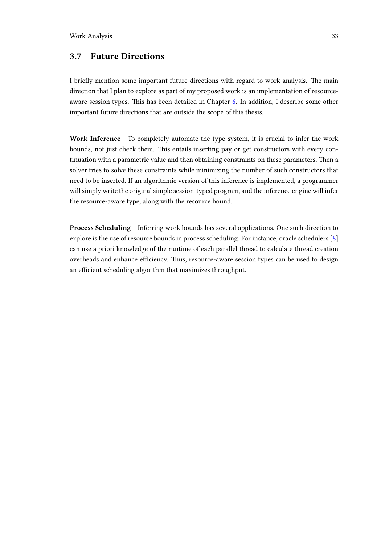## 3.7 Future Directions

I briefly mention some important future directions with regard to work analysis. The main direction that I plan to explore as part of my proposed work is an implementation of resource-aware session types. This has been detailed in Chapter [6.](#page-83-0) In addition, I describe some other important future directions that are outside the scope of this thesis.

Work Inference To completely automate the type system, it is crucial to infer the work bounds, not just check them. This entails inserting pay or get constructors with every continuation with a parametric value and then obtaining constraints on these parameters. Then a solver tries to solve these constraints while minimizing the number of such constructors that need to be inserted. If an algorithmic version of this inference is implemented, a programmer will simply write the original simple session-typed program, and the inference engine will infer the resource-aware type, along with the resource bound.

Process Scheduling Inferring work bounds has several applications. One such direction to explore is the use of resource bounds in process scheduling. For instance, oracle schedulers [\[8\]](#page-98-0) can use a priori knowledge of the runtime of each parallel thread to calculate thread creation overheads and enhance efficiency. Thus, resource-aware session types can be used to design an efficient scheduling algorithm that maximizes throughput.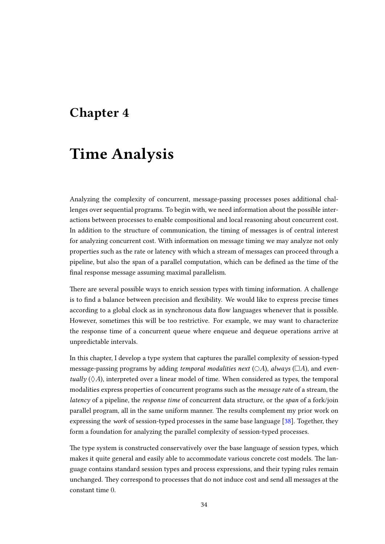## Chapter 4

# Time Analysis

Analyzing the complexity of concurrent, message-passing processes poses additional challenges over sequential programs. To begin with, we need information about the possible interactions between processes to enable compositional and local reasoning about concurrent cost. In addition to the structure of communication, the timing of messages is of central interest for analyzing concurrent cost. With information on message timing we may analyze not only properties such as the rate or latency with which a stream of messages can proceed through a pipeline, but also the span of a parallel computation, which can be dened as the time of the final response message assuming maximal parallelism.

There are several possible ways to enrich session types with timing information. A challenge is to find a balance between precision and flexibility. We would like to express precise times according to a global clock as in synchronous data flow languages whenever that is possible. However, sometimes this will be too restrictive. For example, we may want to characterize the response time of a concurrent queue where enqueue and dequeue operations arrive at unpredictable intervals.

In this chapter, I develop a type system that captures the parallel complexity of session-typed message-passing programs by adding temporal modalities next  $(OA)$ , always  $(\Box A)$ , and eventually  $(\Diamond A)$ , interpreted over a linear model of time. When considered as types, the temporal modalities express properties of concurrent programs such as the message rate of a stream, the latency of a pipeline, the response time of concurrent data structure, or the span of a fork/join parallel program, all in the same uniform manner. The results complement my prior work on expressing the work of session-typed processes in the same base language [\[38\]](#page-101-0). Together, they form a foundation for analyzing the parallel complexity of session-typed processes.

The type system is constructed conservatively over the base language of session types, which makes it quite general and easily able to accommodate various concrete cost models. The language contains standard session types and process expressions, and their typing rules remain unchanged. They correspond to processes that do not induce cost and send all messages at the constant time 0.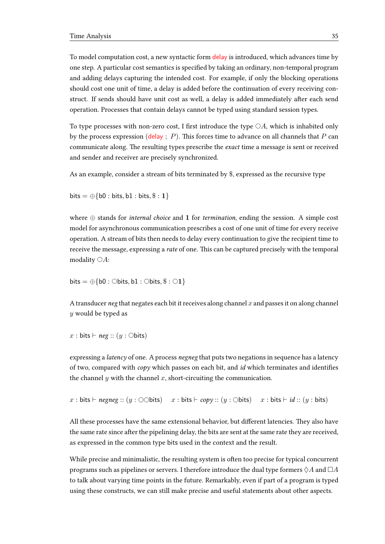To model computation cost, a new syntactic form delay is introduced, which advances time by one step. A particular cost semantics is specified by taking an ordinary, non-temporal program and adding delays capturing the intended cost. For example, if only the blocking operations should cost one unit of time, a delay is added before the continuation of every receiving construct. If sends should have unit cost as well, a delay is added immediately after each send operation. Processes that contain delays cannot be typed using standard session types.

To type processes with non-zero cost, I first introduce the type  $\bigcirc A$ , which is inhabited only by the process expression (delay ;  $P$ ). This forces time to advance on all channels that P can communicate along. The resulting types prescribe the *exact* time a message is sent or received and sender and receiver are precisely synchronized.

As an example, consider a stream of bits terminated by \$, expressed as the recursive type

bits  $= \bigoplus \{b0 : \text{bits}, b1 : \text{bits}, \$ : 1\}$ 

where ⊕ stands for internal choice and 1 for termination, ending the session. A simple cost model for asynchronous communication prescribes a cost of one unit of time for every receive operation. A stream of bits then needs to delay every continuation to give the recipient time to receive the message, expressing a *rate* of one. This can be captured precisely with the temporal modality  $\bigcirc A$ :

$$
\mathsf{bits} = \oplus \{\mathsf{b0} : \bigcirc \mathsf{bits}, \mathsf{b1} : \bigcirc \mathsf{bits}, \$ : \bigcirc \mathsf{1}\}
$$

A transducer neg that negates each bit it receives along channel  $x$  and passes it on along channel y would be typed as

$$
x: \mathsf{bits} \vdash \mathsf{neg} :: (y: \bigcirc \mathsf{bits})
$$

expressing a latency of one. A process negneg that puts two negations in sequence has a latency of two, compared with  $copy$  which passes on each bit, and *id* which terminates and identifies the channel  $y$  with the channel  $x$ , short-circuiting the communication.

x : bits  $\vdash$  negneg :: (y :  $\bigcirc$ Obits) x : bits  $\vdash$  copy :: (y : Obits) x : bits  $\vdash$  id :: (y : bits)

All these processes have the same extensional behavior, but different latencies. They also have the same rate since after the pipelining delay, the bits are sent at the same rate they are received, as expressed in the common type bits used in the context and the result.

While precise and minimalistic, the resulting system is often too precise for typical concurrent programs such as pipelines or servers. I therefore introduce the dual type formers  $\Diamond A$  and  $\Box A$ to talk about varying time points in the future. Remarkably, even if part of a program is typed using these constructs, we can still make precise and useful statements about other aspects.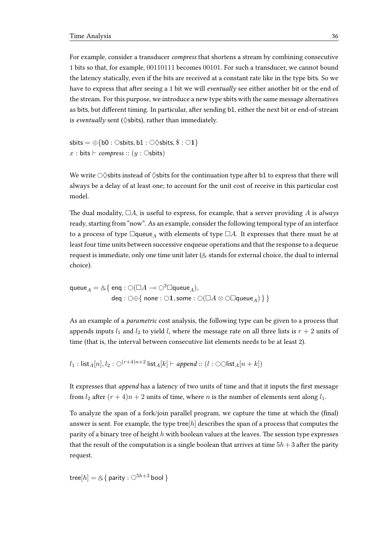For example, consider a transducer compress that shortens a stream by combining consecutive 1 bits so that, for example, 00110111 becomes 00101. For such a transducer, we cannot bound the latency statically, even if the bits are received at a constant rate like in the type bits. So we have to express that after seeing a 1 bit we will eventually see either another bit or the end of the stream. For this purpose, we introduce a new type sbits with the same message alternatives as bits, but different timing. In particular, after sending b1, either the next bit or end-of-stream is eventually sent ( $\Diamond$ sbits), rather than immediately.

sbits =  $\oplus$ {b0 :  $\circ$ sbits, b1 :  $\circ \diamond$ sbits, \$ :  $\circ$ 1} x : bits  $\vdash$  compress :: (y :  $\circ$ sbits)

We write  $\circ$   $\Diamond$ sbits instead of  $\Diamond$ sbits for the continuation type after b1 to express that there will always be a delay of at least one; to account for the unit cost of receive in this particular cost model.

The dual modality,  $\Box A$ , is useful to express, for example, that a server providing A is always ready, starting from "now". As an example, consider the following temporal type of an interface to a process of type  $\Box$ queue<sub>A</sub> with elements of type  $\Box A$ . It expresses that there must be at least four time units between successive enqueue operations and that the response to a dequeue request is immediate, only one time unit later ( $\&$  stands for external choice, the dual to internal choice).

 $\mathsf{queue}_A = \mathcal{A} \{ \; \mathsf{enq} : \bigcirc (\Box A \multimap \bigcirc^3 \Box \mathsf{queue}_A),$ deq :  $\bigcirc \oplus \{$  none :  $\bigcirc 1$ , some :  $\bigcirc (\Box A \otimes \bigcirc \Box$ queue<sub>A</sub> $) \}$ 

As an example of a parametric cost analysis, the following type can be given to a process that appends inputs  $l_1$  and  $l_2$  to yield l, where the message rate on all three lists is  $r + 2$  units of time (that is, the interval between consecutive list elements needs to be at least 2).

 $l_1: \text{list}_{A}[n], l_2: \bigcirc^{(r+4)n+2} \text{list}_{A}[k] \vdash \text{append} :: (l: \bigcirc \bigcirc \text{list}_{A}[n+k])$ 

It expresses that append has a latency of two units of time and that it inputs the first message from  $l_2$  after  $(r + 4)n + 2$  units of time, where *n* is the number of elements sent along  $l_1$ .

To analyze the span of a fork/join parallel program, we capture the time at which the (final) answer is sent. For example, the type tree $[h]$  describes the span of a process that computes the parity of a binary tree of height  $h$  with boolean values at the leaves. The session type expresses that the result of the computation is a single boolean that arrives at time  $5h + 3$  after the parity request.

tree $[h] = \& \{$  parity :  $\bigcirc^{5h+3}$  bool }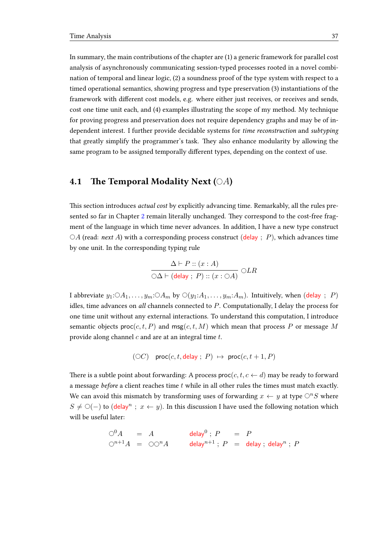In summary, the main contributions of the chapter are (1) a generic framework for parallel cost analysis of asynchronously communicating session-typed processes rooted in a novel combination of temporal and linear logic, (2) a soundness proof of the type system with respect to a timed operational semantics, showing progress and type preservation (3) instantiations of the framework with different cost models, e.g. where either just receives, or receives and sends, cost one time unit each, and (4) examples illustrating the scope of my method. My technique for proving progress and preservation does not require dependency graphs and may be of independent interest. I further provide decidable systems for time reconstruction and subtyping that greatly simplify the programmer's task. They also enhance modularity by allowing the same program to be assigned temporally different types, depending on the context of use.

## 4.1 The Temporal Modality Next ( $\odot A$ )

This section introduces *actual cost* by explicitly advancing time. Remarkably, all the rules pre-sented so far in Chapter [2](#page-10-0) remain literally unchanged. They correspond to the cost-free fragment of the language in which time never advances. In addition, I have a new type construct  $\circ$ A (read: next A) with a corresponding process construct (delay ; P), which advances time by one unit. In the corresponding typing rule

$$
\frac{\Delta \vdash P :: (x : A)}{\bigcirc \Delta \vdash (\text{delay} : P) :: (x : \bigcirc A)} \bigcirc LR
$$

I abbreviate  $y_1: O_{1}, \ldots, y_m: O_{m}$  by  $O(y_1: A_1, \ldots, y_m: A_m)$ . Intuitively, when (delay ; P) idles, time advances on all channels connected to P. Computationally, I delay the process for one time unit without any external interactions. To understand this computation, I introduce semantic objects  $proc(c, t, P)$  and  $msg(c, t, M)$  which mean that process P or message M provide along channel  $c$  and are at an integral time  $t$ .

$$
(\bigcirc C)
$$
 proc $(c, t, \text{delay}; P) \mapsto \text{proc}(c, t+1, P)$ 

There is a subtle point about forwarding: A process  $\text{proc}(c, t, c \leftarrow d)$  may be ready to forward a message *before* a client reaches time  $t$  while in all other rules the times must match exactly. We can avoid this mismatch by transforming uses of forwarding  $x \leftarrow y$  at type  $\bigcirc^n S$  where  $S \neq \bigcirc (-$ ) to (delay<sup>n</sup>;  $x \leftarrow y$ ). In this discussion I have used the following notation which will be useful later:

$$
\begin{array}{rcl}\n\bigcirc^0 A & = & A \\
\bigcirc^{n+1} A & = & \bigcirc \bigcirc^n A \\
\end{array}\n\qquad\n\begin{array}{rcl}\n\mathsf{delay}^0 \, ; \, P & = & P \\
\mathsf{delay}^{n+1} \, ; \, P & = & \mathsf{delay} \, ; \, \mathsf{delay}^n \, ; \, P\n\end{array}
$$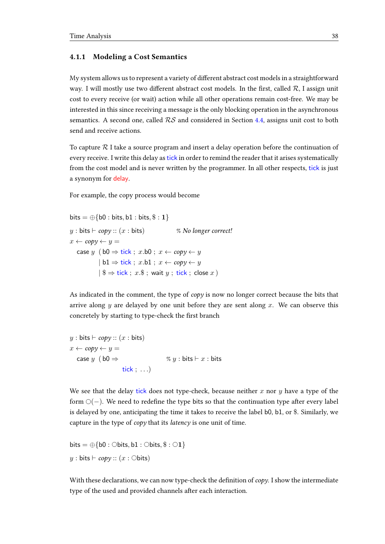#### 4.1.1 Modeling a Cost Semantics

My system allows us to represent a variety of different abstract cost models in a straightforward way. I will mostly use two different abstract cost models. In the first, called  $\mathcal{R}$ , I assign unit cost to every receive (or wait) action while all other operations remain cost-free. We may be interested in this since receiving a message is the only blocking operation in the asynchronous semantics. A second one, called  $RS$  and considered in Section [4.4,](#page-53-0) assigns unit cost to both send and receive actions.

To capture  $\mathcal R$  I take a source program and insert a delay operation before the continuation of every receive. I write this delay astick in order to remind the reader that it arises systematically from the cost model and is never written by the programmer. In all other respects, tick is just a synonym for delay.

For example, the copy process would become

```
bits = \oplus{b0 : bits, b1 : bits, $ : 1}
y : bits \vdash copy :: (x : bits) % No longer correct!
x \leftarrow copy \leftarrow y =case y (b0 \Rightarrow tick; x.b0; x \leftarrow copy \leftarrow y| b1 \Rightarrow tick ; x.b1 ; x \leftarrow copy \leftarrow y| $ ⇒ tick ; x.$ ; wait y ; tick ; close x )
```
As indicated in the comment, the type of copy is now no longer correct because the bits that arrive along y are delayed by one unit before they are sent along x. We can observe this concretely by starting to type-check the first branch

```
y : \text{bits} \vdash copy :: (x : \text{bits})x \leftarrow copy \leftarrow y =case y ( b0 \Rightarrow % y : bits \vdash x : bits
                        tick ; . . .)
```
We see that the delay tick does not type-check, because neither x nor y have a type of the form  $\circlearrowleft(-)$ . We need to redefine the type bits so that the continuation type after every label is delayed by one, anticipating the time it takes to receive the label b0, b1, or \$. Similarly, we capture in the type of copy that its latency is one unit of time.

```
bits = \oplus{b0 : \ominusbits, b1 : \ominusbits, \$\circ : \odot1}
y : \text{bits} \vdash copy :: (x : \text{Obits})
```
With these declarations, we can now type-check the definition of  $copy$ . I show the intermediate type of the used and provided channels after each interaction.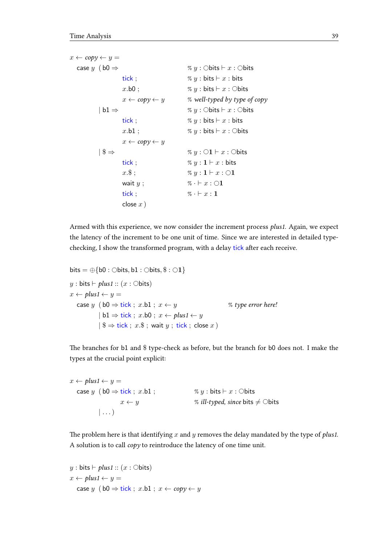$x \leftarrow copy \leftarrow y =$ case y ( $b0 \Rightarrow$  % y :  $\circ$ bits  $\vdash x : \circ$ bits tick ;  $\% y : \text{bits} \vdash x : \text{bits}$  $x \cdot b0$ ;  $\% y : \text{bits} \vdash x : \text{Obits}$  $x \leftarrow copy \leftarrow y$  % well-typed by type of copy  $| \text{ b1} \Rightarrow$  % y : Obits  $\vdash x :$  Obits tick;  $\% y : \text{bits} \vdash x : \text{bits}$  $x \cdot b1$ ;  $\qquad \qquad$   $\qquad$   $\qquad$   $\qquad$   $\qquad$   $\qquad$   $\qquad$   $\qquad$   $\qquad$   $\qquad$   $\qquad$   $\qquad$   $\qquad$   $\qquad$   $\qquad$   $\qquad$   $\qquad$   $\qquad$   $\qquad$   $\qquad$   $\qquad$   $\qquad$   $\qquad$   $\qquad$   $\qquad$   $\qquad$   $\qquad$   $\qquad$   $\qquad$   $\qquad$   $\qquad$   $\qquad$   $\qquad$   $\qquad$   $\qquad$  $x \leftarrow copy \leftarrow y$ | \$ ⇒ % y : 1 ` x : bits tick;  $\% y : \mathbf{1} \vdash x : \mathsf{bits}$  $x.\$$ ;  $\% y : \mathbf{1} \vdash x : \bigcirc \mathbf{1}$ wait  $y$ ;  $\% \cdot \vdash x : \bigcirc \mathbf{1}$ tick ;  $\% \cdot \vdash x : \mathbf{1}$ close  $x$ )

Armed with this experience, we now consider the increment process plus1. Again, we expect the latency of the increment to be one unit of time. Since we are interested in detailed typechecking, I show the transformed program, with a delay tick after each receive.

```
bits = \oplus{b0 : \ominusbits, b1 : \ominusbits, \$\cdot \odot 1\}y: \text{bits} \vdash plus1 :: (x: \text{Obits})x \leftarrow plus1 \leftarrow y =case y ( b0 \Rightarrow tick; x.b1; x \leftarrow y % type error here!
               | \text{b1} \Rightarrow \text{tick}; x \cdot \text{b0}; x \leftarrow \text{plus1} \leftarrow y|\$ \Rightarrow tick; x. $; wait y; tick; close x)
```
The branches for b1 and \$ type-check as before, but the branch for b0 does not. I make the types at the crucial point explicit:

 $x \leftarrow plus1 \leftarrow y =$ case y (b0  $\Rightarrow$  tick; x.b1; % y: bits  $\vdash x :$  Obits  $x \leftarrow y$  % *ill-typed, since* bits  $\neq$  Obits  $| \ldots$ 

The problem here is that identifying  $x$  and  $y$  removes the delay mandated by the type of *plus1*. A solution is to call copy to reintroduce the latency of one time unit.

```
y : bits \vdash plus1 :: (x : \bigcirc bits)
x \leftarrow plus1 \leftarrow y =case y (b0 \Rightarrow tick; x.b1; x \leftarrow copy \leftarrow y
```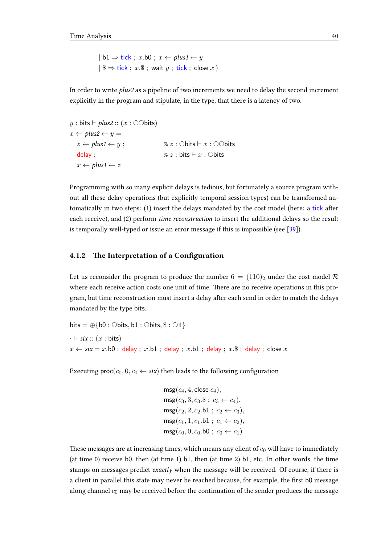$| b1 \Rightarrow tick ; x.b0 ; x \leftarrow plus1 \leftarrow y$ | \$ ⇒ tick ; x.\$ ; wait y ; tick ; close x )

In order to write plus2 as a pipeline of two increments we need to delay the second increment explicitly in the program and stipulate, in the type, that there is a latency of two.

```
y : bits \vdash plus2 :: (x : \odot \odot bits)x \leftarrow plus2 \leftarrow y =z \leftarrow plus1 \leftarrow y; \% z : \circ \text{bits} \vdash x : \circ \circ \text{bits}delay ; \% z : \text{bits} \vdash x : \text{Obits}x \leftarrow plus1 \leftarrow z
```
Programming with so many explicit delays is tedious, but fortunately a source program without all these delay operations (but explicitly temporal session types) can be transformed automatically in two steps: (1) insert the delays mandated by the cost model (here: a tick after each receive), and (2) perform time reconstruction to insert the additional delays so the result is temporally well-typed or issue an error message if this is impossible (see [\[39\]](#page-101-1)).

### 4.1.2 The Interpretation of a Configuration

Let us reconsider the program to produce the number  $6 = (110)_2$  under the cost model R where each receive action costs one unit of time. There are no receive operations in this program, but time reconstruction must insert a delay after each send in order to match the delays mandated by the type bits.

```
bits = \oplus{b0 : \ominusbits, b1 : \ominusbits, \$\circ : \odot1}
\cdot \vdash six :: (x : \text{bits})x \leftarrow six = x.b0; delay; x.b1; delay; x.b1; delay; x.$; delay; close x
```
Executing  $\mathsf{proc}(c_0, 0, c_0 \leftarrow \mathsf{six})$  then leads to the following configuration

```
msg(c_4, 4, close c_4),\text{msg}(c_3, 3, c_3.\$; c_3 \leftarrow c_4),msg(c_2, 2, c_2.b1 ; c_2 \leftarrow c_3),msg(c_1, 1, c_1.b1; c_1 \leftarrow c_2),\text{msg}(c_0, 0, c_0 \text{.} \text{b0} \text{ ; } c_0 \leftarrow c_1)
```
These messages are at increasing times, which means any client of  $c_0$  will have to immediately (at time 0) receive b0, then (at time 1) b1, then (at time 2) b1, etc. In other words, the time stamps on messages predict exactly when the message will be received. Of course, if there is a client in parallel this state may never be reached because, for example, the first b0 message along channel  $c_0$  may be received before the continuation of the sender produces the message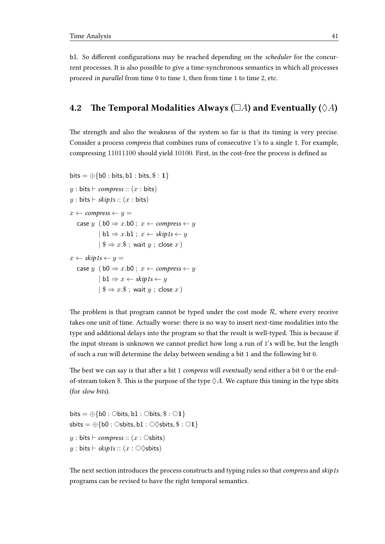b1. So different configurations may be reached depending on the *scheduler* for the concurrent processes. It is also possible to give a time-synchronous semantics in which all processes proceed in parallel from time 0 to time 1, then from time 1 to time 2, etc.

## 4.2 The Temporal Modalities Always ( $\Box A$ ) and Eventually ( $\Diamond A$ )

The strength and also the weakness of the system so far is that its timing is very precise. Consider a process compress that combines runs of consecutive 1's to a single 1. For example, compressing 11011100 should yield 10100. First, in the cost-free the process is defined as

```
bits = \oplus{b0 : bits, b1 : bits, $ : 1}
y : bits \vdash compress :: (x : bits)
y : bits \vdash skip1s :: (x : bits)
x \leftarrow \text{compress} \leftarrow y =case y (b0 \Rightarrow x.b0; x \leftarrow \text{compress} \leftarrow y| b1 \Rightarrow x.b1 : x \leftarrow skip1s \leftarrow y| $ ⇒ x.$ ; wait y ; close x )
x \leftarrow skip1s \leftarrow y =
   case y (b0 \Rightarrow x.b0; x \leftarrow \text{compress} \leftarrow y| b1 \Rightarrow x \leftarrow skip1s \leftarrow y| $ ⇒ x.$ ; wait y ; close x )
```
The problem is that program cannot be typed under the cost mode  $R$ , where every receive takes one unit of time. Actually worse: there is no way to insert next-time modalities into the type and additional delays into the program so that the result is well-typed. This is because if the input stream is unknown we cannot predict how long a run of 1's will be, but the length of such a run will determine the delay between sending a bit 1 and the following bit 0.

The best we can say is that after a bit 1 compress will eventually send either a bit 0 or the endof-stream token \$. This is the purpose of the type  $\Diamond A$ . We capture this timing in the type sbits (for slow bits).

bits =  $\oplus$ {b0 :  $\ominus$ bits, b1 :  $\ominus$ bits,  $\$\circ$  :  $\odot$ 1} sbits =  $\oplus$ {b0 :  $\circ$ sbits, b1 :  $\circ \circ$ sbits, \$ :  $\circ$ 1} y : bits  $\vdash$  compress ::  $(x : \circ$ sbits)  $y: \text{bits} \vdash \text{skip1s} :: (x: \bigcirc \Diamond \text{slits})$ 

The next section introduces the process constructs and typing rules so that *compress* and *skip1s* programs can be revised to have the right temporal semantics.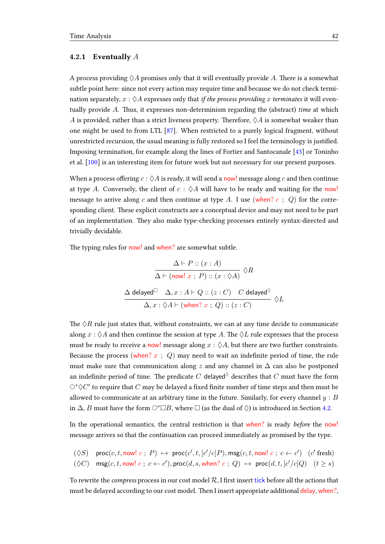#### 4.2.1 Eventually  $A$

A process providing  $\Diamond A$  promises only that it will eventually provide A. There is a somewhat subtle point here: since not every action may require time and because we do not check termination separately,  $x : \Diamond A$  expresses only that if the process providing x terminates it will eventually provide  $A$ . Thus, it expresses non-determinism regarding the (abstract) time at which A is provided, rather than a strict liveness property. Therefore,  $\Diamond A$  is somewhat weaker than one might be used to from LTL [\[87\]](#page-104-0). When restricted to a purely logical fragment, without unrestricted recursion, the usual meaning is fully restored so I feel the terminology is justified. Imposing termination, for example along the lines of Fortier and Santocanale [\[43\]](#page-101-2) or Toninho et al. [\[100\]](#page-105-0) is an interesting item for future work but not necessary for our present purposes.

When a process offering  $c : \Diamond A$  is ready, it will send a now! message along c and then continue at type A. Conversely, the client of  $c : \Diamond A$  will have to be ready and waiting for the now! message to arrive along c and then continue at type A. I use (when? c ; Q) for the corresponding client. These explicit constructs are a conceptual device and may not need to be part of an implementation. They also make type-checking processes entirely syntax-directed and trivially decidable.

The typing rules for now! and when? are somewhat subtle.

$$
\frac{\Delta \vdash P :: (x : A)}{\Delta \vdash (\text{now! } x ; P) :: (x : \Diamond A)} \Diamond R
$$
  

$$
\frac{\Delta \text{ delayed}^{\Box} \quad \Delta, x : A \vdash Q :: (z : C) \quad C \text{ delayed}^{\Diamond}}{\Delta, x : \Diamond A \vdash (\text{when? } x ; Q) :: (z : C)} \Diamond L
$$

The  $\Diamond R$  rule just states that, without constraints, we can at any time decide to communicate along  $x : \Diamond A$  and then continue the session at type A. The  $\Diamond L$  rule expresses that the process must be ready to receive a now! message along  $x : \Diamond A$ , but there are two further constraints. Because the process (when?  $x$ ; Q) may need to wait an indefinite period of time, the rule must make sure that communication along z and any channel in  $\Delta$  can also be postponed an indefinite period of time. The predicate  $C$  delayed $^\lozenge$  describes that  $C$  must have the form  $\bigcirc^* \lozenge C'$  to require that  $C$  may be delayed a fixed finite number of time steps and then must be allowed to communicate at an arbitrary time in the future. Similarly, for every channel  $y : B$ in  $\Delta$ , *B* must have the form  $\bigcirc$ \* $\Box$ *B*, where  $\Box$  (as the dual of  $\Diamond$ ) is introduced in Section [4.2.](#page-47-0)

In the operational semantics, the central restriction is that when? is ready before the now! message arrives so that the continuation can proceed immediately as promised by the type.

$$
(\Diamond S) \quad \text{proc}(c, t, \text{now! } c \ ; \ P) \ \mapsto \ \text{proc}(c', t, [c'/c]P), \text{msg}(c, t, \text{now! } c \ ; \ c \leftarrow c') \ \ (c' \ \text{fresh})
$$

$$
(\Diamond C) \quad \text{msg}(c, t, \text{now}!~c~;~c \leftarrow c'), \text{proc}(d, s, \text{when?}~c~;~Q)~\mapsto~\text{proc}(d, t, [c'/c]Q) \quad (t \geq s)
$$

To rewrite the *compress* process in our cost model  $\mathcal{R}$ , I first insert tick before all the actions that must be delayed according to our cost model. Then I insert appropriate additional delay, when?,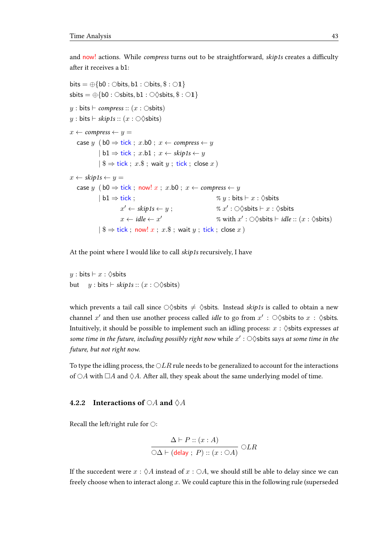and now! actions. While *compress* turns out to be straightforward, *skip1s* creates a difficulty after it receives a b1:

```
bits = \oplus{b0 : \ominusbits, b1 : \ominusbits, \$\circ : \odot1}
sbits = \oplus{b0 : \circsbits, b1 : \circ \circsbits, $ : \circ1}
y: \text{bits} \vdash \text{compress} :: (x: \text{Osbits})y: \text{bits} \vdash \text{skip1s} :: (x: \bigcirc \Diamond \text{slits})x \leftarrow \text{compress} \leftarrow y =case y (b0 \Rightarrow tick; x.b0; x \leftarrow compress \leftarrow y| b1 \Rightarrow tick ; x.b1 ; x \leftarrow skip1s \leftarrow y|\$\Rightarrow tick; x.\$\;; wait y; tick; close x)
x \leftarrow skip1s \leftarrow y =
   case y (b0 \Rightarrow tick; now! x; x.b0; x \leftarrow compress \leftarrow y
              | b1 ⇒ tick ; % y : bits ` x : ♦sbits
                          x' \leftarrow skip1s \leftarrow y ; % x
                                                                               \prime : \bigcirc \Diamond sbits \vdash x : \Diamond sbits
                         x \leftarrow idle \leftarrow x'\% with x' : \bigcirc \Diamond s bits \vdash idle :: (x : \Diamond s) is \Diamond s|\$\Rightarrow tick; now! x; x.\$; wait y; tick; close x)
```
At the point where I would like to call skip1s recursively, I have

 $y : \text{bits} \vdash x : \Diamond \text{shifts}$ but  $y : \text{bits} \vdash \text{skip1s} :: (x : \bigcirc \Diamond \text{slits})$ 

which prevents a tail call since  $\bigcirc$  sbits  $\neq$   $\Diamond$ sbits. Instead skip1s is called to obtain a new channel  $x'$  and then use another process called *idle* to go from  $x'$  :  $\bigcirc \Diamond$ sbits to  $x$  :  $\Diamond$ sbits. Intuitively, it should be possible to implement such an idling process:  $x : \Diamond$ sbits expresses at some time in the future, including possibly right now while  $x' : \bigcirc \Diamond$ sbits says at some time in the future, but not right now.

To type the idling process, the  $\bigcirc LR$  rule needs to be generalized to account for the interactions of  $\bigcirc A$  with  $\Box A$  and  $\Diamond A$ . After all, they speak about the same underlying model of time.

#### 4.2.2 Interactions of  $\bigcirc A$  and  $\bigcirc A$

Recall the left/right rule for  $\bigcirc$ :

$$
\frac{\Delta \vdash P :: (x : A)}{\bigcirc \Delta \vdash (\mathsf{delay} \; ; \; P) :: (x : \bigcirc A)} \bigcirc LR
$$

If the succedent were  $x : \Diamond A$  instead of  $x : \Diamond A$ , we should still be able to delay since we can freely choose when to interact along x. We could capture this in the following rule (superseded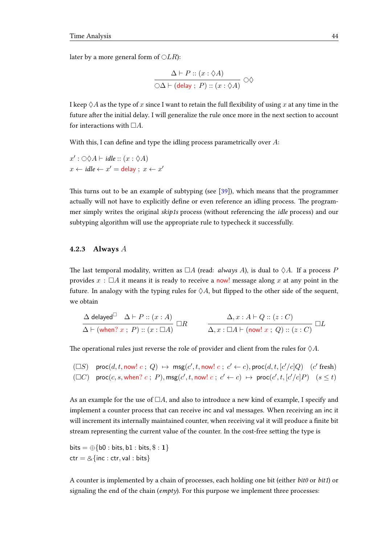later by a more general form of  $\bigcirc LR$ ):

$$
\frac{\Delta \vdash P :: (x : \Diamond A)}{\bigcirc \Delta \vdash (\mathsf{delay} \; ; \; P) :: (x : \Diamond A)} \bigcirc \Diamond
$$

I keep  $\Diamond A$  as the type of x since I want to retain the full flexibility of using x at any time in the future after the initial delay. I will generalize the rule once more in the next section to account for interactions with  $\Box A$ .

With this, I can define and type the idling process parametrically over  $A$ :

 $x': \bigcirc \Diamond A \vdash \mathit{idle} :: (x : \Diamond A)$  $x \leftarrow idle \leftarrow x' = delay ; x \leftarrow x'$ 

This turns out to be an example of subtyping (see  $[39]$ ), which means that the programmer actually will not have to explicitly define or even reference an idling process. The programmer simply writes the original skip1s process (without referencing the idle process) and our subtyping algorithm will use the appropriate rule to typecheck it successfully.

#### <span id="page-47-0"></span>4.2.3 Always A

The last temporal modality, written as  $\Box A$  (read: *always A*), is dual to  $\Diamond A$ . If a process P provides  $x : \Box A$  it means it is ready to receive a now! message along x at any point in the future. In analogy with the typing rules for  $\Diamond A$ , but flipped to the other side of the sequent, we obtain

$$
\frac{\Delta \text{ delayed}^{\Box} \quad \Delta \vdash P :: (x:A)}{\Delta \vdash (\text{when? } x \text{ ; } P) :: (x:\Box A)} \Box R \qquad \frac{\Delta, x:A\vdash Q :: (z:C)}{\Delta, x:\Box A\vdash (\text{now! } x \text{ ; } Q) :: (z:C)} \Box L
$$

The operational rules just reverse the role of provider and client from the rules for  $\Diamond A$ .

$$
\begin{array}{ll}\n(\Box S) & \mathsf{proc}(d, t, \mathsf{now}! \ c \ ; \ Q) \ \mapsto \ \mathsf{msg}(c', t, \mathsf{now}! \ c \ ; \ c' \leftarrow c), \mathsf{proc}(d, t, [c'/c]Q) \quad (c' \ \mathsf{fresh}) \\
(\Box C) & \mathsf{proc}(c, s, \mathsf{when}? \ c \ ; \ P), \mathsf{msg}(c', t, \mathsf{now}! \ c \ ; \ c' \leftarrow c) \ \mapsto \ \mathsf{proc}(c', t, [c'/c]P) \quad (s \leq t)\n\end{array}
$$

As an example for the use of  $\Box A$ , and also to introduce a new kind of example, I specify and implement a counter process that can receive inc and val messages. When receiving an inc it will increment its internally maintained counter, when receiving val it will produce a finite bit stream representing the current value of the counter. In the cost-free setting the type is

bits  $= \bigoplus \{b0 : \text{bits}, b1 : \text{bits}, \$ : 1\}$  $ctr = \&$ {inc : ctr, val : bits}

A counter is implemented by a chain of processes, each holding one bit (either bit0 or bit1) or signaling the end of the chain ( $\epsilon$ mpty). For this purpose we implement three processes: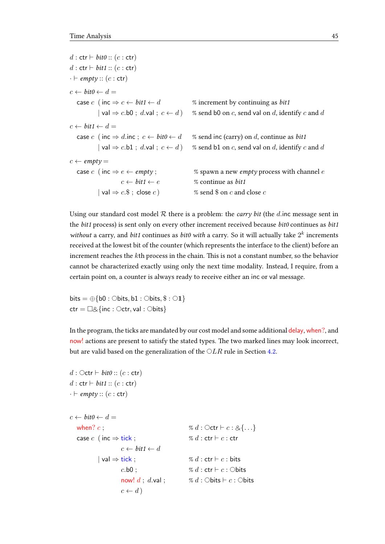$d : \text{ctr} \vdash \textit{bit0} :: (c : \text{ctr})$  $d : \text{ctr} \vdash \textit{bit1} :: (c : \text{ctr})$  $\cdot \vdash empty :: (c : \textsf{ctr})$  $c \leftarrow \text{bit0} \leftarrow d =$ case c (inc  $\Rightarrow$  c  $\leftarrow$  bit1  $\leftarrow$  d % increment by continuing as bit1 | val  $\Rightarrow$  c.b0 ; d.val ;  $c \leftarrow d$  ) % send b0 on c, send val on d, identify c and d  $c \leftarrow \text{bit1} \leftarrow d =$ case c (inc  $\Rightarrow$  d.inc;  $c \leftarrow \text{bit0} \leftarrow d$  % send inc (carry) on d, continue as bit1 | val  $\Rightarrow$  c.b1 ; d.val ;  $c \leftarrow d$  ) % send b1 on c, send val on d, identify c and d  $c \leftarrow \textit{empty} =$ case c (inc  $\Rightarrow$  e  $\leftarrow$  empty; % spawn a new empty process with channel e  $c \leftarrow \text{bit1} \leftarrow e$  % continue as *bit1*  $|$  val  $\Rightarrow$  c.  $\$$  ; close c )  $\%$  send  $\$$  on c and close c

Using our standard cost model  $R$  there is a problem: the *carry bit* (the *d*.inc message sent in the bit1 process) is sent only on every other increment received because bit0 continues as bit1 without a carry, and bit1 continues as bit0 with a carry. So it will actually take  $2^k$  increments received at the lowest bit of the counter (which represents the interface to the client) before an increment reaches the kth process in the chain. This is not a constant number, so the behavior cannot be characterized exactly using only the next time modality. Instead, I require, from a certain point on, a counter is always ready to receive either an inc or val message.

bits =  $\oplus$ {b0 :  $\ominus$ bits, b1 :  $\ominus$ bits,  $\$ : \bigcirc$ 1}  $ctr = \Box \& \{inc : \bigcirc ctr, val : \bigcirc bits\}$ 

In the program, the ticks are mandated by our cost model and some additional delay, when?, and now! actions are present to satisfy the stated types. The two marked lines may look incorrect, but are valid based on the generalization of the  $\bigcirc LR$  rule in Section [4.2.](#page-49-0)

```
d : \bigcirc \textsf{ctr} \vdash \textit{bit0} :: (c : \textsf{ctr})d : \text{ctr} \vdash \text{bit1} :: (c : \text{ctr})\cdot \vdash \textit{empty} :: (c : \textsf{ctr})c \leftarrow \text{bit0} \leftarrow d =when? c;<br>
case c (inc \Rightarrow tick;<br>
\% d : \text{Octr} \vdash c : \& \{...\}<br>
\% d : \text{ctr} \vdash c : \text{ctr}case c (inc \Rightarrow tick;
                               c \leftarrow \text{bit1} \leftarrow d| \text{val} \Rightarrow \text{tick}; \% d : \text{ctr} \vdash c : \text{bits}c.b0; \% d: \text{ctr} \vdash c: \text{Obits}now! d; d.val; \% d: Obits \vdash c: Obits
                               c \leftarrow d)
```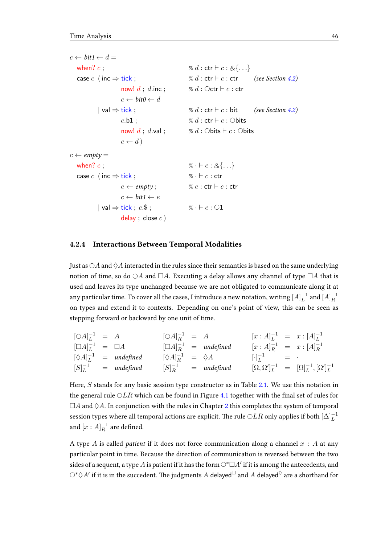$c \leftarrow \text{bit1} \leftarrow d =$ when? c;<br>
case c (inc  $\Rightarrow$  tick;<br>  $\% d : \text{ctr} \vdash c : \& \{...\}$ <br>  $\% d : \text{ctr} \vdash c : \text{ctr}$ case c (inc  $\Rightarrow$  tick;  $\% d : \text{ctr} \vdash c : \text{ctr}$  (see Section [4.2\)](#page-49-0) now!  $d$ ;  $d$ .inc;  $\% d$ :  $\text{Octr} \vdash c$ : ctr  $c \leftarrow \text{bit0} \leftarrow d$  $|$  val  $\Rightarrow$  tick ;  $\% d : \text{ctr} \vdash c : \text{bit}$  (see Section [4.2\)](#page-49-0)  $c.b1$  ;  $\% d : \text{ctr} \vdash c : \text{Obits}$ now!  $d$ ;  $d$ .val;  $\% d$ : Obits  $\vdash c$ : Obits  $c \leftarrow d$ )  $c \leftarrow \textit{empty} =$ when? c;<br>
case c (inc  $\Rightarrow$  tick;<br>  $\% \cdot \vdash c : \& \{ \dots \}$ <br>  $\% \cdot \vdash c : \text{ctr}$ case  $c \text{ (inc)} \Rightarrow \text{tick}$  :  $e \leftarrow \textit{empty};$  %  $e : \textsf{ctr} \vdash c : \textsf{ctr}$  $c \leftarrow \textit{bit1} \leftarrow e$  $|\text{val} \Rightarrow \text{tick}$ ;  $c.\$$ ;  $\%\ \cdot \vdash c:\bigcirc \mathbf{1}$ delay ; close  $c$  )

#### <span id="page-49-0"></span>4.2.4 Interactions Between Temporal Modalities

Just as  $\bigcirc A$  and  $\Diamond A$  interacted in the rules since their semantics is based on the same underlying notion of time, so do  $\bigcirc A$  and  $\Box A$ . Executing a delay allows any channel of type  $\Box A$  that is used and leaves its type unchanged because we are not obligated to communicate along it at any particular time. To cover all the cases, I introduce a new notation, writing  $[A]_L^{-1}$  $_L^{-1}$  and  $[A]_R^{-1}$ R on types and extend it to contexts. Depending on one's point of view, this can be seen as stepping forward or backward by one unit of time.

$$
\begin{array}{rcl}\n[\bigcirc A]_L^{-1} &=& A \\
[\bigcirc A]_L^{-1} &=& \bigcirc A\n\end{array}\n\qquad\n\begin{array}{rcl}\n[\bigcirc A]_R^{-1} &=& A \\
[\bigcirc A]_R^{-1} &=& \text{undefined}\n\end{array}\n\qquad\n\begin{array}{rcl}\n[x : A]_L^{-1} &=& x : [A]_L^{-1} \\
[x : A]_R^{-1} &=& x : [A]_R^{-1} \\
[x : A]_R^{-1} &=& x : [A]_R^{-1} \\
[x : A]_R^{-1} &=& x : [A]_R^{-1} \\
[x : A]_R^{-1} &=& x : [A]_R^{-1} \\
[x : A]_R^{-1} &=& x : [A]_L^{-1} \\
[x : A]_R^{-1} &=& x : [A]_L^{-1} \\
[x : A]_R^{-1} &=& x : [A]_L^{-1} \\
[x : A]_R^{-1} &=& x : [A]_L^{-1} \\
[x : A]_R^{-1} &=& x : [A]_L^{-1} \\
[x : A]_R^{-1} &=& x : [A]_L^{-1} \\
[x : A]_R^{-1} &=& x : [A]_L^{-1} \\
[x : A]_R^{-1} &=& x : [A]_L^{-1} \\
[x : A]_R^{-1} &=& x : [A]_L^{-1} \\
[x : A]_R^{-1} &=& x : [A]_L^{-1} \\
[x : A]_R^{-1} &=& x : [A]_L^{-1} \\
[x : A]_R^{-1} &=& x : [A]_L^{-1} \\
[x : A]_R^{-1} &=& x : [A]_R^{-1} \\
[x : A]_R^{-1} &=& x : [A]_R^{-1} \\
[x : A]_R^{-1} &=& x : [A]_R^{-1} \\
[x : A]_R^{-1} &=& x : [A]_R^{-1} \\
[x : A]_R^{-1} &=& x : [A]_R^{-1} \\
[x : A]_R^{-1} &=& x : [A]_R^{-1} \\
[x : A]_R^{-1} &=& x : [A]_R^{-1} \\
[x : A]_R^{-1} &
$$

Here,  $S$  stands for any basic session type constructor as in Table [2.1.](#page-12-0) We use this notation in the general rule  $OLR$  which can be found in Figure [4.1](#page-50-0) together with the final set of rules for  $\Box A$  and  $\Diamond A$ . In conjunction with the rules in Chapter [2](#page-10-0) this completes the system of temporal session types where all temporal actions are explicit. The rule  $\bigcirc LR$  only applies if both  $[\Delta]_L^{-1}$ and  $[x : A]_R^{-1}$  $R^{-1}$  are defined.

A type A is called *patient* if it does not force communication along a channel  $x : A$  at any particular point in time. Because the direction of communication is reversed between the two sides of a sequent, a type  $A$  is patient if it has the form  $\bigcirc^*\Box A'$  if it is among the antecedents, and  $\bigcirc^* \Diamond A'$  if it is in the succedent. The judgments  $A$  delayed $^\Box$  and  $A$  delayed $^\Diamond$  are a shorthand for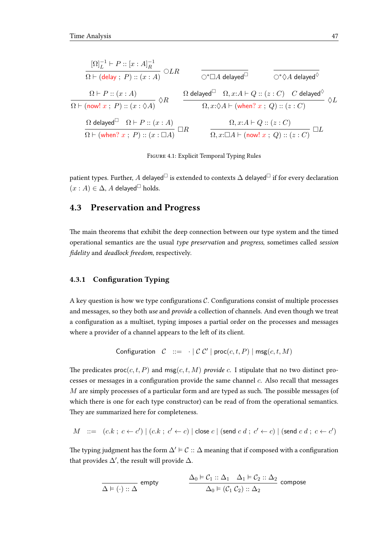<span id="page-50-0"></span>
$$
\frac{[\Omega]_L^{-1} \vdash P :: [x : A]_R^{-1}}{\Omega \vdash (\mathsf{delay} ; P) :: (x : A)} \bigcirc LR \qquad \frac{}{\bigcirc^* \Box A \mathsf{ delayed}^\Box} \qquad \frac{}{\bigcirc^* \Diamond A \mathsf{ delayed}^\Diamond} \qquad \frac{}{\Omega}^* \Diamond A \mathsf{ delayed}^\Diamond
$$
\n
$$
\frac{\Omega \vdash P :: (x : A)}{\Omega \vdash (\mathsf{now}! x ; P) :: (x : \Diamond A)} \bigcirc R \qquad \frac{}{\Omega \mathsf{ delayed}^\Box \quad \Omega, x : A \vdash Q :: (z : C) \quad C \mathsf{ delayed}^\Diamond} \qquad \frac{}{\Omega}^* \Diamond B \qquad \frac{}{\Omega, x : \Diamond A \vdash (\mathsf{when}? x ; Q) :: (z : C)} \qquad \frac{}{\Omega}^* \Box A \mathsf{delay}^* \bigcirc R \qquad \frac{}{\Omega, x : A \vdash Q :: (z : C)} \qquad \frac{}{\Omega}^* \Box A \vdash (\mathsf{now}! x ; Q) :: (z : C) \qquad \frac{}{\Omega}^* \Box B \qquad \frac{}{\Omega, x : \Box A \vdash (\mathsf{now}! x ; Q) :: (z : C)} \Box L
$$



patient types. Further, A delayed $\Box$  is extended to contexts  $\Delta$  delayed $\Box$  if for every declaration  $(x : A) \in \Delta$ , A delayed<sup> $\Box$ </sup> holds.

## 4.3 Preservation and Progress

The main theorems that exhibit the deep connection between our type system and the timed operational semantics are the usual type preservation and progress, sometimes called session fidelity and deadlock freedom, respectively.

#### 4.3.1 Configuration Typing

A key question is how we type configurations  $C$ . Configurations consist of multiple processes and messages, so they both use and provide a collection of channels. And even though we treat a configuration as a multiset, typing imposes a partial order on the processes and messages where a provider of a channel appears to the left of its client.

$$
Configuration \quad \mathcal{C} \ ::= \ \cdot \mid \mathcal{C} \ \mathcal{C}' \mid \mathsf{proc}(c, t, P) \mid \mathsf{msg}(c, t, M)
$$

The predicates  $proc(c, t, P)$  and msg(c, t, M) provide c. I stipulate that no two distinct processes or messages in a configuration provide the same channel  $c$ . Also recall that messages  $M$  are simply processes of a particular form and are typed as such. The possible messages (of which there is one for each type constructor) can be read of from the operational semantics. They are summarized here for completeness.

$$
M \ ::= \ (c.k \; ; \; c \leftarrow c') \mid (c.k \; ; \; c' \leftarrow c) \mid \text{close } c \mid (\text{send } c \; d \; ; \; c' \leftarrow c) \mid (\text{send } c \; d \; ; \; c \leftarrow c')
$$

The typing judgment has the form  $\Delta' \models C :: \Delta$  meaning that if composed with a configuration that provides  $\Delta'$ , the result will provide  $\Delta$ .

$$
\frac{\Delta_0 \vDash \mathcal{C}_1 :: \Delta_1 \quad \Delta_1 \vDash \mathcal{C}_2 :: \Delta_2}{\Delta_0 \vDash (\mathcal{C}_1 \mathcal{C}_2) :: \Delta_2} \text{ compose}
$$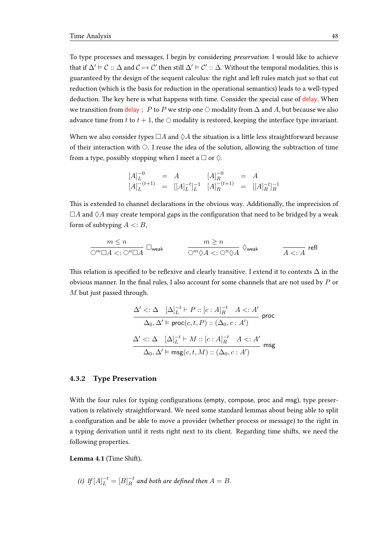To type processes and messages, I begin by considering preservation: I would like to achieve that if  $\Delta' \vDash \mathcal{C} :: \Delta$  and  $\mathcal{C} \mapsto \mathcal{C}'$  then still  $\Delta' \vDash \mathcal{C}' :: \Delta$ . Without the temporal modalities, this is guaranteed by the design of the sequent calculus: the right and left rules match just so that cut reduction (which is the basis for reduction in the operational semantics) leads to a well-typed deduction. The key here is what happens with time. Consider the special case of delay. When we transition from delay ; P to P we strip one  $\bigcirc$  modality from  $\Delta$  and A, but because we also advance time from t to  $t + 1$ , the  $\bigcirc$  modality is restored, keeping the interface type invariant.

When we also consider types  $\Box A$  and  $\Diamond A$  the situation is a little less straightforward because of their interaction with  $\bigcirc$ . I reuse the idea of the solution, allowing the subtraction of time from a type, possibly stopping when I meet a  $\Box$  or  $\diamondsuit$ .

$$
\begin{array}{rcl}\n[A]_L^{-0} & = & A \\
[A]_L^{-(t+1)} & = & \left[ \left[ A \right]_L^{-t} \right]_L^{-1} \\
[A]_R^{-(t+1)} & = & \left[ \left[ A \right]_R^{-t} \right]_R^{-1}\n\end{array}
$$

This is extended to channel declarations in the obvious way. Additionally, the imprecision of  $\Box A$  and  $\Diamond A$  may create temporal gaps in the configuration that need to be bridged by a weak form of subtyping  $A \leq B$ ,

$$
\frac{m \leq n}{\bigcirc^m \Box A <: \bigcirc^n \Box A} \quad \Box_{\mathsf{weak}} \qquad \qquad \frac{m \geq n}{\bigcirc^m \Diamond A <: \bigcirc^n \Diamond A} \ \Diamond_{\mathsf{weak}} \qquad \qquad \frac{}{A <: A} \ \mathsf{refl}
$$

This relation is specified to be reflexive and clearly transitive. I extend it to contexts  $\Delta$  in the obvious manner. In the final rules, I also account for some channels that are not used by  $P$  or M but just passed through.

$$
\frac{\Delta' <: \Delta \quad [\Delta]_L^{-t} \vdash P :: [c:A]_R^{-t} \quad A <: A' \quad \text{proc}(c, t, P) :: (\Delta_0, c : A') \quad \text{proc}(c, t, P) :: (\Delta_0, c : A') \quad \text{proc}(c, t, P) :: (\Delta_0, c : A') \quad \text{proc}(c, t, M) :: (\Delta_0, c : A') \quad \text{msg}(c, t, M) :: (\Delta_0, c : A') \quad \text{msg}(c, t, M) :: (\Delta_0, c : A') \quad \text{msg}(c, t, M) :: (\Delta_0, c : A') \quad \text{msg}(c, t, M) :: (\Delta_0, c : A') \quad \text{msg}(c, t, M) :: (\Delta_0, c : A') \quad \text{msg}(c, t, M) :: (\Delta_0, c : A') \quad \text{msg}(c, t, M) :: (\Delta_0, c : A') \quad \text{msg}(c, t, M) :: (\Delta_0, c : A') \quad \text{msg}(c, t, M) :: (\Delta_0, c : A') \quad \text{msg}(c, t, M) :: (\Delta_0, c : A') \quad \text{msg}(c, t, M) :: (\Delta_0, c : A') \quad \text{msg}(c, t, M) :: (\Delta_0, c : A') \quad \text{msg}(c, t, M) :: (\Delta_0, c : A') \quad \text{msg}(c, t, M) :: (\Delta_0, c : A') \quad \text{msg}(c, t, M) :: (\Delta_0, c : A') \quad \text{msg}(c, t, M) :: (\Delta_0, c : A') \quad \text{msg}(c, t, M) :: (\Delta_0, c : A') \quad \text{msg}(c, t, M) :: (\Delta_0, c : A') \quad \text{msg}(c, t, M) :: (\Delta_0, c : A') \quad \text{msg}(c, t, M) :: (\Delta_0, c : A') \quad \text{msg}(c, t, M) :: (\Delta_0, c : A') \quad \text{msg}(c, t, M) :: (\Delta_0, c : A') \quad \text{msg}(c, t, M) :: (\Delta_0, c : A') \quad \text{msg}(c, t, M) :: (\Delta_0, c : A') \quad \text{msg}(c, t, M) :: (\Delta_0, c : A') \quad \text{msg}(c, t, M) :: (\Delta_0, c : A') \quad \text{msg}(c, t, M) :: (\Delta_0, c : A') \quad \
$$

#### 4.3.2 Type Preservation

With the four rules for typing configurations (empty, compose, proc and msg), type preservation is relatively straightforward. We need some standard lemmas about being able to split a configuration and be able to move a provider (whether process or message) to the right in a typing derivation until it rests right next to its client. Regarding time shifts, we need the following properties.

Lemma 4.1 (Time Shift).

(i) If 
$$
[A]_L^{-t} = [B]_R^{-t}
$$
 and both are defined then  $A = B$ .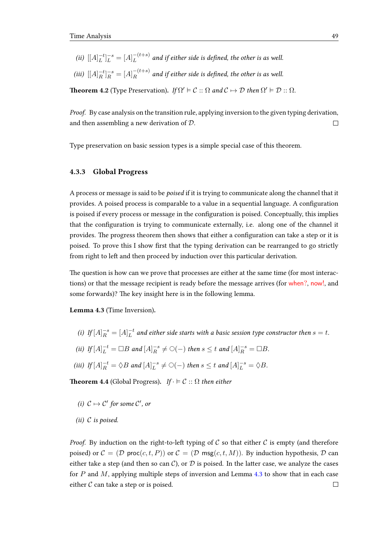- (*ii*)  $[[A]_L^{-t}]$  $\binom{-t}{L}^{-s} = [A]^{- (t+s)}_{L}$  $L^{(t+s)}$  and if either side is defined, the other is as well.
- (*iii*)  $[[A]_R^{-t}]$  $\binom{-t}{R} = [A]_R^{-(t+s)}$  $R^{-(i+8)}$  and if either side is defined, the other is as well.

**Theorem 4.2** (Type Preservation). If  $\Omega' \models C :: \Omega$  and  $C \mapsto D$  then  $\Omega' \models D :: \Omega$ .

Proof. By case analysis on the transition rule, applying inversion to the given typing derivation, and then assembling a new derivation of D.  $\Box$ 

Type preservation on basic session types is a simple special case of this theorem.

#### 4.3.3 Global Progress

A process or message is said to be poised if it is trying to communicate along the channel that it provides. A poised process is comparable to a value in a sequential language. A configuration is poised if every process or message in the configuration is poised. Conceptually, this implies that the configuration is trying to communicate externally, i.e. along one of the channel it provides. The progress theorem then shows that either a configuration can take a step or it is poised. To prove this I show first that the typing derivation can be rearranged to go strictly from right to left and then proceed by induction over this particular derivation.

The question is how can we prove that processes are either at the same time (for most interactions) or that the message recipient is ready before the message arrives (for when?, now!, and some forwards)? The key insight here is in the following lemma.

<span id="page-52-0"></span>Lemma 4.3 (Time Inversion).

- (i)  $If [A]_R^{-s} = [A]_L^{-t}$  $L^t$  and either side starts with a basic session type constructor then  $s=t$ .
- (ii)  $If [A]_L^{-t} = \Box B \text{ and } [A]_R^{-s}$  $R^{-s} \neq \bigcirc (-)$  then  $s \leq t$  and  $[A]_R^{-s} = \Box B$ .

(iii) If 
$$
[A]_R^{-t} = \Diamond B
$$
 and  $[A]_L^{-s} \neq \bigcirc (-$ ) then  $s \leq t$  and  $[A]_L^{-s} = \Diamond B$ .

**Theorem 4.4** (Global Progress). If  $\cdot \vDash \mathcal{C} :: \Omega$  then either

- (i)  $C \mapsto C'$  for some  $C'$ , or
- (ii)  $C$  is poised.

*Proof.* By induction on the right-to-left typing of C so that either C is empty (and therefore poised) or  $\mathcal{C} = (\mathcal{D} \text{ proc}(c, t, P))$  or  $\mathcal{C} = (\mathcal{D} \text{ msg}(c, t, M))$ . By induction hypothesis,  $\mathcal{D}$  can either take a step (and then so can  $C$ ), or  $D$  is poised. In the latter case, we analyze the cases for  $P$  and  $M$ , applying multiple steps of inversion and Lemma [4.3](#page-52-0) to show that in each case either  $C$  can take a step or is poised.  $\Box$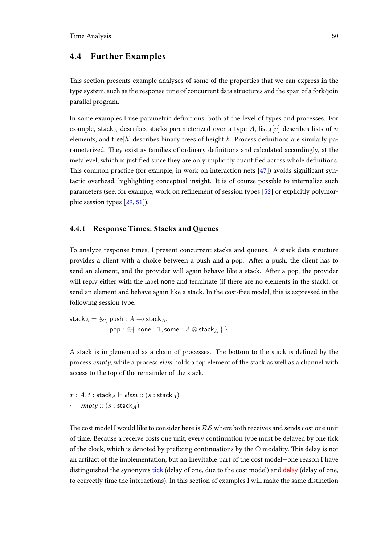## <span id="page-53-0"></span>4.4 Further Examples

This section presents example analyses of some of the properties that we can express in the type system, such as the response time of concurrent data structures and the span of a fork/join parallel program.

In some examples I use parametric definitions, both at the level of types and processes. For example, stack<sub>A</sub> describes stacks parameterized over a type A, list<sub>A</sub> $[n]$  describes lists of n elements, and tree[h] describes binary trees of height h. Process definitions are similarly parameterized. They exist as families of ordinary definitions and calculated accordingly, at the metalevel, which is justified since they are only implicitly quantified across whole definitions. This common practice (for example, in work on interaction nets  $[47]$ ) avoids significant syntactic overhead, highlighting conceptual insight. It is of course possible to internalize such parameters (see, for example, work on refinement of session types [\[52\]](#page-102-1) or explicitly polymorphic session types [\[29,](#page-100-0) [51\]](#page-102-2)).

#### 4.4.1 Response Times: Stacks and Queues

To analyze response times, I present concurrent stacks and queues. A stack data structure provides a client with a choice between a push and a pop. After a push, the client has to send an element, and the provider will again behave like a stack. After a pop, the provider will reply either with the label none and terminate (if there are no elements in the stack), or send an element and behave again like a stack. In the cost-free model, this is expressed in the following session type.

stack $A = \& \{ \text{push} : A \rightarrow \text{stack}_A,$ pop : ⊕{ none : 1, some :  $A \otimes$  stack $_A \}$ }

A stack is implemented as a chain of processes. The bottom to the stack is defined by the process empty, while a process elem holds a top element of the stack as well as a channel with access to the top of the remainder of the stack.

 $x : A, t :$ stack $_A \vdash$ elem :: (s : stack $_A$ )  $\cdot \vdash \textit{empty} :: (s : \textsf{stack}_A)$ 

The cost model I would like to consider here is  $RS$  where both receives and sends cost one unit of time. Because a receive costs one unit, every continuation type must be delayed by one tick of the clock, which is denoted by prefixing continuations by the  $\bigcirc$  modality. This delay is not an artifact of the implementation, but an inevitable part of the cost model—one reason I have distinguished the synonyms tick (delay of one, due to the cost model) and delay (delay of one, to correctly time the interactions). In this section of examples I will make the same distinction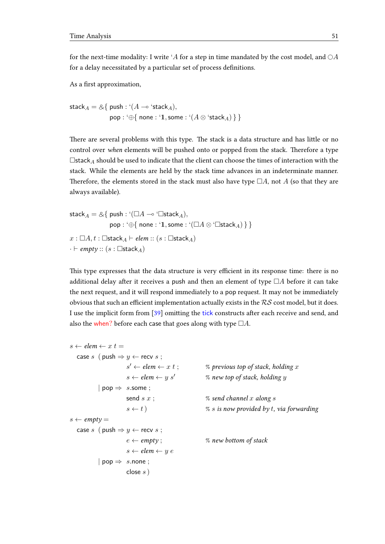for the next-time modality: I write 'A for a step in time mandated by the cost model, and  $\bigcirc A$ for a delay necessitated by a particular set of process definitions.

As a first approximation,

```
stackA = \&{ push : '(A \multimap 'stack_A),
                pop : '⊕{ none : '1, some : '(A \otimes 'stack_A) } }
```
There are several problems with this type. The stack is a data structure and has little or no control over when elements will be pushed onto or popped from the stack. Therefore a type  $\Box$ stack $_A$  should be used to indicate that the client can choose the times of interaction with the stack. While the elements are held by the stack time advances in an indeterminate manner. Therefore, the elements stored in the stack must also have type  $\Box A$ , not A (so that they are always available).

```
stackA = \& \{ push : '(\Box A \multimap ' \Box stack_A),pop : '⊕{ none : '1, some : '(\Box A \otimes \Boxstack<sub>A</sub>) } }
x : \Box A, t : \BoxstackA \vdashelem :: (s : \BoxstackA)
\cdot \vdash empty :: (s : \Boxstack<sub>A</sub>)
```
This type expresses that the data structure is very efficient in its response time: there is no additional delay after it receives a push and then an element of type  $\Box A$  before it can take the next request, and it will respond immediately to a pop request. It may not be immediately obvious that such an efficient implementation actually exists in the  $RS$  cost model, but it does. I use the implicit form from [\[39\]](#page-101-1) omitting the tick constructs after each receive and send, and also the when? before each case that goes along with type  $\Box A$ .

```
s \leftarrow elem \leftarrow x t =
   case s ( push \Rightarrow y \leftarrow recv s;
                        s' \leftarrow elem \leftarrow x \ t;
                                                         % previous top of stack, holding x
                       s \leftarrow elem \leftarrow y s' % new top of stack, holding y
           | pop \Rightarrow s.some;
                       send s \, x; \% send channel x along ss \leftarrow t) % s is now provided by t, via forwarding
s \leftarrow \textit{empty} =case s ( push \Rightarrow y \leftarrow recv s;
                        e \leftarrow \text{empty}; \% new bottom of stack
                        s \leftarrow elem \leftarrow u e| pop \Rightarrow s.none;
                        close s)
```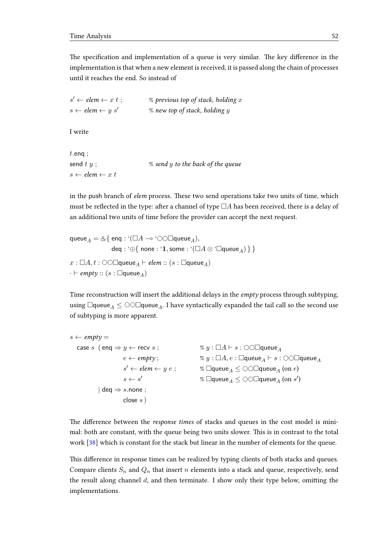The specification and implementation of a queue is very similar. The key difference in the implementation is that when a new element is received, it is passed along the chain of processes until it reaches the end. So instead of

 $s' \leftarrow elem \leftarrow x t$ :  $%$  previous top of stack, holding x  $s \leftarrow$  elem  $\leftarrow y s'$  % new top of stack, holding y

I write

 $t.$ enq ; send  $t \, y$ ;  $\frac{d}{dx}$  send  $y$  to the back of the queue  $s \leftarrow$  elem  $\leftarrow x$  t

in the push branch of elem process. These two send operations take two units of time, which must be reflected in the type: after a channel of type  $\Box A$  has been received, there is a delay of an additional two units of time before the provider can accept the next request.

queue<sub>A</sub> =  $\&$ { enq : '( $\Box A \multimap$  ' $\bigcirc \bigcirc \Box$ queue<sub>A</sub>), deq : '⊕{ none : '1, some : ' $(\Box A \otimes \Box$ queue<sub>A</sub>) } }  $x : \Box A, t : \Diamond \Diamond \Box$ queue<sub>A</sub>  $\vdash$  *elem* ::  $(s : \Box$ queue<sub>A</sub>)  $\cdot \vdash \textit{empty} :: (s : \Box$ queue<sub>A</sub>)

Time reconstruction will insert the additional delays in the *empty* process through subtyping, using  $\Box$ queue<sub>A</sub>  $\leq$   $\odot$  $\odot$  $\Box$ queue<sub>A</sub>. I have syntactically expanded the tail call so the second use of subtyping is more apparent.

```
s \leftarrow \textit{empty} =case s (eng \Rightarrow y \leftarrow recv s; \% y : \Box A \vdash s : \odot \odot \Boxqueue<sub>A</sub>
                         e \leftarrow \textit{empty};   \%\ y : \Box A, e : \Box \textsf{queue}_A \vdash s : \odot \odot \Box \textsf{queue}_As' \leftarrow elem \leftarrow y \ e;
                                                            % \Boxqueue_A \le ○○\Boxqueue_A (on e)
                         s \leftarrow s'\% \Boxqueue_A \leq \odot\Boxqueue_A (on s')
             \vert deq \Rightarrow s.none;
                         close s)
```
The difference between the *response times* of stacks and queues in the cost model is minimal: both are constant, with the queue being two units slower. This is in contrast to the total work [\[38\]](#page-101-0) which is constant for the stack but linear in the number of elements for the queue.

This difference in response times can be realized by typing clients of both stacks and queues. Compare clients  $S_n$  and  $Q_n$  that insert n elements into a stack and queue, respectively, send the result along channel  $d$ , and then terminate. I show only their type below, omitting the implementations.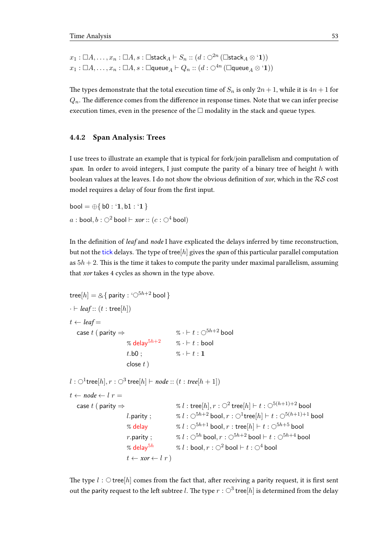```
x_1 : \Box A, \ldots, x_n : \Box A, s : \Boxstack_A \vdash S_n :: (d : \bigcirc^{2n} (\Boxstack_A \otimes \lq 1))x_1 : \Box A, \ldots, x_n : \Box A, s : \Boxqueue_A \vdash Q_n :: (d : \bigcirc^{4n} (\Boxqueue_A \otimes \texttt{`1}))
```
The types demonstrate that the total execution time of  $S_n$  is only  $2n + 1$ , while it is  $4n + 1$  for  $Q_n$ . The difference comes from the difference in response times. Note that we can infer precise execution times, even in the presence of the  $\Box$  modality in the stack and queue types.

#### 4.4.2 Span Analysis: Trees

I use trees to illustrate an example that is typical for fork/join parallelism and computation of span. In order to avoid integers, I just compute the parity of a binary tree of height h with boolean values at the leaves. I do not show the obvious definition of xor, which in the  $RS$  cost model requires a delay of four from the first input.

bool =  $\oplus$ { b0 : '1, b1 : '1 } a : bool,  $b : \bigcirc^2$  bool  $\vdash x$ or ::  $(c : \bigcirc^4$  bool)

In the definition of *leaf* and *node* I have explicated the delays inferred by time reconstruction, but not the tick delays. The type of tree[h] gives the span of this particular parallel computation as  $5h + 2$ . This is the time it takes to compute the parity under maximal parallelism, assuming that xor takes 4 cycles as shown in the type above.

```
tree[h] = \& \{ parity : '\bigcirc^{5h+2} bool }
\cdot \vdash leaf :: (t : \text{tree}[h])t \leftarrow leaf =case t ( parity \Rightarrow % · \vdash t : \bigcirc^{5h+2} bool
                             % delay5h+2 % \cdot \vdash t : bool
                             t.b0: % \cdot \vdash t : 1close t)
l:\bigcirc^1tree[h],r:\bigcirc^3 tree[h]\vdash \textit{node}::(t:\textit{tree}[h+1])t \leftarrow node \leftarrow l r =case t ( parity \Rightarrow \qquad \qquad \qquad \% \ l : \mathsf{tree}[h], r : \bigcirc^2 \mathsf{tree}[h] \vdash t : \bigcirc^{5(h+1)+2} \mathsf{bool}l.parity ; \begin{array}{ll} \gamma&i:\odot^{5h+2} bool, r:\odot^1tree[h]\vdash t:\odot^{5(h+1)+1} bool
                             % delay \% l : \bigcirc^{5h+1} bool, r : tree[h] \vdash t : \bigcirc^{5h+5} bool
                             r.parity ; \% l : \bigcirc^{5h} bool, r : \bigcirc^{5h+2} bool \vdash t : \bigcirc^{5h+4} bool
                             % delay<sup>5h</sup> % l : bool, r : \bigcirc^2 bool \vdash t : \bigcirc^4 bool
                             t \leftarrow xor \leftarrow l r
```
The type  $l : \bigcirc$  tree[h] comes from the fact that, after receiving a parity request, it is first sent out the parity request to the left subtree  $l.$  The type  $r:\bigcirc^3$  tree $[h]$  is determined from the delay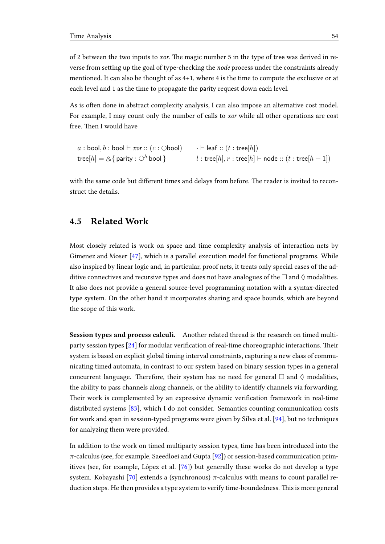of 2 between the two inputs to *xor*. The magic number 5 in the type of tree was derived in reverse from setting up the goal of type-checking the node process under the constraints already mentioned. It can also be thought of as 4+1, where 4 is the time to compute the exclusive or at each level and 1 as the time to propagate the parity request down each level.

As is often done in abstract complexity analysis, I can also impose an alternative cost model. For example, I may count only the number of calls to xor while all other operations are cost free. Then I would have

```
a : \text{bool}, b : \text{bool} \vdash xor :: (c : \text{Obool})tree[h] = \& \{ parity : \bigcirc^h bool }
                                                             \cdot \vdash leaf :: (t : \mathsf{tree}[h])l : tree[h], r : tree[h] \vdash node :: (t : tree[h + 1])
```
with the same code but different times and delays from before. The reader is invited to reconstruct the details.

## 4.5 Related Work

Most closely related is work on space and time complexity analysis of interaction nets by Gimenez and Moser [\[47\]](#page-102-0), which is a parallel execution model for functional programs. While also inspired by linear logic and, in particular, proof nets, it treats only special cases of the additive connectives and recursive types and does not have analogues of the  $\Box$  and  $\Diamond$  modalities. It also does not provide a general source-level programming notation with a syntax-directed type system. On the other hand it incorporates sharing and space bounds, which are beyond the scope of this work.

Session types and process calculi. Another related thread is the research on timed multiparty session types  $[24]$  for modular verification of real-time choreographic interactions. Their system is based on explicit global timing interval constraints, capturing a new class of communicating timed automata, in contrast to our system based on binary session types in a general concurrent language. Therefore, their system has no need for general  $\Box$  and  $\Diamond$  modalities, the ability to pass channels along channels, or the ability to identify channels via forwarding. Their work is complemented by an expressive dynamic verification framework in real-time distributed systems [\[83\]](#page-104-1), which I do not consider. Semantics counting communication costs for work and span in session-typed programs were given by Silva et al. [\[94\]](#page-105-1), but no techniques for analyzing them were provided.

In addition to the work on timed multiparty session types, time has been introduced into the  $\pi$ -calculus (see, for example, Saeedloei and Gupta [\[92\]](#page-105-2)) or session-based communication primitives (see, for example, López et al.  $[76]$  $[76]$ ) but generally these works do not develop a type system. Kobayashi [\[70\]](#page-103-0) extends a (synchronous)  $\pi$ -calculus with means to count parallel reduction steps. He then provides a type system to verify time-boundedness. This is more general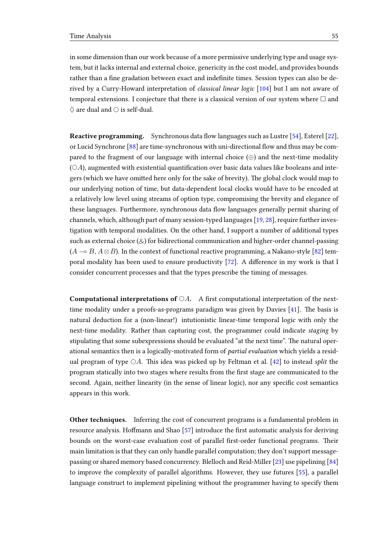in some dimension than our work because of a more permissive underlying type and usage system, but it lacks internal and external choice, genericity in the cost model, and provides bounds rather than a fine gradation between exact and indefinite times. Session types can also be derived by a Curry-Howard interpretation of classical linear logic [\[104\]](#page-106-0) but I am not aware of temporal extensions. I conjecture that there is a classical version of our system where  $\Box$  and  $\diamondsuit$  are dual and  $\circ$  is self-dual.

**Reactive programming.** Synchronous data flow languages such as Lustre  $[54]$ , Esterel  $[22]$ , or Lucid Synchrone  $[88]$  are time-synchronous with uni-directional flow and thus may be compared to the fragment of our language with internal choice  $(\oplus)$  and the next-time modality  $(OA)$ , augmented with existential quantification over basic data values like booleans and integers (which we have omitted here only for the sake of brevity). The global clock would map to our underlying notion of time, but data-dependent local clocks would have to be encoded at a relatively low level using streams of option type, compromising the brevity and elegance of these languages. Furthermore, synchronous data flow languages generally permit sharing of channels, which, although part of many session-typed languages [\[19,](#page-99-1) [28\]](#page-100-2), require further investigation with temporal modalities. On the other hand, I support a number of additional types such as external choice  $(\&)$  for bidirectional communication and higher-order channel-passing  $(A \rightarrow B, A \otimes B)$ . In the context of functional reactive programming, a Nakano-style [\[82\]](#page-104-4) temporal modality has been used to ensure productivity  $[72]$ . A difference in my work is that I consider concurrent processes and that the types prescribe the timing of messages.

**Computational interpretations of**  $\bigcirc A$ . A first computational interpretation of the nexttime modality under a proofs-as-programs paradigm was given by Davies  $[41]$ . The basis is natural deduction for a (non-linear!) intutionistic linear-time temporal logic with only the next-time modality. Rather than capturing cost, the programmer could indicate staging by stipulating that some subexpressions should be evaluated "at the next time". The natural operational semantics then is a logically-motivated form of partial evaluation which yields a residual program of type  $\bigcirc A$ . This idea was picked up by Feltman et al. [\[42\]](#page-101-4) to instead split the program statically into two stages where results from the first stage are communicated to the second. Again, neither linearity (in the sense of linear logic), nor any specific cost semantics appears in this work.

Other techniques. Inferring the cost of concurrent programs is a fundamental problem in resource analysis. Hoffmann and Shao [\[57\]](#page-102-4) introduce the first automatic analysis for deriving bounds on the worst-case evaluation cost of parallel first-order functional programs. Their main limitation is that they can only handle parallel computation; they don't support messagepassing or shared memory based concurrency. Blelloch and Reid-Miller [\[23\]](#page-99-2) use pipelining [\[84\]](#page-104-5) to improve the complexity of parallel algorithms. However, they use futures [\[55\]](#page-102-5), a parallel language construct to implement pipelining without the programmer having to specify them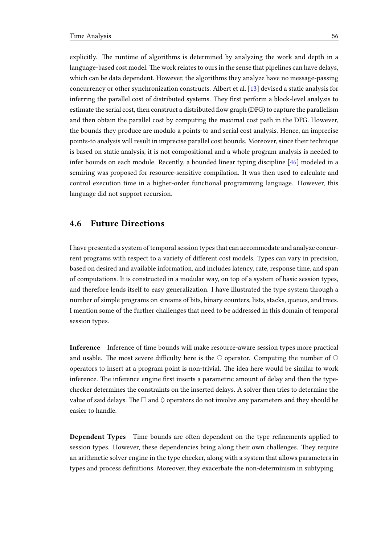explicitly. The runtime of algorithms is determined by analyzing the work and depth in a language-based cost model. The work relates to ours in the sense that pipelines can have delays, which can be data dependent. However, the algorithms they analyze have no message-passing concurrency or other synchronization constructs. Albert et al. [\[13\]](#page-99-3) devised a static analysis for inferring the parallel cost of distributed systems. They first perform a block-level analysis to estimate the serial cost, then construct a distributed flow graph (DFG) to capture the parallelism and then obtain the parallel cost by computing the maximal cost path in the DFG. However, the bounds they produce are modulo a points-to and serial cost analysis. Hence, an imprecise points-to analysis will result in imprecise parallel cost bounds. Moreover, since their technique is based on static analysis, it is not compositional and a whole program analysis is needed to infer bounds on each module. Recently, a bounded linear typing discipline [\[46\]](#page-102-6) modeled in a semiring was proposed for resource-sensitive compilation. It was then used to calculate and control execution time in a higher-order functional programming language. However, this language did not support recursion.

### 4.6 Future Directions

I have presented a system of temporal session types that can accommodate and analyze concurrent programs with respect to a variety of different cost models. Types can vary in precision, based on desired and available information, and includes latency, rate, response time, and span of computations. It is constructed in a modular way, on top of a system of basic session types, and therefore lends itself to easy generalization. I have illustrated the type system through a number of simple programs on streams of bits, binary counters, lists, stacks, queues, and trees. I mention some of the further challenges that need to be addressed in this domain of temporal session types.

Inference Inference of time bounds will make resource-aware session types more practical and usable. The most severe difficulty here is the  $\circlearrowright$  operator. Computing the number of  $\circlearrowright$ operators to insert at a program point is non-trivial. The idea here would be similar to work inference. The inference engine first inserts a parametric amount of delay and then the typechecker determines the constraints on the inserted delays. A solver then tries to determine the value of said delays. The  $\Box$  and  $\Diamond$  operators do not involve any parameters and they should be easier to handle.

**Dependent Types** Time bounds are often dependent on the type refinements applied to session types. However, these dependencies bring along their own challenges. They require an arithmetic solver engine in the type checker, along with a system that allows parameters in types and process definitions. Moreover, they exacerbate the non-determinism in subtyping.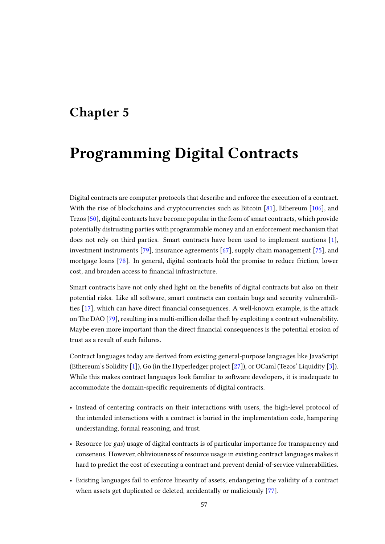## Chapter 5

# Programming Digital Contracts

Digital contracts are computer protocols that describe and enforce the execution of a contract. With the rise of blockchains and cryptocurrencies such as Bitcoin [\[81\]](#page-104-6), Ethereum [\[106\]](#page-106-1), and Tezos [\[50\]](#page-102-7), digital contracts have become popular in the form of smart contracts, which provide potentially distrusting parties with programmable money and an enforcement mechanism that does not rely on third parties. Smart contracts have been used to implement auctions [\[1\]](#page-98-1), investment instruments [\[79\]](#page-104-7), insurance agreements [\[67\]](#page-103-2), supply chain management [\[75\]](#page-104-8), and mortgage loans [\[78\]](#page-104-9). In general, digital contracts hold the promise to reduce friction, lower cost, and broaden access to financial infrastructure.

Smart contracts have not only shed light on the benefits of digital contracts but also on their potential risks. Like all software, smart contracts can contain bugs and security vulnerabilities  $[17]$ , which can have direct financial consequences. A well-known example, is the attack on The DAO [\[79\]](#page-104-7), resulting in a multi-million dollar the ft by exploiting a contract vulnerability. Maybe even more important than the direct financial consequences is the potential erosion of trust as a result of such failures.

Contract languages today are derived from existing general-purpose languages like JavaScript (Ethereum's Solidity [\[1\]](#page-98-1)), Go (in the Hyperledger project [\[27\]](#page-100-3)), or OCaml (Tezos' Liquidity [\[3\]](#page-98-2)). While this makes contract languages look familiar to software developers, it is inadequate to accommodate the domain-specific requirements of digital contracts.

- Instead of centering contracts on their interactions with users, the high-level protocol of the intended interactions with a contract is buried in the implementation code, hampering understanding, formal reasoning, and trust.
- Resource (or gas) usage of digital contracts is of particular importance for transparency and consensus. However, obliviousness of resource usage in existing contract languages makes it hard to predict the cost of executing a contract and prevent denial-of-service vulnerabilities.
- Existing languages fail to enforce linearity of assets, endangering the validity of a contract when assets get duplicated or deleted, accidentally or maliciously [\[77\]](#page-104-10).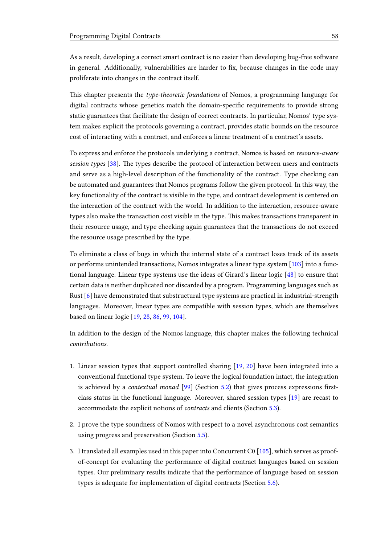As a result, developing a correct smart contract is no easier than developing bug-free software in general. Additionally, vulnerabilities are harder to fix, because changes in the code may proliferate into changes in the contract itself.

This chapter presents the *type-theoretic foundations* of Nomos, a programming language for digital contracts whose genetics match the domain-specific requirements to provide strong static guarantees that facilitate the design of correct contracts. In particular, Nomos' type system makes explicit the protocols governing a contract, provides static bounds on the resource cost of interacting with a contract, and enforces a linear treatment of a contract's assets.

To express and enforce the protocols underlying a contract, Nomos is based on resource-aware session types  $[38]$ . The types describe the protocol of interaction between users and contracts and serve as a high-level description of the functionality of the contract. Type checking can be automated and guarantees that Nomos programs follow the given protocol. In this way, the key functionality of the contract is visible in the type, and contract development is centered on the interaction of the contract with the world. In addition to the interaction, resource-aware types also make the transaction cost visible in the type. This makes transactions transparent in their resource usage, and type checking again guarantees that the transactions do not exceed the resource usage prescribed by the type.

To eliminate a class of bugs in which the internal state of a contract loses track of its assets or performs unintended transactions, Nomos integrates a linear type system [\[103\]](#page-106-2) into a functional language. Linear type systems use the ideas of Girard's linear logic [\[48\]](#page-102-8) to ensure that certain data is neither duplicated nor discarded by a program. Programming languages such as Rust [\[6\]](#page-98-3) have demonstrated that substructural type systems are practical in industrial-strength languages. Moreover, linear types are compatible with session types, which are themselves based on linear logic [\[19,](#page-99-1) [28,](#page-100-2) [86,](#page-104-11) [99,](#page-105-3) [104\]](#page-106-0).

In addition to the design of the Nomos language, this chapter makes the following technical contributions.

- 1. Linear session types that support controlled sharing [\[19,](#page-99-1) [20\]](#page-99-5) have been integrated into a conventional functional type system. To leave the logical foundation intact, the integration is achieved by a *contextual monad*  $[99]$  (Section [5.2\)](#page-65-0) that gives process expressions firstclass status in the functional language. Moreover, shared session types [\[19\]](#page-99-1) are recast to accommodate the explicit notions of contracts and clients (Section [5.3\)](#page-69-0).
- 2. I prove the type soundness of Nomos with respect to a novel asynchronous cost semantics using progress and preservation (Section [5.5\)](#page-77-0).
- 3. I translated all examples used in this paper into Concurrent C0 [\[105\]](#page-106-3), which serves as proofof-concept for evaluating the performance of digital contract languages based on session types. Our preliminary results indicate that the performance of language based on session types is adequate for implementation of digital contracts (Section [5.6\)](#page-79-0).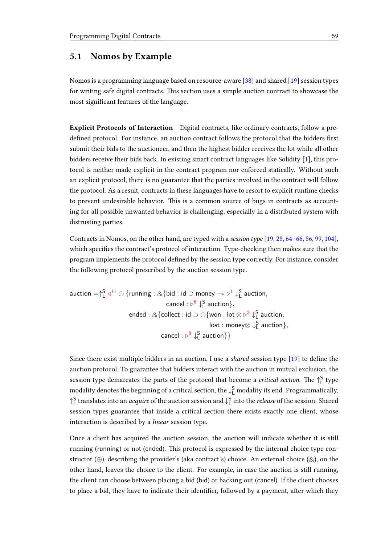## <span id="page-62-0"></span>5.1 Nomos by Example

Nomos is a programming language based on resource-aware [\[38\]](#page-101-0) and shared [\[19\]](#page-99-1) session types for writing safe digital contracts. This section uses a simple auction contract to showcase the most significant features of the language.

Explicit Protocols of Interaction Digital contracts, like ordinary contracts, follow a predefined protocol. For instance, an auction contract follows the protocol that the bidders first submit their bids to the auctioneer, and then the highest bidder receives the lot while all other bidders receive their bids back. In existing smart contract languages like Solidity [\[1\]](#page-98-1), this protocol is neither made explicit in the contract program nor enforced statically. Without such an explicit protocol, there is no guarantee that the parties involved in the contract will follow the protocol. As a result, contracts in these languages have to resort to explicit runtime checks to prevent undesirable behavior. This is a common source of bugs in contracts as accounting for all possible unwanted behavior is challenging, especially in a distributed system with distrusting parties.

Contracts in Nomos, on the other hand, are typed with a session type [\[19,](#page-99-1) [28,](#page-100-2) [64](#page-103-3)[–66,](#page-103-4) [86,](#page-104-11) [99,](#page-105-3) [104\]](#page-106-0), which specifies the contract's protocol of interaction. Type-checking then makes sure that the program implements the protocol dened by the session type correctly. For instance, consider the following protocol prescribed by the auction session type.

$$
\begin{aligned}\text{auction}=&\uparrow_L^S\lhd^{11}\oplus\{\text{running}: \&\{\text{bid}: \text{id} \supset \text{money} \multimap \triangleright^1\downarrow_L^S \text{ auction}, \\ &\hspace{10mm}\text{cancel}: \, \triangleright^8\downarrow_L^S \text{ auction}\}, \\ &\hspace{10mm}\text{ended}: \&\{\text{collect}: \text{id} \supset \oplus \{\text{won}: \text{lot} \otimes \triangleright^3\downarrow_L^S \text{ auction}, \\ &\hspace{10mm}\text{lost}: \text{money} \otimes \downarrow_L^S \text{ auction}\}, \\ &\hspace{10mm}\text{cancel}: \, \triangleright^8\downarrow_L^S \text{ auction}\}\end{aligned}
$$

Since there exist multiple bidders in an auction, I use a *shared* session type  $[19]$  to define the auction protocol. To guarantee that bidders interact with the auction in mutual exclusion, the session type demarcates the parts of the protocol that become a *critical section*. The  $\uparrow_{\mathsf{L}}^{\mathsf{S}}$  type modality denotes the beginning of a critical section, the  $\downarrow^{\mathsf{S}}_{\mathsf{L}}$  modality its end. Programmatically,  $\uparrow^S_L$  translates into an *acquire* of the auction session and  $\downarrow^S_L$  into the *release* of the session. Shared session types guarantee that inside a critical section there exists exactly one client, whose interaction is described by a linear session type.

Once a client has acquired the auction session, the auction will indicate whether it is still running (running) or not (ended). This protocol is expressed by the internal choice type constructor (⊕), describing the provider's (aka contract's) choice. An external choice (&), on the other hand, leaves the choice to the client. For example, in case the auction is still running, the client can choose between placing a bid (bid) or backing out (cancel). If the client chooses to place a bid, they have to indicate their identifier, followed by a payment, after which they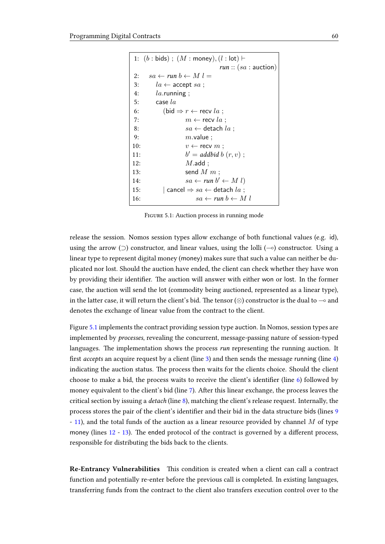<span id="page-63-5"></span><span id="page-63-4"></span><span id="page-63-3"></span><span id="page-63-2"></span><span id="page-63-1"></span><span id="page-63-0"></span>

| 1: $(b : bids)$ ; $(M : money)$ , $(l : lot)$ + |                                                        |  |  |  |
|-------------------------------------------------|--------------------------------------------------------|--|--|--|
|                                                 | run :: $(sa:a$                                         |  |  |  |
| 2:                                              | $sa \leftarrow run b \leftarrow M l =$                 |  |  |  |
| 3:                                              | $la \leftarrow$ accept $sa$ ;                          |  |  |  |
| 4:                                              | $la$ .running ;                                        |  |  |  |
| 5:                                              | case $la$                                              |  |  |  |
| 6:                                              | (bid $\Rightarrow$ $r \leftarrow$ recv la;             |  |  |  |
| 7:                                              | $m \leftarrow$ recv la;                                |  |  |  |
| 8:                                              | $sa \leftarrow$ detach la;                             |  |  |  |
| 9:                                              | $m$ .value ;                                           |  |  |  |
| 10:                                             | $v \leftarrow$ recv $m$ ;                              |  |  |  |
| 11:                                             | $b' = addbid b (r, v)$ ;                               |  |  |  |
| 12:                                             | $M$ .add ;                                             |  |  |  |
| 13:                                             | send $M m$ ;                                           |  |  |  |
| 14:                                             | $sa \leftarrow run b' \leftarrow M l)$                 |  |  |  |
| 15:                                             | $ $ cancel $\Rightarrow$ $sa \leftarrow$ detach $la$ ; |  |  |  |
| 16:                                             | $sa \leftarrow run b \leftarrow M l$                   |  |  |  |

<span id="page-63-9"></span><span id="page-63-8"></span><span id="page-63-7"></span><span id="page-63-6"></span>FIGURE 5.1: Auction process in running mode

release the session. Nomos session types allow exchange of both functional values (e.g. id), using the arrow  $($ ) constructor, and linear values, using the lolli  $($ - $)$  constructor. Using a linear type to represent digital money (money) makes sure that such a value can neither be duplicated nor lost. Should the auction have ended, the client can check whether they have won by providing their identifier. The auction will answer with either won or lost. In the former case, the auction will send the lot (commodity being auctioned, represented as a linear type), in the latter case, it will return the client's bid. The tensor (⊗) constructor is the dual to  $\sim$  and denotes the exchange of linear value from the contract to the client.

Figure [5.1](#page-63-0) implements the contract providing session type auction. In Nomos, session types are implemented by processes, revealing the concurrent, message-passing nature of session-typed languages. The implementation shows the process  $run$  representing the running auction. It first *accepts* an acquire request by a client (line [3\)](#page-63-1) and then sends the message running (line  $\frac{4}{3}$ ) indicating the auction status. The process then waits for the clients choice. Should the client choose to make a bid, the process waits to receive the client's identifier (line  $6$ ) followed by money equivalent to the client's bid (line [7\)](#page-63-4). After this linear exchange, the process leaves the critical section by issuing a detach (line [8\)](#page-63-5), matching the client's release request. Internally, the process stores the pair of the client's identifier and their bid in the data structure bids (lines [9](#page-63-6) - [11\)](#page-63-7), and the total funds of the auction as a linear resource provided by channel M of type money (lines  $12 - 13$  $12 - 13$ ). The ended protocol of the contract is governed by a different process, responsible for distributing the bids back to the clients.

Re-Entrancy Vulnerabilities This condition is created when a client can call a contract function and potentially re-enter before the previous call is completed. In existing languages, transferring funds from the contract to the client also transfers execution control over to the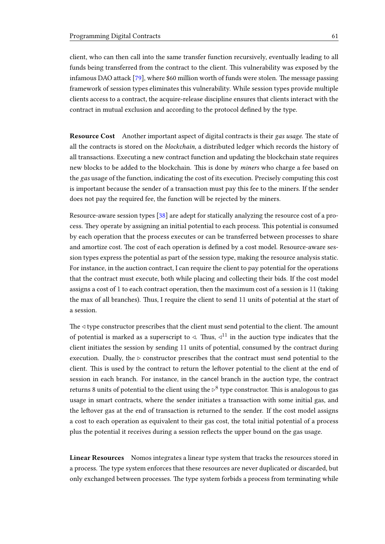client, who can then call into the same transfer function recursively, eventually leading to all funds being transferred from the contract to the client. This vulnerability was exposed by the infamous DAO attack  $[79]$ , where \$60 million worth of funds were stolen. The message passing framework of session types eliminates this vulnerability. While session types provide multiple clients access to a contract, the acquire-release discipline ensures that clients interact with the contract in mutual exclusion and according to the protocol defined by the type.

Resource Cost Another important aspect of digital contracts is their gas usage. The state of all the contracts is stored on the *blockchain*, a distributed ledger which records the history of all transactions. Executing a new contract function and updating the blockchain state requires new blocks to be added to the blockchain. This is done by *miners* who charge a fee based on the gas usage of the function, indicating the cost of its execution. Precisely computing this cost is important because the sender of a transaction must pay this fee to the miners. If the sender does not pay the required fee, the function will be rejected by the miners.

Resource-aware session types [\[38\]](#page-101-0) are adept for statically analyzing the resource cost of a process. They operate by assigning an initial potential to each process. This potential is consumed by each operation that the process executes or can be transferred between processes to share and amortize cost. The cost of each operation is defined by a cost model. Resource-aware session types express the potential as part of the session type, making the resource analysis static. For instance, in the auction contract, I can require the client to pay potential for the operations that the contract must execute, both while placing and collecting their bids. If the cost model assigns a cost of 1 to each contract operation, then the maximum cost of a session is 11 (taking the max of all branches). Thus, I require the client to send 11 units of potential at the start of a session.

The  $\triangleleft$  type constructor prescribes that the client must send potential to the client. The amount of potential is marked as a superscript to  $\triangleleft$ . Thus,  $\triangleleft^{11}$  in the auction type indicates that the client initiates the session by sending 11 units of potential, consumed by the contract during execution. Dually, the  $\triangleright$  constructor prescribes that the contract must send potential to the client. This is used by the contract to return the leftover potential to the client at the end of session in each branch. For instance, in the cancel branch in the auction type, the contract returns 8 units of potential to the client using the  $\triangleright^8$  type constructor. This is analogous to gas usage in smart contracts, where the sender initiates a transaction with some initial gas, and the leftover gas at the end of transaction is returned to the sender. If the cost model assigns a cost to each operation as equivalent to their gas cost, the total initial potential of a process plus the potential it receives during a session reflects the upper bound on the gas usage.

Linear Resources Nomos integrates a linear type system that tracks the resources stored in a process. The type system enforces that these resources are never duplicated or discarded, but only exchanged between processes. The type system forbids a process from terminating while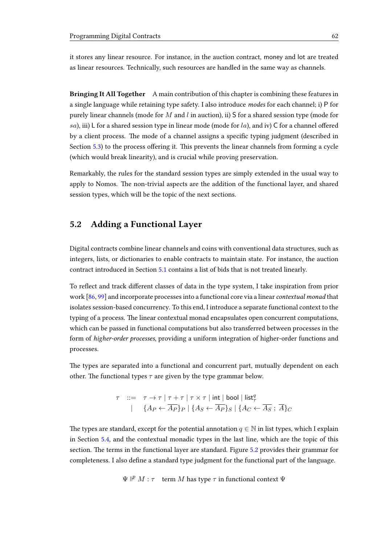it stores any linear resource. For instance, in the auction contract, money and lot are treated as linear resources. Technically, such resources are handled in the same way as channels.

Bringing It All Together A main contribution of this chapter is combining these features in a single language while retaining type safety. I also introduce modes for each channel; i) P for purely linear channels (mode for  $M$  and  $l$  in auction), ii) S for a shared session type (mode for sa), iii) L for a shared session type in linear mode (mode for  $la$ ), and iv) C for a channel offered by a client process. The mode of a channel assigns a specific typing judgment (described in Section  $5.3$ ) to the process offering it. This prevents the linear channels from forming a cycle (which would break linearity), and is crucial while proving preservation.

Remarkably, the rules for the standard session types are simply extended in the usual way to apply to Nomos. The non-trivial aspects are the addition of the functional layer, and shared session types, which will be the topic of the next sections.

## <span id="page-65-0"></span>5.2 Adding a Functional Layer

Digital contracts combine linear channels and coins with conventional data structures, such as integers, lists, or dictionaries to enable contracts to maintain state. For instance, the auction contract introduced in Section [5.1](#page-62-0) contains a list of bids that is not treated linearly.

To reflect and track different classes of data in the type system, I take inspiration from prior work  $[86, 99]$  $[86, 99]$  $[86, 99]$  and incorporate processes into a functional core via a linear *contextual monad* that isolates session-based concurrency. To this end, I introduce a separate functional context to the typing of a process. The linear contextual monad encapsulates open concurrent computations, which can be passed in functional computations but also transferred between processes in the form of higher-order processes, providing a uniform integration of higher-order functions and processes.

The types are separated into a functional and concurrent part, mutually dependent on each other. The functional types  $\tau$  are given by the type grammar below.

$$
\tau \quad ::= \quad \tau \to \tau \mid \tau + \tau \mid \tau \times \tau \mid \text{int} \mid \text{bool} \mid \text{list}^q_{\tau}
$$
\n
$$
\mid \quad \{A_P \leftarrow \overline{A_P}\}_P \mid \{A_S \leftarrow \overline{A_P}\}_S \mid \{A_C \leftarrow \overline{A_S} \; ; \; \overline{A}\}_C
$$

The types are standard, except for the potential annotation  $q \in \mathbb{N}$  in list types, which I explain in Section [5.4,](#page-72-0) and the contextual monadic types in the last line, which are the topic of this section. The terms in the functional layer are standard. Figure [5.2](#page-66-0) provides their grammar for completeness. I also define a standard type judgment for the functional part of the language.

 $\Psi \nightharpoonup^p M : \tau$  term M has type  $\tau$  in functional context  $\Psi$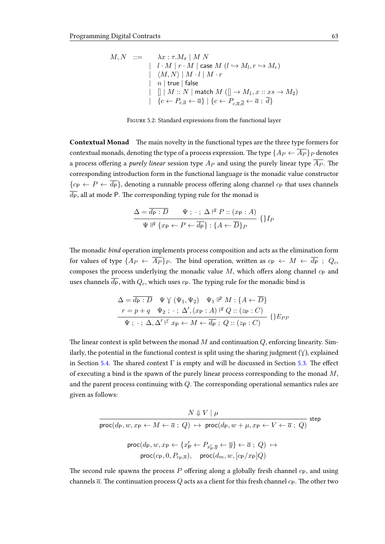<span id="page-66-0"></span>
$$
\begin{array}{lll} M,N & ::= & \lambda x: \tau.M_x \mid M \; N \\ & | & l \cdot M \mid r \cdot M \mid \text{case } M \; (l \hookrightarrow M_l, r \hookrightarrow M_r) \\ & | & \langle M,N \rangle \mid M \cdot l \mid M \cdot r \\ & | & n \mid \text{true} \mid \text{false} \\ & | & [] \mid M::N \mid \text{match } M \; ([] \rightarrow M_1, x::xs \rightarrow M_2) \\ & | & \{c \leftarrow P_{c,\overline{a}} \leftarrow \overline{a}\} \mid \{c \leftarrow P_{c,\overline{a},\overline{d}} \leftarrow \overline{a} \; ; \; \overline{d}\} \end{array}
$$

Figure 5.2: Standard expressions from the functional layer

Contextual Monad The main novelty in the functional types are the three type formers for contextual monads, denoting the type of a process expression. The type  ${A_P \leftarrow \overline{A_P}}_P$  denotes a process offering a purely linear session type  $A_P$  and using the purely linear type  $\overline{A_P}$ . The corresponding introduction form in the functional language is the monadic value constructor  ${c_P \leftarrow P \leftarrow \overline{d_P}}$ , denoting a runnable process offering along channel  $c_P$  that uses channels  $\overline{d_{P}}$ , all at mode P. The corresponding typing rule for the monad is

$$
\frac{\Delta = \overline{d_{\mathsf{P}} : D} \qquad \Psi ; \cdot ; \ \Delta \nvert^q \ P :: (x_{\mathsf{P}} : A)}{\Psi \mid^q \{x_{\mathsf{P}} \leftarrow P \leftarrow \overline{d_{\mathsf{P}}} \} : \{A \leftarrow \overline{D}\}_P} \ \{\}I_P
$$

The monadic bind operation implements process composition and acts as the elimination form for values of type  $\{A_P \leftarrow \overline{A_P} \}_P$ . The bind operation, written as  $c_P \leftarrow M \leftarrow \overline{d_P}$ ;  $Q_c$ , composes the process underlying the monadic value  $M$ , which offers along channel  $c_{P}$  and uses channels  $\overline{d_{\mathsf{P}}}$ , with  $Q_c$ , which uses  $c_{\mathsf{P}}$ . The typing rule for the monadic bind is

$$
\Delta = \overline{d_{\mathsf{P}} : D} \quad \Psi \lor (\Psi_1, \Psi_2) \quad \Psi_1 \Vdash^p M : \{A \leftarrow \overline{D}\}
$$
\n
$$
r = p + q \quad \Psi_2 : \cdot : \Delta', (x_{\mathsf{P}} : A) \Vdash^q Q :: (z_{\mathsf{P}} : C)
$$
\n
$$
\Psi : \cdot : \Delta, \Delta' \Vdash x_{\mathsf{P}} \leftarrow M \leftarrow \overline{d_{\mathsf{P}}} ; Q :: (z_{\mathsf{P}} : C)
$$
\n
$$
\{ \} E_{PP}
$$

The linear context is split between the monad M and continuation  $Q$ , enforcing linearity. Similarly, the potential in the functional context is split using the sharing judgment  $(\gamma)$ , explained in Section [5.4.](#page-72-0) The shared context  $\Gamma$  is empty and will be discussed in Section [5.3.](#page-69-0) The effect of executing a bind is the spawn of the purely linear process corresponding to the monad  $M$ , and the parent process continuing with  $Q$ . The corresponding operational semantics rules are given as follows:

$$
\cfrac{N \Downarrow V \mid \mu}{\text{proc}(d_{\text{P}}, w, x_{\text{P}} \leftarrow M \leftarrow \overline{a} \; ; \; Q) \; \mapsto \; \text{proc}(d_{\text{P}}, w + \mu, x_{\text{P}} \leftarrow V \leftarrow \overline{a} \; ; \; Q)} \; \text{step}
$$
\n
$$
\text{proc}(d_{\text{P}}, w, x_{\text{P}} \leftarrow \{x'_{\text{P}} \leftarrow P_{x'_{\text{P}}, \overline{y}} \leftarrow \overline{y}\} \leftarrow \overline{a} \; ; \; Q) \; \mapsto
$$
\n
$$
\text{proc}(c_{\text{P}}, 0, P_{c_{\text{P}}, \overline{a}}), \quad \text{proc}(d_{m}, w, [c_{\text{P}}/x_{\text{P}}]Q)
$$

The second rule spawns the process P offering along a globally fresh channel  $c_{\rm P}$ , and using channels  $\bar{a}$ . The continuation process Q acts as a client for this fresh channel  $c_P$ . The other two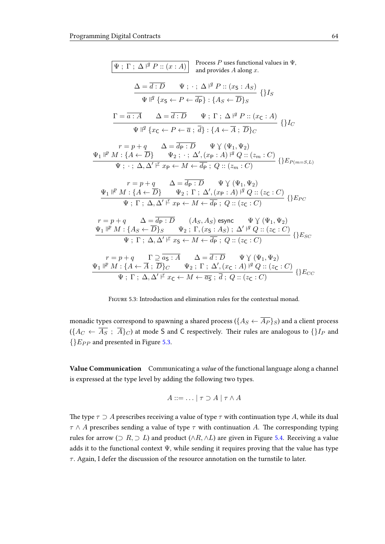<span id="page-67-0"></span>Ψ ; Γ ; ∆ ` q P :: (x : A) Process P uses functional values in Ψ, and provides A along x. ∆ = d : D Ψ ; · ; ∆ ` q P :: (x<sup>S</sup> : AS) Ψ q {x<sup>S</sup> ← P ← dP} : {A<sup>S</sup> ← D}<sup>S</sup> {}I<sup>S</sup> Γ = a : A ∆ = d : D Ψ ; Γ ; ∆ ` q P :: (x<sup>C</sup> : A) Ψ q {x<sup>C</sup> ← P ← a ; d} : {A ← A ; D}<sup>C</sup> {}I<sup>C</sup> <sup>r</sup> <sup>=</sup> <sup>p</sup> <sup>+</sup> <sup>q</sup> ∆ = <sup>d</sup><sup>P</sup> : <sup>D</sup> <sup>Ψ</sup> . (Ψ1, <sup>Ψ</sup>2) Ψ<sup>1</sup> <sup>p</sup> M : {A ← D} Ψ<sup>2</sup> ; · ; ∆<sup>0</sup> ,(x<sup>P</sup> : A) ` <sup>q</sup> Q :: (z<sup>m</sup> : C) Ψ ; · ; ∆, ∆<sup>0</sup> ` r x<sup>P</sup> ← M ← d<sup>P</sup> ; Q :: (z<sup>m</sup> : C) {}E<sup>P</sup> (m=S,L) <sup>r</sup> <sup>=</sup> <sup>p</sup> <sup>+</sup> <sup>q</sup> ∆ = <sup>d</sup><sup>P</sup> : <sup>D</sup> <sup>Ψ</sup> . (Ψ1, <sup>Ψ</sup>2) Ψ<sup>1</sup> <sup>p</sup> M : {A ← D} Ψ<sup>2</sup> ; Γ ; ∆<sup>0</sup> ,(x<sup>P</sup> : A) ` <sup>q</sup> Q :: (z<sup>C</sup> : C) Ψ ; Γ ; ∆, ∆<sup>0</sup> ` r x<sup>P</sup> ← M ← d<sup>P</sup> ; Q :: (z<sup>C</sup> : C) {}EP C <sup>r</sup> <sup>=</sup> <sup>p</sup> <sup>+</sup> <sup>q</sup> ∆ = <sup>d</sup><sup>P</sup> : <sup>D</sup> (AS, AS) esync <sup>Ψ</sup> . (Ψ1, <sup>Ψ</sup>2) Ψ<sup>1</sup> <sup>p</sup> M : {A<sup>S</sup> ← D}<sup>S</sup> Ψ<sup>2</sup> ; Γ,(x<sup>S</sup> : AS) ; ∆<sup>0</sup> ` <sup>q</sup> Q :: (z<sup>C</sup> : C) Ψ ; Γ ; ∆, ∆<sup>0</sup> ` r x<sup>S</sup> ← M ← d<sup>P</sup> ; Q :: (z<sup>C</sup> : C) {}ESC <sup>r</sup> <sup>=</sup> <sup>p</sup> <sup>+</sup> <sup>q</sup> <sup>Γ</sup> <sup>⊇</sup> <sup>a</sup><sup>S</sup> : <sup>A</sup> ∆ = <sup>d</sup> : <sup>D</sup> <sup>Ψ</sup> . (Ψ1, <sup>Ψ</sup>2) Ψ<sup>1</sup> <sup>p</sup> M : {A ← A ; D}<sup>C</sup> Ψ<sup>2</sup> ; Γ ; ∆<sup>0</sup> ,(x<sup>C</sup> : A) ` <sup>q</sup> Q :: (z<sup>C</sup> : C) Ψ ; Γ ; ∆, ∆<sup>0</sup> ` r x<sup>C</sup> ← M ← a<sup>S</sup> ; d ; Q :: (z<sup>C</sup> : C) {}ECC

Figure 5.3: Introduction and elimination rules for the contextual monad.

monadic types correspond to spawning a shared process ( $\{A_S \leftarrow \overline{A_P} \}_S$ ) and a client process  $(\{A_C \leftarrow \overline{A_S} \; ; \; \overline{A}\}_C)$  at mode S and C respectively. Their rules are analogous to  $\{\}I_P$  and  ${EPP}$  and presented in Figure [5.3.](#page-67-0)

Value Communication Communicating a value of the functional language along a channel is expressed at the type level by adding the following two types.

$$
A ::= \dots | \tau \supset A | \tau \wedge A
$$

The type  $\tau \supset A$  prescribes receiving a value of type  $\tau$  with continuation type A, while its dual  $\tau \wedge A$  prescribes sending a value of type  $\tau$  with continuation A. The corresponding typing rules for arrow ( $\supset R$ ,  $\supset L$ ) and product ( $\wedge R$ ,  $\wedge L$ ) are given in Figure [5.4.](#page-68-0) Receiving a value adds it to the functional context  $\Psi$ , while sending it requires proving that the value has type  $\tau$ . Again, I defer the discussion of the resource annotation on the turnstile to later.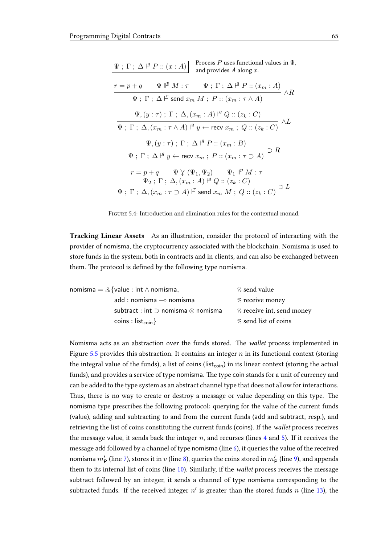<span id="page-68-0"></span>

| Process P uses functional values in $\Psi$ ,<br>$\Psi$ ; $\Gamma$ ; $\Delta$ $\vert$ <sup><i>4</i></sup> P :: $(x:A)$<br>and provides $A$ along $x$ .                                                                  |
|------------------------------------------------------------------------------------------------------------------------------------------------------------------------------------------------------------------------|
| $r = p + q$ $\Psi \Vdash^p M : \tau$ $\Psi$ ; $\Gamma$ ; $\Delta \Vdash^q P :: (x_m : A)$<br>$\longrightarrow$ $\land$ R                                                                                               |
| $\Psi$ ; $\Gamma$ ; $\Delta$ $\vdash$ send $x_m$ $M$ ; $P$ :: $(x_m : \tau \wedge A)$                                                                                                                                  |
| $\Psi, (y : \tau)$ ; $\Gamma$ ; $\Delta, (x_m : A)$ $\vert^q Q :: (z_k : C)$<br>$\wedge L$                                                                                                                             |
| $\Psi \; ; \; \Gamma \; ; \; \Delta, (x_m : \tau \wedge A) \;   \; ^g \; y \leftarrow \textsf{recv} \; x_m \; ; \; Q :: (z_k : C)$                                                                                     |
| $\Psi$ , $(y:\tau)$ ; $\Gamma$ ; $\Delta$ $\vdash$ $P$ :: $(x_m:B)$<br>$\supset R$                                                                                                                                     |
| $\Psi$ ; $\Gamma$ ; $\Delta$ $\vert$ <sup><i>a</i></sup> $y$ $\leftarrow$ recv $x_m$ ; $P$ :: $(x_m : \tau \supset A)$                                                                                                 |
| $r = p + q$ $\Psi \vee (\Psi_1, \Psi_2)$ $\Psi_1 \Vdash^p M : \tau$                                                                                                                                                    |
| $\Psi_2$ ; $\Gamma$ ; $\Delta$ , $(x_m : A)$ $\vert^q Q :: (z_k : C)$<br>$\supset$ $L$<br>$\overline{\Psi}$ ; $\Gamma$ ; $\overline{\Delta}, \overline{(x_m : \tau \supset A) \vdash}$ send $x_m M$ ; $Q :: (z_k : C)$ |

Figure 5.4: Introduction and elimination rules for the contextual monad.

Tracking Linear Assets As an illustration, consider the protocol of interacting with the provider of nomisma, the cryptocurrency associated with the blockchain. Nomisma is used to store funds in the system, both in contracts and in clients, and can also be exchanged between them. The protocol is defined by the following type nomisma.

| nomisma = $&$ {value : int $\wedge$ nomisma,       | % send value              |  |
|----------------------------------------------------|---------------------------|--|
| $add:nomisma \rightarrow nomisma$                  | % receive money           |  |
| subtract : int $\supset$ nomisma $\otimes$ nomisma | % receive int, send money |  |
| coins : $list_{coin}$                              | % send list of coins      |  |

Nomisma acts as an abstraction over the funds stored. The wallet process implemented in Figure [5.5](#page-69-1) provides this abstraction. It contains an integer  $n$  in its functional context (storing the integral value of the funds), a list of coins (list<sub>coin</sub>) in its linear context (storing the actual funds), and provides a service of type nomisma. The type coin stands for a unit of currency and can be added to the type system as an abstract channel type that does not allow for interactions. Thus, there is no way to create or destroy a message or value depending on this type. The nomisma type prescribes the following protocol: querying for the value of the current funds (value), adding and subtracting to and from the current funds (add and subtract, resp.), and retrieving the list of coins constituting the current funds (coins). If the wallet process receives the message value, it sends back the integer  $n$ , and recurses (lines [4](#page-69-2) and [5\)](#page-69-3). If it receives the message add followed by a channel of type nomisma (line [6\)](#page-69-4), it queries the value of the received nomisma  $m_{\mathsf{P}}'$  (line [7\)](#page-69-5), stores it in  $v$  (line [8\)](#page-69-6), queries the coins stored in  $m_{\mathsf{P}}'$  (line [9\)](#page-69-7), and appends them to its internal list of coins (line [10\)](#page-69-8). Similarly, if the wallet process receives the message subtract followed by an integer, it sends a channel of type nomisma corresponding to the subtracted funds. If the received integer  $n'$  is greater than the stored funds n (line [13\)](#page-69-9), the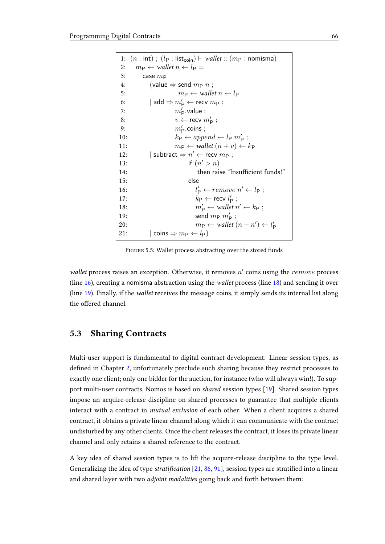```
1: (n : \text{int}); (l_P : \text{list}_{\text{coin}}) \vdash \text{wallet} :: (m_P : \text{nomisma})2: m_P \leftarrow \text{wallet } n \leftarrow l_P =3: case m_P4: \big( value \Rightarrow send m_P n;
5: m_{\text{P}} \leftarrow \text{wallet } n \leftarrow l_{\text{P}}6: | \text{ add } \Rightarrow m'_{\mathsf{P}} \leftarrow \text{recv } m_{\mathsf{P}} ;7: m'_P value ;
 8: v \leftarrow \text{recv } m'_{\text{P}};
 9: m'_P \text{.coins};
10: k_{\text{P}} \leftarrow append \leftarrow l_{\text{P}} m'_{\text{P}};11: m_{\text{P}} \leftarrow \text{wallet}(n + v) \leftarrow k_{\text{P}}12: |\text{ subtract} \Rightarrow n' \leftarrow \text{recv } m_{\text{P}};13: if (n' > n)14: then raise "Insufficient funds!"
15: else
16: lp'_{\mathsf{P}} \leftarrow remove \; n' \leftarrow l_{\mathsf{P}};17: k_{\rm P} \leftarrow recv l'_{\rm P};
18: m_1'p'_{\mathsf{P}} \leftarrow \text{wallet } n' \leftarrow k_{\mathsf{P}};19: send m_{\rm P} m_{\rm P}';
20: m_{\rm P} \leftarrow \text{wallet}(n - n') \leftarrow l'_{\rm P}21: |\text{ coins} \Rightarrow m_P \leftarrow l_P)
```
<span id="page-69-12"></span><span id="page-69-11"></span><span id="page-69-10"></span><span id="page-69-9"></span>FIGURE 5.5: Wallet process abstracting over the stored funds

wallet process raises an exception. Otherwise, it removes  $n'$  coins using the  $remove$  process (line [16\)](#page-69-10), creating a nomisma abstraction using the wallet process (line [18\)](#page-69-11) and sending it over (line [19\)](#page-69-12). Finally, if the wallet receives the message coins, it simply sends its internal list along the offered channel.

## <span id="page-69-0"></span>5.3 Sharing Contracts

Multi-user support is fundamental to digital contract development. Linear session types, as defined in Chapter [2,](#page-10-0) unfortunately preclude such sharing because they restrict processes to exactly one client; only one bidder for the auction, for instance (who will always win!). To support multi-user contracts, Nomos is based on shared session types [\[19\]](#page-99-1). Shared session types impose an acquire-release discipline on shared processes to guarantee that multiple clients interact with a contract in mutual exclusion of each other. When a client acquires a shared contract, it obtains a private linear channel along which it can communicate with the contract undisturbed by any other clients. Once the client releases the contract, it loses its private linear channel and only retains a shared reference to the contract.

A key idea of shared session types is to lift the acquire-release discipline to the type level. Generalizing the idea of type stratification  $[21, 86, 91]$  $[21, 86, 91]$  $[21, 86, 91]$  $[21, 86, 91]$  $[21, 86, 91]$ , session types are stratified into a linear and shared layer with two adjoint modalities going back and forth between them: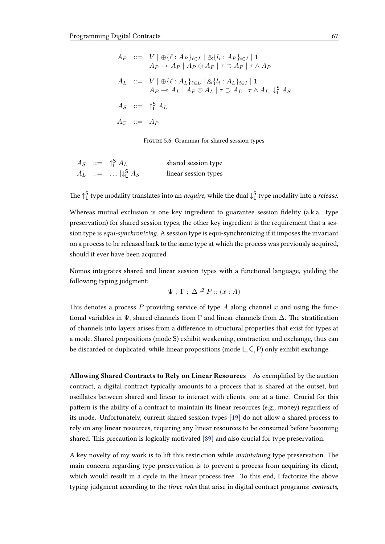<span id="page-70-0"></span>
$$
A_P \quad ::= \quad V \mid \bigoplus \{\ell : A_P\}_{\ell \in L} \mid \bigotimes \{\{l_i : A_P\}_{i \in I} \mid \mathbf{1}
$$
\n
$$
\mid \quad A_P \multimap A_P \mid A_P \otimes A_P \mid \tau \supset A_P \mid \tau \wedge A_P
$$
\n
$$
A_L \quad ::= \quad V \mid \bigoplus \{\ell : A_L\}_{\ell \in L} \mid \bigotimes \{\{l_i : A_L\}_{i \in I} \mid \mathbf{1}
$$
\n
$$
\mid \quad A_P \multimap A_L \mid A_P \otimes A_L \mid \tau \supset A_L \mid \tau \wedge A_L \mid \downarrow_1^S A_S
$$
\n
$$
A_S \quad ::= \quad \biguparrow\!\!\bigcap_{\mathbf{L}} A_L
$$
\n
$$
A_C \quad ::= \quad A_P
$$

Figure 5.6: Grammar for shared session types

|  | $A_S$ ::= $\uparrow$ $A_L$       | shared session type  |
|--|----------------------------------|----------------------|
|  | $A_L$ ::= $ \downarrow_1^S A_S $ | linear session types |

The  $\uparrow_L^\mathsf{S}$  type modality translates into an *acquire*, while the dual  $\downarrow_L^\mathsf{S}$  type modality into a *release*.

Whereas mutual exclusion is one key ingredient to guarantee session fidelity (a.k.a. type preservation) for shared session types, the other key ingredient is the requirement that a session type is equi-synchronizing. A session type is equi-synchronizing if it imposes the invariant on a process to be released back to the same type at which the process was previously acquired, should it ever have been acquired.

Nomos integrates shared and linear session types with a functional language, yielding the following typing judgment:

$$
\Psi ; \Gamma ; \Delta \nvdash^g P :: (x : A)
$$

This denotes a process P providing service of type A along channel x and using the functional variables in  $\Psi$ , shared channels from  $\Gamma$  and linear channels from  $\Delta$ . The stratification of channels into layers arises from a difference in structural properties that exist for types at a mode. Shared propositions (mode S) exhibit weakening, contraction and exchange, thus can be discarded or duplicated, while linear propositions (mode L, C, P) only exhibit exchange.

Allowing Shared Contracts to Rely on Linear Resources As exemplified by the auction contract, a digital contract typically amounts to a process that is shared at the outset, but oscillates between shared and linear to interact with clients, one at a time. Crucial for this pattern is the ability of a contract to maintain its linear resources (e.g., money) regardless of its mode. Unfortunately, current shared session types [\[19\]](#page-99-1) do not allow a shared process to rely on any linear resources, requiring any linear resources to be consumed before becoming shared. This precaution is logically motivated  $[89]$  and also crucial for type preservation.

A key novelty of my work is to lift this restriction while *maintaining* type preservation. The main concern regarding type preservation is to prevent a process from acquiring its client, which would result in a cycle in the linear process tree. To this end, I factorize the above typing judgment according to the *three roles* that arise in digital contract programs: *contracts*,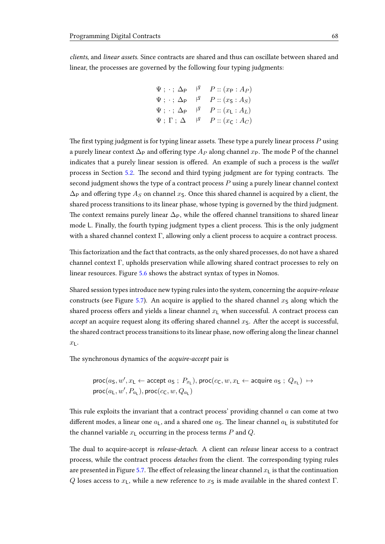clients, and linear assets. Since contracts are shared and thus can oscillate between shared and linear, the processes are governed by the following four typing judgments:

$$
\Psi ; \cdot ; \Delta_{\mathsf{P}} \quad \vert \mathsf{q} \quad P :: (x_{\mathsf{P}} : A_{\mathsf{P}})
$$
\n
$$
\Psi ; \cdot ; \Delta_{\mathsf{P}} \quad \vert \mathsf{q} \quad P :: (x_{\mathsf{S}} : A_{\mathsf{S}})
$$
\n
$$
\Psi ; \cdot ; \Delta_{\mathsf{P}} \quad \vert \mathsf{q} \quad P :: (x_{\mathsf{L}} : A_{\mathsf{L}})
$$
\n
$$
\Psi ; \Gamma ; \Delta \quad \vert \mathsf{q} \quad P :: (x_{\mathsf{C}} : A_{\mathsf{C}})
$$

The first typing judgment is for typing linear assets. These type a purely linear process  $P$  using a purely linear context  $\Delta_P$  and offering type  $A_P$  along channel  $x_P$ . The mode P of the channel indicates that a purely linear session is offered. An example of such a process is the wallet process in Section [5.2.](#page-65-0) The second and third typing judgment are for typing contracts. The second judgment shows the type of a contract process  $P$  using a purely linear channel context  $\Delta_P$  and offering type  $A_S$  on channel  $x_S$ . Once this shared channel is acquired by a client, the shared process transitions to its linear phase, whose typing is governed by the third judgment. The context remains purely linear  $\Delta_P$ , while the offered channel transitions to shared linear mode L. Finally, the fourth typing judgment types a client process. This is the only judgment with a shared channel context  $\Gamma$ , allowing only a client process to acquire a contract process.

This factorization and the fact that contracts, as the only shared processes, do not have a shared channel context Γ, upholds preservation while allowing shared contract processes to rely on linear resources. Figure [5.6](#page-70-0) shows the abstract syntax of types in Nomos.

Shared session types introduce new typing rules into the system, concerning the acquire-release constructs (see Figure [5.7\)](#page-72-1). An acquire is applied to the shared channel  $x<sub>S</sub>$  along which the shared process offers and yields a linear channel  $x<sub>L</sub>$  when successful. A contract process can accept an acquire request along its offering shared channel  $x<sub>S</sub>$ . After the accept is successful, the shared contract process transitions to its linear phase, now offering along the linear channel  $x_{\text{L}}$ .

The synchronous dynamics of the *acquire-accept* pair is

$$
\text{proc}(a_S, w', x_L \leftarrow \text{accept } a_S ; P_{x_L}), \text{proc}(c_C, w, x_L \leftarrow \text{acquire } a_S ; Q_{x_L}) \mapsto \text{proc}(a_L, w', P_{a_L}), \text{proc}(c_C, w, Q_{a_L})
$$

This rule exploits the invariant that a contract process' providing channel  $a$  can come at two different modes, a linear one  $a_L$ , and a shared one  $a_S$ . The linear channel  $a_L$  is substituted for the channel variable  $x_{\text{L}}$  occurring in the process terms  $P$  and  $Q$ .

The dual to acquire-accept is *release-detach*. A client can *release* linear access to a contract process, while the contract process *detaches* from the client. The corresponding typing rules are presented in Figure [5.7.](#page-72-1) The effect of releasing the linear channel  $x<sub>L</sub>$  is that the continuation Q loses access to  $x<sub>L</sub>$ , while a new reference to  $x<sub>S</sub>$  is made available in the shared context Γ.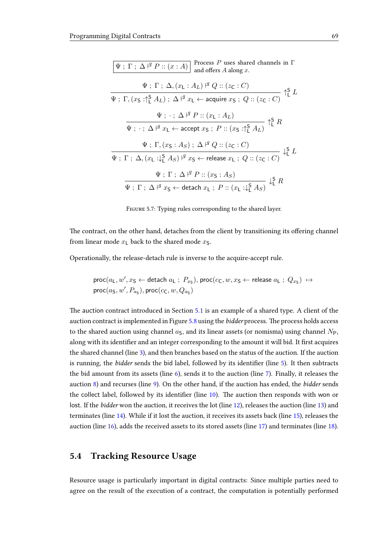| Process $P$ uses shared channels in $\Gamma$<br>$\Psi$ ; $\Gamma$ ; $\Delta$ $\vert$ <sup><i>a</i></sup> P :: $(x:A)$<br>and offers $A$ along $x$ . |                    |
|-----------------------------------------------------------------------------------------------------------------------------------------------------|--------------------|
| $\Psi$ ; $\Gamma$ ; $\Delta$ , $(x_L : A_L)$ $\vert \Psi Q :: (z_C : C)$                                                                            |                    |
| $\Psi$ ; $\Gamma$ , $(x_S : \uparrow_L^S A_L)$ ; $\Delta \nvdash^g x_L \leftarrow$ acquire $x_S$ ; $Q :: (z_C : C)$                                 | $\uparrow_L^5$ $L$ |
| $\Psi$ ; $\cdot$ ; $\Delta$ $\vert$ <sup><i>4</i></sup> P :: $(x_L : A_L)$<br>$\uparrow$ <sup>5</sup> $R$                                           |                    |
| $\Psi$ ; $\cdot$ ; $\Delta$ $\vert^q$ $x_L$ $\leftarrow$ accept $x_S$ ; $P$ :: $\overline{(x_S : \uparrow_1^S A_L)}$                                |                    |
| $\Psi$ ; $\Gamma$ , $(x_S : A_S)$ ; $\Delta \nvdash^q Q :: (z_C : C)$                                                                               |                    |
| $\Psi$ ; $\Gamma$ ; $\Delta$ , $(x_L : \downarrow_1^S A_S)$ $\vert^g x_S \leftarrow$ release $x_L$ ; $Q :: (z_C : C)$                               |                    |
| $\Psi$ ; $\Gamma$ ; $\Delta$ $\vert$ <sup><i>4</i></sup> P :: $(x_S : A_S)$<br>$\downarrow^S_L R$                                                   |                    |
| $\Psi$ ; $\Gamma$ ; $\Delta$ $\vdash$ $x_S$ $\leftarrow$ detach $x_L$ ; $P :: (x_L : \downarrow_S^S A_S)$                                           |                    |

FIGURE 5.7: Typing rules corresponding to the shared layer.

The contract, on the other hand, detaches from the client by transitioning its offering channel from linear mode  $x_L$  back to the shared mode  $x_S$ .

Operationally, the release-detach rule is inverse to the acquire-accept rule.

$$
\text{proc}(a_L, w', x_S \leftarrow \text{detach } a_L ; P_{x_S}), \text{proc}(c_C, w, x_S \leftarrow \text{release } a_L ; Q_{x_S}) \mapsto \text{proc}(a_S, w', P_{a_S}), \text{proc}(c_C, w, Q_{a_S})
$$

The auction contract introduced in Section [5.1](#page-62-0) is an example of a shared type. A client of the auction contract is implemented in Figure [5.8](#page-73-0) using the *bidder* process. The process holds access to the shared auction using channel  $a<sub>S</sub>$ , and its linear assets (or nomisma) using channel  $N_{P}$ , along with its identifier and an integer corresponding to the amount it will bid. It first acquires the shared channel (line [3\)](#page-73-1), and then branches based on the status of the auction. If the auction is running, the *bidder* sends the bid label, followed by its identifier (line [5\)](#page-73-2). It then subtracts the bid amount from its assets (line [6\)](#page-73-3), sends it to the auction (line [7\)](#page-73-4). Finally, it releases the auction [8\)](#page-73-5) and recurses (line [9\)](#page-73-6). On the other hand, if the auction has ended, the *bidder* sends the collect label, followed by its identifier (line  $10$ ). The auction then responds with won or lost. If the bidder won the auction, it receives the lot (line [12\)](#page-73-8), releases the auction (line [13\)](#page-73-9) and terminates (line [14\)](#page-73-10). While if it lost the auction, it receives its assets back (line [15\)](#page-73-11), releases the auction (line [16\)](#page-73-12), adds the received assets to its stored assets (line [17\)](#page-73-13) and terminates (line [18\)](#page-73-14).

### 5.4 Tracking Resource Usage

Resource usage is particularly important in digital contracts: Since multiple parties need to agree on the result of the execution of a contract, the computation is potentially performed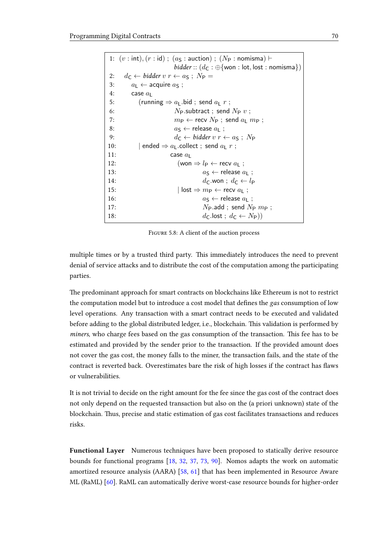<span id="page-73-3"></span><span id="page-73-2"></span><span id="page-73-1"></span><span id="page-73-0"></span>

|     | 1: $(v:int), (r:id)$ ; $(aS:auction); (NP:nomisma)$                                                                                    |
|-----|----------------------------------------------------------------------------------------------------------------------------------------|
|     | <i>bidder</i> :: $(d_C : \bigoplus \{ \text{won} : \text{lot}, \text{lost} : \text{nomisma} \})$                                       |
| 2:  | $d_{\mathsf{C}} \leftarrow \text{bidder } v \ r \leftarrow a_{\mathsf{S}} \ ; \ N_{\mathsf{P}} =$                                      |
| 3:  | $a_L \leftarrow$ acquire $a_S$ ;                                                                                                       |
| 4:  | case $a1$                                                                                                                              |
| 5:  | (running $\Rightarrow a_{L}$ bid; send $a_{L}$ r;                                                                                      |
| 6:  | $N_P$ subtract; send $N_P v$ ;                                                                                                         |
| 7:  | $m_P \leftarrow$ recv $N_P$ ; send $a_L$ $m_P$ ;                                                                                       |
| 8:  | $a_{\mathsf{S}} \leftarrow$ release $a_{\mathsf{I}}$ ;                                                                                 |
| 9:  | $d_{\mathsf{C}} \leftarrow \text{bidder } v \ r \leftarrow a_{\mathsf{S}} \ ; \ N_{\mathsf{P}}$                                        |
| 10: | $ $ ended $\Rightarrow a_{\mathsf{L}}$ collect ; send $a_{\mathsf{L}}$ $r$ ;                                                           |
| 11: | case $a_1$                                                                                                                             |
| 12: | (won $\Rightarrow l_P \leftarrow$ recv $a_L$ ;                                                                                         |
| 13: | $a\varsigma \leftarrow$ release $a_1$ :                                                                                                |
| 14: | $d_{\mathsf{C}}$ won : $d_{\mathsf{C}} \leftarrow l_{\mathsf{P}}$                                                                      |
| 15: | $\vert \hspace{0.5mm} \textsf{lost} \Rightarrow m_{\mathsf{P}} \leftarrow \textsf{recv} \hspace{0.5mm} a_{\mathsf{L}} \hspace{0.5mm};$ |
| 16: | $a_{\mathsf{S}} \leftarrow$ release $a_{\mathsf{I}}$ ;                                                                                 |
| 17: | $N_{\rm P}$ add; send $N_{\rm P}$ $m_{\rm P}$ ;                                                                                        |
| 18: | $d_{\mathsf{C}}$ .lost; $d_{\mathsf{C}} \leftarrow N_{\mathsf{P}}$ )                                                                   |

<span id="page-73-14"></span><span id="page-73-13"></span><span id="page-73-12"></span><span id="page-73-11"></span><span id="page-73-10"></span><span id="page-73-9"></span><span id="page-73-8"></span><span id="page-73-7"></span><span id="page-73-6"></span><span id="page-73-5"></span><span id="page-73-4"></span>FIGURE 5.8: A client of the auction process

multiple times or by a trusted third party. This immediately introduces the need to prevent denial of service attacks and to distribute the cost of the computation among the participating parties.

The predominant approach for smart contracts on blockchains like Ethereum is not to restrict the computation model but to introduce a cost model that defines the gas consumption of low level operations. Any transaction with a smart contract needs to be executed and validated before adding to the global distributed ledger, i.e., blockchain. This validation is performed by miners, who charge fees based on the gas consumption of the transaction. This fee has to be estimated and provided by the sender prior to the transaction. If the provided amount does not cover the gas cost, the money falls to the miner, the transaction fails, and the state of the contract is reverted back. Overestimates bare the risk of high losses if the contract has flaws or vulnerabilities.

It is not trivial to decide on the right amount for the fee since the gas cost of the contract does not only depend on the requested transaction but also on the (a priori unknown) state of the blockchain. Thus, precise and static estimation of gas cost facilitates transactions and reduces risks.

Functional Layer Numerous techniques have been proposed to statically derive resource bounds for functional programs [\[18,](#page-99-0) [32,](#page-100-0) [37,](#page-101-0) [73,](#page-103-0) [90\]](#page-105-0). Nomos adapts the work on automatic amortized resource analysis (AARA) [\[58,](#page-102-0) [61\]](#page-103-1) that has been implemented in Resource Aware ML (RaML) [\[60\]](#page-103-2). RaML can automatically derive worst-case resource bounds for higher-order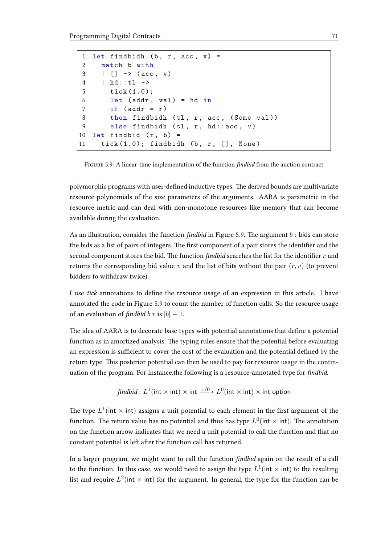```
1 let findbidh (b, r, acc, v) =
2 match b with
3 \mid [] \rightarrow (\text{acc}, \text{v})4 | hd :: tl ->
5 tick (1.0);
6 let (addr, val) = hd in
7 if (\text{addr} = r)8 then findbidh (tl, r, acc, (Some val))
9 else findbidh (tl, r, hd::acc, v)
10 let findbid (r, b) =
11 tick(1.0); findbidh(b, r, [], None)
```
FIGURE 5.9: A linear-time implementation of the function findbid from the auction contract

polymorphic programs with user-defined inductive types. The derived bounds are multivariate resource polynomials of the size parameters of the arguments. AARA is parametric in the resource metric and can deal with non-monotone resources like memory that can become available during the evaluation.

As an illustration, consider the function  $findbid$  in Figure [5.9.](#page-74-0) The argument  $b$  : bids can store the bids as a list of pairs of integers. The first component of a pair stores the identifier and the second component stores the bid. The function  $findbid$  searches the list for the identifier  $r$  and returns the corresponding bid value v and the list of bits without the pair  $(r, v)$  (to prevent bidders to withdraw twice).

I use tick annotations to define the resource usage of an expression in this article. I have annotated the code in Figure [5.9](#page-74-0) to count the number of function calls. So the resource usage of an evaluation of findbid b r is  $|b| + 1$ .

The idea of AARA is to decorate base types with potential annotations that define a potential function as in amortized analysis. The typing rules ensure that the potential before evaluating an expression is sufficient to cover the cost of the evaluation and the potential defined by the return type. This posterior potential can then be used to pay for resource usage in the continuation of the program. For instance, the following is a resource-annotated type for *findbid*.

$$
\textit{findbid}: L^1(\mathsf{int} \times \mathsf{int}) \times \mathsf{int} \xrightarrow{1/0} L^0(\mathsf{int} \times \mathsf{int}) \times \mathsf{int} \text{ option}
$$

The type  $L^1$ (int  $\times$  int) assigns a unit potential to each element in the first argument of the function. The return value has no potential and thus has type  $L^0(\mathsf{int} \times \mathsf{int})$ . The annotation on the function arrow indicates that we need a unit potential to call the function and that no constant potential is left after the function call has returned.

In a larger program, we might want to call the function *findbid* again on the result of a call to the function. In this case, we would need to assign the type  $L^1(\mathsf{int} \times \mathsf{int})$  to the resulting list and require  $L^2$ (int  $\times$  int) for the argument. In general, the type for the function can be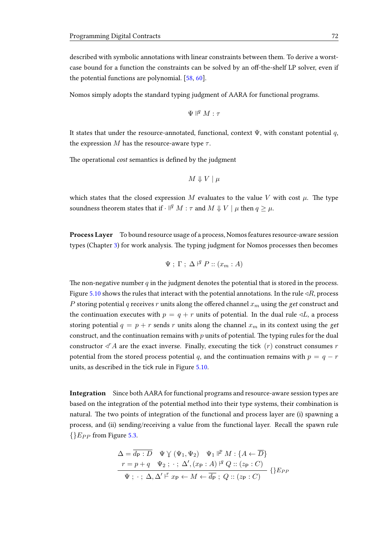described with symbolic annotations with linear constraints between them. To derive a worstcase bound for a function the constraints can be solved by an off-the-shelf LP solver, even if the potential functions are polynomial. [\[58,](#page-102-0) [60\]](#page-103-2).

Nomos simply adopts the standard typing judgment of AARA for functional programs.

$$
\Psi\parallel^{\!q}M:\tau
$$

It states that under the resource-annotated, functional, context  $\Psi$ , with constant potential q, the expression M has the resource-aware type  $\tau$ .

The operational *cost* semantics is defined by the judgment

$$
M \Downarrow V \mid \mu
$$

which states that the closed expression M evaluates to the value V with cost  $\mu$ . The type soundness theorem states that if  $\cdot$   $\mathbb{I}^q$   $M$  :  $\tau$  and  $M$   $\Downarrow$   $V \mid \mu$  then  $q \geq \mu$ .

Process Layer To bound resource usage of a process, Nomos features resource-aware session types (Chapter [3\)](#page-21-0) for work analysis. The typing judgment for Nomos processes then becomes

$$
\Psi ; \Gamma ; \Delta \nvdash^q P :: (x_m : A)
$$

The non-negative number  $q$  in the judgment denotes the potential that is stored in the process. Figure [5.10](#page-76-0) shows the rules that interact with the potential annotations. In the rule  $\triangleleft R$ , process P storing potential q receives r units along the offered channel  $x_m$  using the get construct and the continuation executes with  $p = q + r$  units of potential. In the dual rule  $\triangleleft L$ , a process storing potential  $q = p + r$  sends r units along the channel  $x_m$  in its context using the get construct, and the continuation remains with  $p$  units of potential. The typing rules for the dual constructor  $\triangleleft^r A$  are the exact inverse. Finally, executing the tick  $(r)$  construct consumes r potential from the stored process potential q, and the continuation remains with  $p = q - r$ units, as described in the tick rule in Figure [5.10.](#page-76-0)

Integration Since both AARA for functional programs and resource-aware session types are based on the integration of the potential method into their type systems, their combination is natural. The two points of integration of the functional and process layer are (i) spawning a process, and (ii) sending/receiving a value from the functional layer. Recall the spawn rule  ${E_{PP}}$  from Figure [5.3.](#page-67-0)

$$
\Delta = \overline{d_{\mathsf{P}} : D} \quad \Psi \lor (\Psi_1, \Psi_2) \quad \Psi_1 \Vdash^p M : \{A \leftarrow \overline{D}\}
$$
\n
$$
r = p + q \quad \Psi_2 : \cdot : \Delta', (x_{\mathsf{P}} : A) \Vdash^q Q :: (z_{\mathsf{P}} : C)
$$
\n
$$
\Psi : \cdot : \Delta, \Delta' \Vdash x_{\mathsf{P}} \leftarrow M \leftarrow \overline{d_{\mathsf{P}}} ; Q :: (z_{\mathsf{P}} : C)
$$
\n
$$
\{E_{PP}
$$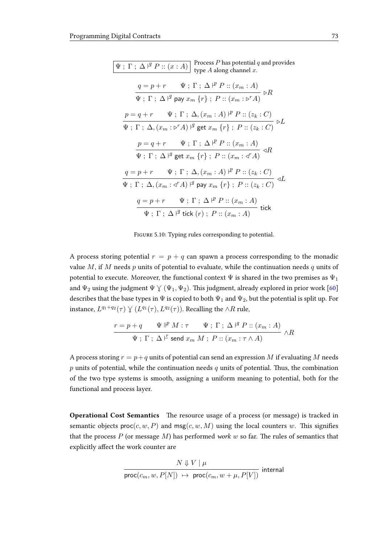<span id="page-76-0"></span>

| Process $P$ has potential $q$ and provides<br>$\Psi$ ; $\Gamma$ ; $\Delta$ $\vert$ <sup><i>a</i></sup> <i>P</i> :: $(x : A)$<br>type $A$ along channel $x$ .                                                                                                  |
|---------------------------------------------------------------------------------------------------------------------------------------------------------------------------------------------------------------------------------------------------------------|
| $\frac{q=p+r\quad \Psi \; ; \; \Gamma \; ; \; \Delta \stackrel{p}{\longleftarrow} P :: (x_m : A)}{\Psi \; ; \; \Gamma \; ; \; \Delta \stackrel{q}{\longleftarrow} \mathsf{pay} \; x_m \; \{r\} \; ; \; P :: (x_m : \triangleright^r A)} \; \triangleright R$  |
| $\frac{p = q + r \quad \Psi \; ; \; \Gamma \; ; \; \Delta, (x_m : A) \;  ^p \; P :: (z_k : C)}{\Psi \; ; \; \Gamma \; ; \; \Delta, (x_m : \triangleright^r A) \;  ^g \; \text{get} \; x_m \; \{r\} \; ; \; P :: (z_k : C)} \; \triangleright L$               |
|                                                                                                                                                                                                                                                               |
| $\frac{p = q + r \quad \quad \Psi \; ; \; \Gamma \; ; \; \Delta \stackrel{\varphi}{\vdash} P :: (x_m : A)}{\Psi \; ; \; \Gamma \; ; \; \Delta \stackrel{\varphi}{\vdash} \text{get } x_m \; \{r\} \; ; \; P :: (x_m : \triangleleft^r A)} \; \triangleleft R$ |
| $\frac{q=p+r\quad \Psi \; ; \; \Gamma \; ; \; \Delta, (x_m:A) \; \mathsf{I}^p \; P :: (z_k:C)}{\Psi \; ; \; \Gamma \; ; \; \Delta, (x_m:A) \; \mathsf{I}^q \; \mathsf{pay} \; x_m \; \{r\} \; ; \; P :: (z_k:C) } \; \mathsf{J} L$                            |
|                                                                                                                                                                                                                                                               |
| $\frac{q=p+r\quad \Psi \; ; \; \Gamma \; ; \; \Delta \;  ^p \; P :: (x_m:A)}{\Psi \; ; \; \Gamma \; ; \; \Delta \;  ^q \; \text{tick} \; (r) \; ; \; P :: (x_m:A)}$<br>tick                                                                                   |

FIGURE 5.10: Typing rules corresponding to potential.

A process storing potential  $r = p + q$  can spawn a process corresponding to the monadic value M, if M needs  $p$  units of potential to evaluate, while the continuation needs  $q$  units of potential to execute. Moreover, the functional context  $\Psi$  is shared in the two premises as  $\Psi_1$ and  $\Psi_2$  using the judgment  $\Psi \vee (\Psi_1, \Psi_2)$ . This judgment, already explored in prior work [\[60\]](#page-103-2) describes that the base types in  $\Psi$  is copied to both  $\Psi_1$  and  $\Psi_2$ , but the potential is split up. For instance,  $L^{q_1+q_2}(\tau) \vee (L^{q_1}(\tau), L^{q_2}(\tau))$ . Recalling the ∧R rule,

$$
\frac{r = p + q \qquad \Psi \nparallel^p M : \tau \qquad \Psi ; \Gamma ; \Delta \nparallel^q P :: (x_m : A)}{\Psi ; \Gamma ; \Delta \nparallel^r \mathsf{send}\ x_m M ; P :: (x_m : \tau \wedge A)} \wedge R
$$

A process storing  $r = p + q$  units of potential can send an expression M if evaluating M needs  $p$  units of potential, while the continuation needs  $q$  units of potential. Thus, the combination of the two type systems is smooth, assigning a uniform meaning to potential, both for the functional and process layer.

Operational Cost Semantics The resource usage of a process (or message) is tracked in semantic objects  $proc(c, w, P)$  and  $msg(c, w, M)$  using the local counters w. This signifies that the process  $P$  (or message  $M$ ) has performed work  $w$  so far. The rules of semantics that explicitly affect the work counter are

$$
\frac{N \Downarrow V \mid \mu}{\text{proc}(c_m, w, P[N]) \: \mapsto \: \text{proc}(c_m, w + \mu, P[V])} \text{ internal}
$$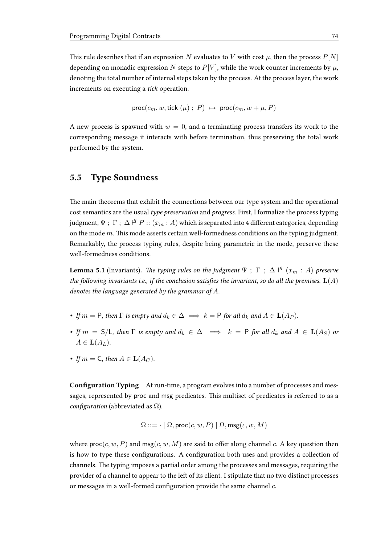This rule describes that if an expression N evaluates to V with cost  $\mu$ , then the process  $P[N]$ depending on monadic expression N steps to  $P[V]$ , while the work counter increments by  $\mu$ , denoting the total number of internal steps taken by the process. At the process layer, the work increments on executing a tick operation.

$$
\mathsf{proc}(c_m, w, \mathsf{tick}(\mu) ; P) \mapsto \mathsf{proc}(c_m, w + \mu, P)
$$

A new process is spawned with  $w = 0$ , and a terminating process transfers its work to the corresponding message it interacts with before termination, thus preserving the total work performed by the system.

## 5.5 Type Soundness

The main theorems that exhibit the connections between our type system and the operational cost semantics are the usual type preservation and progress. First, I formalize the process typing judgment,  $\Psi~;~\Gamma~;~\Delta \mid ^{g}P::(x_{m}:A)$  which is separated into 4 different categories, depending on the mode  $m$ . This mode asserts certain well-formedness conditions on the typing judgment. Remarkably, the process typing rules, despite being parametric in the mode, preserve these well-formedness conditions.

**Lemma 5.1** (Invariants). The typing rules on the judgment  $\Psi$  ;  $\Gamma$  ;  $\Delta$   $\vert^{q}$   $(x_{m} : A)$  preserve the following invariants i.e., if the conclusion satisfies the invariant, so do all the premises.  $L(A)$ denotes the language generated by the grammar of  $A$ .

- If  $m = P$ , then  $\Gamma$  is empty and  $d_k \in \Delta \implies k = P$  for all  $d_k$  and  $A \in L(A_P)$ .
- If  $m = S/L$ , then  $\Gamma$  is empty and  $d_k \in \Delta \implies k = P$  for all  $d_k$  and  $A \in L(A_S)$  or  $A \in {\bf L}(A_L)$ .
- If  $m = \mathsf{C}$ , then  $A \in \mathbf{L}(A_C)$ .

Configuration Typing At run-time, a program evolves into a number of processes and messages, represented by proc and msg predicates. This multiset of predicates is referred to as a configuration (abbreviated as  $\Omega$ ).

$$
\Omega ::= \cdot \mid \Omega, \mathsf{proc}(c, w, P) \mid \Omega, \mathsf{msg}(c, w, M)
$$

where  $\textsf{proc}(c, w, P)$  and  $\textsf{msg}(c, w, M)$  are said to offer along channel c. A key question then is how to type these configurations. A configuration both uses and provides a collection of channels. The typing imposes a partial order among the processes and messages, requiring the provider of a channel to appear to the left of its client. I stipulate that no two distinct processes or messages in a well-formed configuration provide the same channel  $c$ .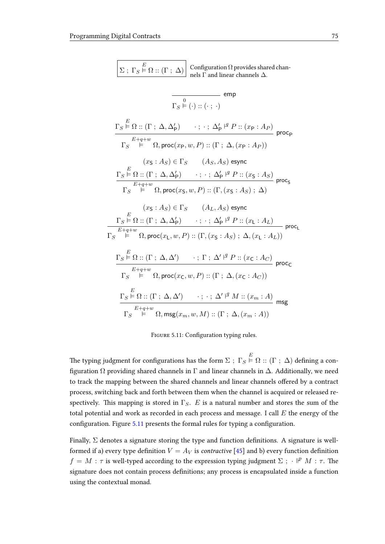<span id="page-78-0"></span>

| $\Sigma$ ; $\Gamma_S \overset{E}{\models} \Omega$ :: $(\Gamma ; \Delta)$ Configuration $\Omega$ provides shared channels $\Delta$ .                                                                                                                                                                                                                                        |  |
|----------------------------------------------------------------------------------------------------------------------------------------------------------------------------------------------------------------------------------------------------------------------------------------------------------------------------------------------------------------------------|--|
| $\overline{\frac{0}{\Gamma_S \overset{0}{\vDash} (\cdot) :: (\cdot \ ; \ \cdot)}}$ emp                                                                                                                                                                                                                                                                                     |  |
| $\Gamma_S \stackrel{E}{\models} \Omega :: (\Gamma \; ; \; \Delta, \Delta_{\mathsf{P}}') \qquad \cdot \; ; \; \cdot \; ; \; \Delta_{\mathsf{P}}' \stackrel{\mathsf{q}}{=} P :: (x_{\mathsf{P}} : A_P)$ proc <sub>p</sub><br>$\Gamma_S \stackrel{E+q+w}{\models} \Omega, \mathsf{proc}(x_{\mathsf{P}}, w, P) :: (\Gamma \; ; \; \Delta, (x_{\mathsf{P}} : A_P))$             |  |
| $(x_S : A_S) \in \Gamma_S$ $(A_S, A_S)$ esync<br>$\Gamma_S \stackrel{E}{\vdash} \Omega :: (\Gamma : \Delta, \Delta_P') \qquad : \, : \, : \, \Delta_P' \stackrel{\varphi}{\vdash} P :: (x_S : A_S)$ proc <sub>s</sub><br>$\Gamma_S \stackrel{E+q+w}{\models} \Omega, \mathsf{proc}(x_{\mathsf{S}},w,P) :: (\Gamma, (x_{\mathsf{S}}:A_S) \; ; \; \Delta)$                   |  |
| $(x_S : A_S) \in \Gamma_S$ $(A_L, A_S)$ esync<br>$\Gamma_S \stackrel{E}{\models} \Omega :: (\Gamma ; \Delta, \Delta_P')$ $\cdot ; \cdot ; \Delta_P' \stackrel{\beta}{\models} P :: (x_L : A_L)$ proc <sub>L</sub><br>$\Gamma_S \stackrel{E+q+w}{\models} \Omega, \mathsf{proc}(x_\mathsf{L}, w, P) :: (\Gamma, (x_\mathsf{S} : A_S) \; ; \; \Delta, (x_\mathsf{L} : A_L))$ |  |
| $\frac{\Gamma_S \overset{E}{\models} \Omega :: (\Gamma \; ; \; \Delta, \Delta') \qquad \cdot \; ; \; \Gamma \; ; \; \Delta' \vdash^{g} P :: (x_{\mathsf{C}} : A_C)}{\mathsf{proc}_{\mathsf{C}}}$<br>$\Gamma_S \stackrel{E+q+w}{\models} \Omega, \mathsf{proc}(x_{\mathsf{C}},w,P) :: (\Gamma \; ; \; \Delta, (x_{\mathsf{C}} : A_C))$                                      |  |
| $\Gamma_S \stackrel{E}{\models} \Omega :: (\Gamma \; ; \; \Delta, \Delta') \qquad \cdot \; ; \; \cdot \; ; \; \Delta' \stackrel{\sqcup}{\rightarrow} M :: (x_m : A)$ msg<br>$\Gamma_S \stackrel{E+q+w}{\models} \Omega, \mathsf{msg}(x_m,w,M) :: (\Gamma \; ; \; \Delta, (x_m : A))$                                                                                       |  |

FIGURE 5.11: Configuration typing rules.

The typing judgment for configurations has the form  $\Sigma~;~\Gamma_S \stackrel{E}{\models} \Omega :: (\Gamma~;~\Delta)$  defining a configuration  $Ω$  providing shared channels in  $Γ$  and linear channels in  $Δ$ . Additionally, we need to track the mapping between the shared channels and linear channels offered by a contract process, switching back and forth between them when the channel is acquired or released respectively. This mapping is stored in  $\Gamma_S$ . E is a natural number and stores the sum of the total potential and work as recorded in each process and message. I call  $E$  the energy of the configuration. Figure [5.11](#page-78-0) presents the formal rules for typing a configuration.

Finally,  $\Sigma$  denotes a signature storing the type and function definitions. A signature is wellformed if a) every type definition  $V = A_V$  is *contractive* [\[45\]](#page-101-1) and b) every function definition  $f = M : \tau$  is well-typed according to the expression typing judgment  $\Sigma$ ;  $\cdot$   $\mathbb{P}^p M : \tau$ . The signature does not contain process definitions; any process is encapsulated inside a function using the contextual monad.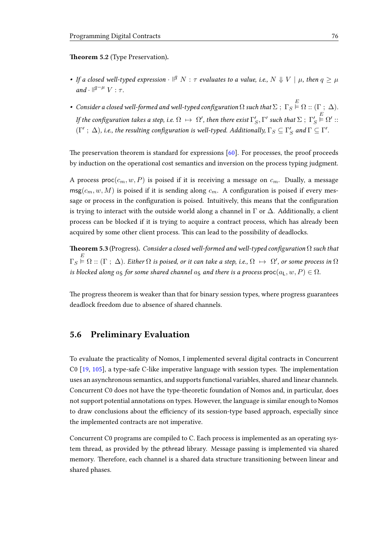Theorem 5.2 (Type Preservation).

- If a closed well-typed expression  $\cdot$   $\mathbb{I}^q$   $N$  :  $\tau$  evaluates to a value, i.e.,  $N \Downarrow V \mid \mu$ , then  $q \geq \mu$  $and \cdot \parallel^{q-\mu} V : \tau.$
- $\bullet~$  Consider a closed well-formed and well-typed configuration  $\Omega$  such that  $\Sigma~;~\Gamma_S \stackrel{E}{\vDash} \Omega :: (\Gamma~;~\Delta).$ If the configuration takes a step, i.e.  $\Omega\,\mapsto\,\Omega',$  then there exist  $\Gamma'_S,\Gamma'$  such that  $\Sigma$  ;  $\,\Gamma'_S$  $\mathop{_{\text{E}}^E}\nolimits \Omega' ::$  $(\Gamma' \, ; \, \Delta)$ , i.e., the resulting configuration is well-typed. Additionally,  $\Gamma_S \subseteq \Gamma_S'$  and  $\Gamma \subseteq \Gamma'.$

The preservation theorem is standard for expressions  $[60]$ . For processes, the proof proceeds by induction on the operational cost semantics and inversion on the process typing judgment.

A process proc $(c_m, w, P)$  is poised if it is receiving a message on  $c_m$ . Dually, a message  $msg(c_m, w, M)$  is poised if it is sending along  $c_m$ . A configuration is poised if every message or process in the configuration is poised. Intuitively, this means that the configuration is trying to interact with the outside world along a channel in  $\Gamma$  or  $\Delta$ . Additionally, a client process can be blocked if it is trying to acquire a contract process, which has already been acquired by some other client process. This can lead to the possibility of deadlocks.

**Theorem 5.3** (Progress). Consider a closed well-formed and well-typed configuration  $\Omega$  such that  $\Gamma_S \overset{E}{\vDash} \Omega :: (\Gamma \; ; \; \Delta)$ . Either  $\Omega$  is poised, or it can take a step, i.e.,  $\Omega \; \mapsto \; \Omega'$ , or some process in  $\Omega$ is blocked along  $a_S$  for some shared channel  $a_S$  and there is a process proc $(a_L, w, P) \in \Omega$ .

The progress theorem is weaker than that for binary session types, where progress guarantees deadlock freedom due to absence of shared channels.

### 5.6 Preliminary Evaluation

To evaluate the practicality of Nomos, I implemented several digital contracts in Concurrent C0  $[19, 105]$  $[19, 105]$  $[19, 105]$ , a type-safe C-like imperative language with session types. The implementation uses an asynchronous semantics, and supports functional variables, shared and linear channels. Concurrent C0 does not have the type-theoretic foundation of Nomos and, in particular, does not support potential annotations on types. However, the language is similar enough to Nomos to draw conclusions about the efficiency of its session-type based approach, especially since the implemented contracts are not imperative.

Concurrent C0 programs are compiled to C. Each process is implemented as an operating system thread, as provided by the pthread library. Message passing is implemented via shared memory. Therefore, each channel is a shared data structure transitioning between linear and shared phases.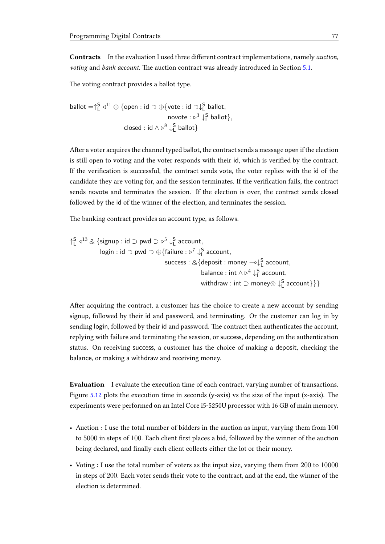Contracts In the evaluation I used three different contract implementations, namely *auction*, voting and bank account. The auction contract was already introduced in Section [5.1.](#page-62-0)

The voting contract provides a ballot type.

$$
\text{ballot} = \uparrow_L^S \vartriangleleft^{11} \oplus \{\text{open} : \text{id} \supset \oplus \{\text{vote} : \text{id} \supset \downarrow_L^S \text{ ballot}\},
$$
\n
$$
\text{novote} : \triangleright^3 \downarrow_L^S \text{ ballot}\},
$$
\n
$$
\text{closed} : \text{id} \wedge \triangleright^8 \downarrow_L^S \text{ ballot}\}
$$

After a voter acquires the channel typed ballot, the contract sends a message open if the election is still open to voting and the voter responds with their id, which is verified by the contract. If the verification is successful, the contract sends vote, the voter replies with the id of the candidate they are voting for, and the session terminates. If the verification fails, the contract sends novote and terminates the session. If the election is over, the contract sends closed followed by the id of the winner of the election, and terminates the session.

The banking contract provides an account type, as follows.

$$
\uparrow_L^S \vartriangleleft^{13} \otimes \{ \text{signup} : \text{id} \supset \text{pwd} \supset \vartriangleright^5 \downarrow_L^S \text{ account}, \\ \text{login} : \text{id} \supset \text{pwd} \supset \oplus \{ \text{failure} : \vartriangleright^7 \downarrow_L^S \text{ account}, \\ \text{success} : \vartriangleleft \{ \text{deposit} : \text{money} \multimap \downarrow_L^S \text{ account}, \\ \text{balance} : \text{int} \wedge \vartriangleright^4 \downarrow_L^S \text{ account}, \\ \text{withdraw} : \text{int} \supset \text{money} \otimes \downarrow_L^S \text{ account} \} \} \}
$$

After acquiring the contract, a customer has the choice to create a new account by sending signup, followed by their id and password, and terminating. Or the customer can log in by sending login, followed by their id and password. The contract then authenticates the account, replying with failure and terminating the session, or success, depending on the authentication status. On receiving success, a customer has the choice of making a deposit, checking the balance, or making a withdraw and receiving money.

Evaluation I evaluate the execution time of each contract, varying number of transactions. Figure  $5.12$  plots the execution time in seconds (y-axis) vs the size of the input (x-axis). The experiments were performed on an Intel Core i5-5250U processor with 16 GB of main memory.

- Auction : I use the total number of bidders in the auction as input, varying them from 100 to 5000 in steps of 100. Each client first places a bid, followed by the winner of the auction being declared, and finally each client collects either the lot or their money.
- Voting : I use the total number of voters as the input size, varying them from 200 to 10000 in steps of 200. Each voter sends their vote to the contract, and at the end, the winner of the election is determined.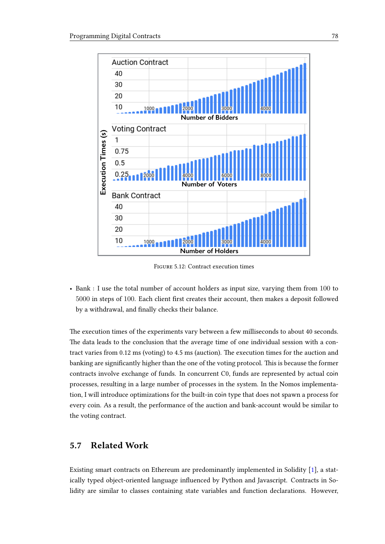<span id="page-81-0"></span>

Figure 5.12: Contract execution times

• Bank : I use the total number of account holders as input size, varying them from 100 to 5000 in steps of 100. Each client first creates their account, then makes a deposit followed by a withdrawal, and finally checks their balance.

The execution times of the experiments vary between a few milliseconds to about 40 seconds. The data leads to the conclusion that the average time of one individual session with a contract varies from  $0.12 \text{ ms}$  (voting) to  $4.5 \text{ ms}$  (auction). The execution times for the auction and banking are significantly higher than the one of the voting protocol. This is because the former contracts involve exchange of funds. In concurrent C0, funds are represented by actual coin processes, resulting in a large number of processes in the system. In the Nomos implementation, I will introduce optimizations for the built-in coin type that does not spawn a process for every coin. As a result, the performance of the auction and bank-account would be similar to the voting contract.

# 5.7 Related Work

Existing smart contracts on Ethereum are predominantly implemented in Solidity [\[1\]](#page-98-0), a statically typed object-oriented language influenced by Python and Javascript. Contracts in Solidity are similar to classes containing state variables and function declarations. However,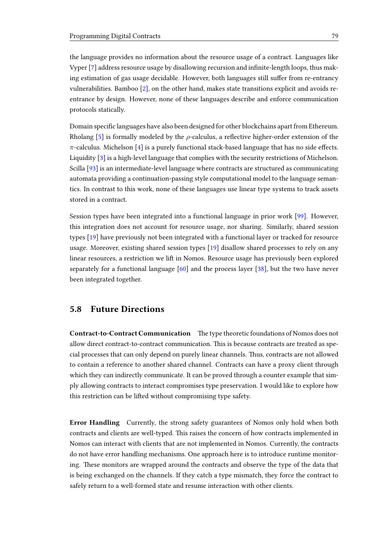the language provides no information about the resource usage of a contract. Languages like Vyper [\[7\]](#page-98-1) address resource usage by disallowing recursion and infinite-length loops, thus making estimation of gas usage decidable. However, both languages still suffer from re-entrancy vulnerabilities. Bamboo [\[2\]](#page-98-2), on the other hand, makes state transitions explicit and avoids reentrance by design. However, none of these languages describe and enforce communication protocols statically.

Domain specific languages have also been designed for other blockchains apart from Ethereum. Rholang [\[5\]](#page-98-3) is formally modeled by the  $\rho$ -calculus, a reflective higher-order extension of the  $\pi$ -calculus. Michelson [\[4\]](#page-98-4) is a purely functional stack-based language that has no side effects. Liquidity [\[3\]](#page-98-5) is a high-level language that complies with the security restrictions of Michelson. Scilla [\[93\]](#page-105-1) is an intermediate-level language where contracts are structured as communicating automata providing a continuation-passing style computational model to the language semantics. In contrast to this work, none of these languages use linear type systems to track assets stored in a contract.

Session types have been integrated into a functional language in prior work [\[99\]](#page-105-2). However, this integration does not account for resource usage, nor sharing. Similarly, shared session types [\[19\]](#page-99-1) have previously not been integrated with a functional layer or tracked for resource usage. Moreover, existing shared session types [\[19\]](#page-99-1) disallow shared processes to rely on any linear resources, a restriction we lift in Nomos. Resource usage has previously been explored separately for a functional language [\[60\]](#page-103-2) and the process layer [\[38\]](#page-101-2), but the two have never been integrated together.

### 5.8 Future Directions

Contract-to-Contract Communication The type theoretic foundations of Nomos does not allow direct contract-to-contract communication. This is because contracts are treated as special processes that can only depend on purely linear channels. Thus, contracts are not allowed to contain a reference to another shared channel. Contracts can have a proxy client through which they can indirectly communicate. It can be proved through a counter example that simply allowing contracts to interact compromises type preservation. I would like to explore how this restriction can be lifted without compromising type safety.

Error Handling Currently, the strong safety guarantees of Nomos only hold when both contracts and clients are well-typed. This raises the concern of how contracts implemented in Nomos can interact with clients that are not implemented in Nomos. Currently, the contracts do not have error handling mechanisms. One approach here is to introduce runtime monitoring. These monitors are wrapped around the contracts and observe the type of the data that is being exchanged on the channels. If they catch a type mismatch, they force the contract to safely return to a well-formed state and resume interaction with other clients.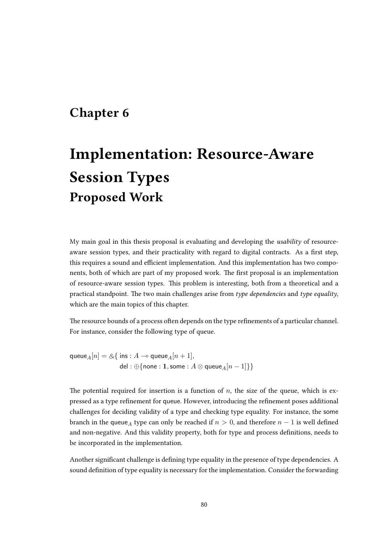# Chapter 6

# Implementation: Resource-Aware Session Types Proposed Work

My main goal in this thesis proposal is evaluating and developing the usability of resourceaware session types, and their practicality with regard to digital contracts. As a first step, this requires a sound and efficient implementation. And this implementation has two components, both of which are part of my proposed work. The first proposal is an implementation of resource-aware session types. This problem is interesting, both from a theoretical and a practical standpoint. The two main challenges arise from type dependencies and type equality, which are the main topics of this chapter.

The resource bounds of a process often depends on the type refinements of a particular channel. For instance, consider the following type of queue.

queue<sub>A</sub> $[n] = \& \{$  ins : A  $\multimap$  queue<sub>A</sub> $[n + 1]$ , del : ⊕{none : 1, some :  $A \otimes$  queue<sub>A</sub> $[n-1]$ }

The potential required for insertion is a function of  $n$ , the size of the queue, which is expressed as a type refinement for queue. However, introducing the refinement poses additional challenges for deciding validity of a type and checking type equality. For instance, the some branch in the queue<sub>A</sub> type can only be reached if  $n > 0$ , and therefore  $n - 1$  is well defined and non-negative. And this validity property, both for type and process definitions, needs to be incorporated in the implementation.

Another significant challenge is defining type equality in the presence of type dependencies. A sound definition of type equality is necessary for the implementation. Consider the forwarding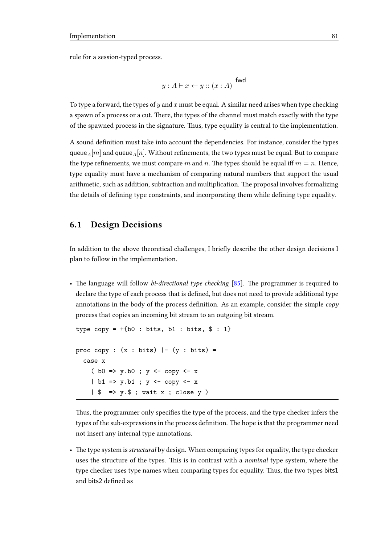rule for a session-typed process.

$$
\overline{y:A\vdash x\leftarrow y::(x:A)}\text{ fwd}
$$

To type a forward, the types of y and x must be equal. A similar need arises when type checking a spawn of a process or a cut. There, the types of the channel must match exactly with the type of the spawned process in the signature. Thus, type equality is central to the implementation.

A sound definition must take into account the dependencies. For instance, consider the types queue<sub>A</sub>[m] and queue<sub>A</sub>[n]. Without refinements, the two types must be equal. But to compare the type refinements, we must compare m and n. The types should be equal iff  $m = n$ . Hence, type equality must have a mechanism of comparing natural numbers that support the usual arithmetic, such as addition, subtraction and multiplication. The proposal involves formalizing the details of defining type constraints, and incorporating them while defining type equality.

#### 6.1 Design Decisions

In addition to the above theoretical challenges, I briefly describe the other design decisions I plan to follow in the implementation.

• The language will follow *bi-directional type checking*  $[85]$ . The programmer is required to declare the type of each process that is defined, but does not need to provide additional type annotations in the body of the process definition. As an example, consider the simple  $\langle c\rho\rho\rangle$ process that copies an incoming bit stream to an outgoing bit stream.

```
type copy = +{b0 : bits, b1 : bits, $ : 1}proc copy : (x : bits) \vdash (y : bits) =
  case x
    ( b0 \Rightarrow y.b0 ; y \leq -1 copy y < -1 x
    | b1 => y.b1 ; y <- copy <- x
    | $ => y.$ ; wait x ; close y )
```
Thus, the programmer only specifies the type of the process, and the type checker infers the types of the sub-expressions in the process definition. The hope is that the programmer need not insert any internal type annotations.

• The type system is *structural* by design. When comparing types for equality, the type checker uses the structure of the types. This is in contrast with a *nominal* type system, where the type checker uses type names when comparing types for equality. Thus, the two types bits1 and bits2 defined as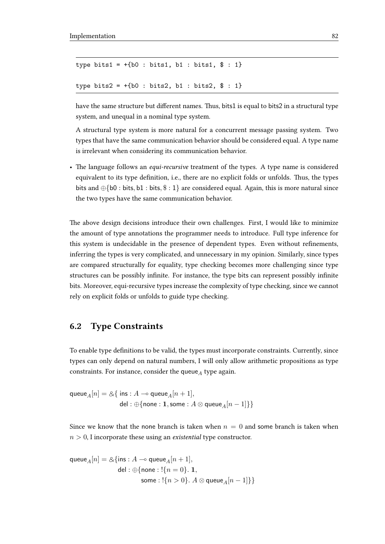```
type bits1 = +[b0 : bits1, b1 : bits1, $ : 1]type bits2 = +[b0 : bits2, b1 : bits2, $ : 1]
```
have the same structure but different names. Thus, bits1 is equal to bits2 in a structural type system, and unequal in a nominal type system.

A structural type system is more natural for a concurrent message passing system. Two types that have the same communication behavior should be considered equal. A type name is irrelevant when considering its communication behavior.

• The language follows an *equi-recursive* treatment of the types. A type name is considered equivalent to its type definition, i.e., there are no explicit folds or unfolds. Thus, the types bits and  $\oplus$ {b0 : bits, b1 : bits, \$ : 1} are considered equal. Again, this is more natural since the two types have the same communication behavior.

The above design decisions introduce their own challenges. First, I would like to minimize the amount of type annotations the programmer needs to introduce. Full type inference for this system is undecidable in the presence of dependent types. Even without refinements, inferring the types is very complicated, and unnecessary in my opinion. Similarly, since types are compared structurally for equality, type checking becomes more challenging since type structures can be possibly infinite. For instance, the type bits can represent possibly infinite bits. Moreover, equi-recursive types increase the complexity of type checking, since we cannot rely on explicit folds or unfolds to guide type checking.

### 6.2 Type Constraints

To enable type definitions to be valid, the types must incorporate constraints. Currently, since types can only depend on natural numbers, I will only allow arithmetic propositions as type constraints. For instance, consider the queue<sub>A</sub> type again.

queue<sub>A</sub> $[n] = \& \{$  ins : A  $\multimap$  queue<sub>A</sub> $[n + 1]$ , del : ⊕{none : 1, some :  $A \otimes$  queue<sub>A</sub> $[n-1]\}$ }

Since we know that the none branch is taken when  $n = 0$  and some branch is taken when  $n > 0$ , I incorporate these using an *existential* type constructor.

$$
\begin{aligned} \mathsf{queue}_A[n] = \&\{\mathsf{ins}: A \multimap \mathsf{queue}_A[n+1],\\ \mathsf{del}: \oplus \{\mathsf{none}: !\{n=0\}.~\mathbf{1},\\ &\mathsf{some}: !\{n>0\}.~A \otimes \mathsf{queue}_A[n-1] \} \} \end{aligned}
$$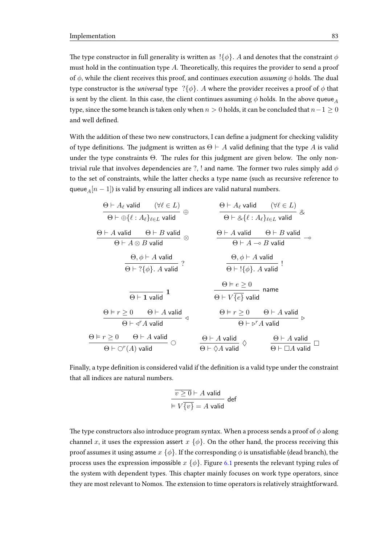The type constructor in full generality is written as  $\vert \{\phi\}\rangle$ . A and denotes that the constraint  $\phi$ must hold in the continuation type  $A$ . Theoretically, this requires the provider to send a proof of  $\phi$ , while the client receives this proof, and continues execution *assuming*  $\phi$  holds. The dual type constructor is the *universal* type ? $\{\phi\}$ . A where the provider receives a proof of  $\phi$  that is sent by the client. In this case, the client continues assuming  $\phi$  holds. In the above queue<sub>A</sub> type, since the some branch is taken only when  $n > 0$  holds, it can be concluded that  $n-1 \geq 0$ and well defined.

With the addition of these two new constructors, I can define a judgment for checking validity of type definitions. The judgment is written as  $\Theta \vdash A$  valid defining that the type A is valid under the type constraints  $\Theta$ . The rules for this judgment are given below. The only nontrivial rule that involves dependencies are ?, ! and name. The former two rules simply add  $\phi$ to the set of constraints, while the latter checks a type name (such as recursive reference to queue<sub>A</sub> $[n - 1]$ ) is valid by ensuring all indices are valid natural numbers.

| $\Theta \vdash A_{\ell}$ valid                                | $(\forall \ell \in L)$  |                                |                         |                         |                         |                         |                         |                                       |                                       |                                       |                                       |                                       |                                       |                         |                                       |                         |                         |                         |                         |                         |                         |                         |                         |                         |                         |                         |                         |                         |                         |                         |     |
|---------------------------------------------------------------|-------------------------|--------------------------------|-------------------------|-------------------------|-------------------------|-------------------------|-------------------------|---------------------------------------|---------------------------------------|---------------------------------------|---------------------------------------|---------------------------------------|---------------------------------------|-------------------------|---------------------------------------|-------------------------|-------------------------|-------------------------|-------------------------|-------------------------|-------------------------|-------------------------|-------------------------|-------------------------|-------------------------|-------------------------|-------------------------|-------------------------|-------------------------|-------------------------|-----|
| $\Theta \vdash \oplus \{\ell : A_{\ell}\}_{\ell \in L}$ valid | $(\forall \ell \in L)$  | $\otimes$                      |                         |                         |                         |                         |                         |                                       |                                       |                                       |                                       |                                       |                                       |                         |                                       |                         |                         |                         |                         |                         |                         |                         |                         |                         |                         |                         |                         |                         |                         |                         |     |
| $\Theta \vdash A$ valid                                       | $\Theta \vdash B$ valid | $\Theta \vdash A_{\ell}$ valid | $(\forall \ell \in L)$  | $\otimes$               |                         |                         |                         |                                       |                                       |                                       |                                       |                                       |                                       |                         |                                       |                         |                         |                         |                         |                         |                         |                         |                         |                         |                         |                         |                         |                         |                         |                         |     |
| $\Theta \vdash A$ valid                                       | $\Theta \vdash B$ valid | $\Theta \vdash A$ valid        | $\Theta \vdash B$ valid | $\Theta \vdash B$ valid | $\Theta \vdash B$ valid | $\Theta \vdash A$ valid | $\Theta \vdash B$ valid | $\Theta \vdash A \rightarrow B$ valid | $\Theta \vdash A \rightarrow B$ valid | $\Theta \vdash A \rightarrow B$ valid | $\Theta \vdash A \rightarrow B$ valid | $\Theta \vdash A \rightarrow B$ valid | $\Theta \vdash A \rightarrow B$ valid | $\Theta \vdash B$ valid | $\Theta \vdash A \rightarrow B$ valid | $\Theta \vdash B$ valid | $\Theta \vdash B$ valid | $\Theta \vdash B$ valid | $\Theta \vdash B$ valid | $\Theta \vdash B$ valid | $\Theta \vdash B$ valid | $\Theta \vdash B$ valid | $\Theta \vdash B$ valid | $\Theta \vdash B$ valid | $\Theta \vdash B$ valid | $\Theta \vdash B$ valid | $\Theta \vdash B$ valid | $\Theta \vdash B$ valid | $\Theta \vdash B$ valid | $\Theta \vdash B$ valid | $\$ |

Finally, a type definition is considered valid if the definition is a valid type under the constraint that all indices are natural numbers.

$$
\frac{\overline{v \ge 0} \vdash A \text{ valid}}{\vDash V \overline{\{v\}} = A \text{ valid}} \text{def}
$$

The type constructors also introduce program syntax. When a process sends a proof of  $\phi$  along channel x, it uses the expression assert  $x \{\phi\}$ . On the other hand, the process receiving this proof assumes it using assume  $x \{ \phi \}$ . If the corresponding  $\phi$  is unsatisfiable (dead branch), the process uses the expression impossible  $x \{\phi\}$ . Figure [6.1](#page-88-0) presents the relevant typing rules of the system with dependent types. This chapter mainly focuses on work type operators, since they are most relevant to Nomos. The extension to time operators is relatively straightforward.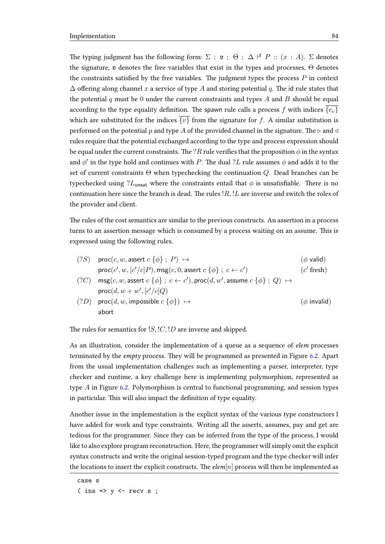The typing judgment has the following form:  $\Sigma$ ;  $\mathfrak{v}$ ;  $\Theta$ ;  $\Delta$   $\stackrel{\beta}{\sim} P$  ::  $(x : A)$ .  $\Sigma$  denotes the signature,  $\nu$  denotes the free variables that exist in the types and processes,  $\Theta$  denotes the constraints satisfied by the free variables. The judgment types the process  $P$  in context  $\Delta$  offering along channel x a service of type A and storing potential q. The id rule states that the potential q must be 0 under the current constraints and types A and B should be equal according to the type equality definition. The spawn rule calls a process f with indices  ${e_c}$ which are substituted for the indices  $\overline{\{v\}}$  from the signature for f. A similar substitution is performed on the potential p and type A of the provided channel in the signature. The  $\triangleright$  and  $\triangleleft$ rules require that the potential exchanged according to the type and process expression should be equal under the current constraints. The ?R rule verifies that the proposition  $\phi$  in the syntax and  $\phi'$  in the type hold and continues with  $P.$  The dual  $?L$  rule assumes  $\phi$  and adds it to the set of current constraints Θ when typechecking the continuation Q. Dead branches can be typechecked using ? $L_{\text{unsat}}$  where the constraints entail that  $\phi$  is unsatisfiable. There is no continuation here since the branch is dead. The rules  $R$ ,  $L$  are inverse and switch the roles of the provider and client.

The rules of the cost semantics are similar to the previous constructs. An assertion in a process turns to an assertion message which is consumed by a process waiting on an assume. This is expressed using the following rules.

| $(?S)$ proc $(c, w, \text{assert } c \{\phi\} : P) \mapsto$                                                         | $(\phi \text{ valid})$ |
|---------------------------------------------------------------------------------------------------------------------|------------------------|
| $\textsf{proc}(c', w, [c'/c]P), \textsf{msg}(c, 0, \textsf{assert } c \{\phi\}; c \leftarrow c')$                   | $(c'$ fresh)           |
| $(2C)$ msg $(c, w$ , assert $c \{\phi\}$ ; $c \leftarrow c'$ ), proc $(d, w'$ , assume $c \{\phi\}$ ; $Q$ $\mapsto$ |                        |

$$
\text{proc}(d, w + w', [c'/c]Q)
$$
  
(?D) 
$$
\text{proc}(d, w, \text{impossible } c \{\phi\}) \mapsto (\phi \text{ invalid})
$$

The rules for semantics for  $!S$ ,  $!C$ ,  $!D$  are inverse and skipped.

As an illustration, consider the implementation of a queue as a sequence of elem processes terminated by the *empty* process. They will be programmed as presented in Figure [6.2.](#page-89-0) Apart from the usual implementation challenges such as implementing a parser, interpreter, type checker and runtime, a key challenge here is implementing polymorphism, represented as type  $A$  in Figure [6.2.](#page-89-0) Polymorphism is central to functional programming, and session types in particular. This will also impact the definition of type equality.

Another issue in the implementation is the explicit syntax of the various type constructors I have added for work and type constraints. Writing all the asserts, assumes, pay and get are tedious for the programmer. Since they can be inferred from the type of the process, I would like to also explore program reconstruction. Here, the programmer will simply omit the explicit syntax constructs and write the original session-typed program and the type checker will infer the locations to insert the explicit constructs. The  $elem[n]$  process will then be implemented as

```
case s
```
 $(\text{ins} \Rightarrow y \leq \text{recv} \text{ s};$ 

abort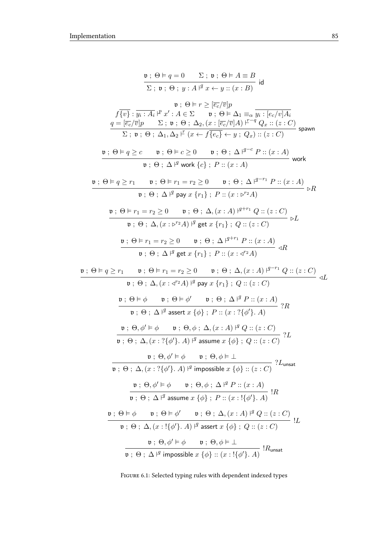<span id="page-88-0"></span>
$$
\mathbf{v} : \Theta \vDash q = 0 \qquad \Sigma ; \mathbf{v} : \Theta \vDash A \equiv B
$$
\n
$$
\Sigma ; \mathbf{v} : \Theta : \mathbf{y} : A \vDash x \leftrightarrow y :: (x : B)
$$
\n
$$
\mathbf{v} : \Theta \vDash r \geq [\overline{e_{c}}/\overline{v}]p
$$
\n
$$
\mathbf{f} \cdot [\overline{v}] : \overline{y_{i} : A_{i}} \vDash x' : A \in \Sigma \qquad \mathbf{v} : \Theta \vDash \Delta_{1} \equiv_{\alpha} \overline{y_{i} : [\overline{e_{c}}/\overline{v}]A_{i}}
$$
\n
$$
\underline{q} = [\overline{e_{c}}/\overline{v}]p \qquad \Sigma ; \mathbf{v} : \Theta : \Delta_{2}, (x : [\overline{e_{c}}/\overline{v}]A) \vDash^{-q} Q_{x} :: (z : C)
$$
\n
$$
\mathbf{v} : \Theta \vDash q \geq c \qquad \mathbf{v} : \Theta \vDash c \geq 0 \qquad \mathbf{v} : \Theta : \Delta \vDash^{q-c} P :: (x : A)
$$
\n
$$
\mathbf{v} : \Theta \vDash q \geq c \qquad \mathbf{v} : \Theta \vDash r_{1} = r_{2} \geq 0 \qquad \mathbf{v} : \Theta : \Delta \vDash^{q-c} P :: (x : A)
$$
\n
$$
\mathbf{v} : \Theta \vDash \Delta \vDash r_{1} \qquad \mathbf{v} : \Theta \vDash r_{1} = r_{2} \geq 0 \qquad \mathbf{v} : \Theta : \Delta \vDash^{q-r_{1}} P :: (x : A)
$$
\n
$$
\mathbf{v} : \Theta \vDash r_{1} = r_{2} \geq 0 \qquad \mathbf{v} : \Theta : \Delta \vDash q^{r_{1}} \wedge \mathbf{v} : (z : C) \qquad \mathbf{v} : \Theta \vDash r_{1} = r_{2} \geq 0 \qquad \mathbf{v} : \Theta : \Delta \vDash^{q+r_{1}} P :: (x : A)
$$
\n
$$
\mathbf{v} : \Theta \vDash r_{1} = r_{2} \geq 0 \qquad \mathbf{v} : \Theta : \Delta \vDash^{q+r_{1}} P :: (x : A) \qquad \mathbf{v}
$$

FIGURE 6.1: Selected typing rules with dependent indexed types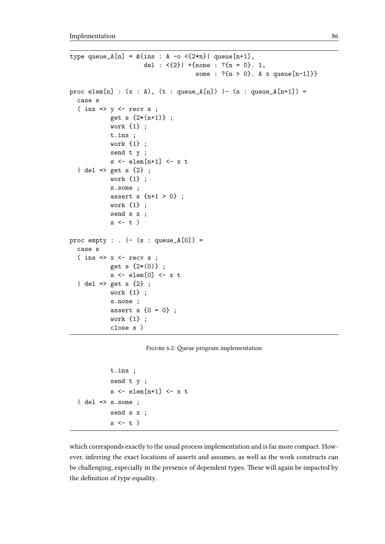```
type queue_A[n] = &{ins : A -o <{2*n}| queue[n+1],
                      del : <{2}| +{none : ?{n = 0}. 1,
                                      some : ?{n > 0}. A x queue[n-1]}}
proc elem[n] : (x : A), (t : queue_A[n]) | - (s : queue_A[n+1]) =
  case s
  ( ins \Rightarrow y \le - recv s ;
            get s {2*(n+1)} ;
            work {1} ;
            t.ins ;
            work {1} ;
            send t y ;
            s <- elem[n+1] <- x t
  | del => get s {2} ;
            work {1} ;
            s.some ;
            assert s {n+1 > 0} ;
            work {1} ;
            send s x ;
            s \leftarrow t)
proc empty : . | - (s : queue_A[0]) =case s
  (\text{ins} \Rightarrow x \leq \text{recv} s ;get s {2*(0)} ;
            s <- elem[0] <- x t
  | del => get s {2} ;
            work {1} ;
            s.none ;
            assert s \{0 = 0\};
            work {1} ;
            close s )
```

```
FIGURE 6.2: Queue program implementation
```

```
t.ins ;
             send t y ;
             s \leftarrow \text{elem}[n+1] \leftarrow x t
\vert del => s.some ;
             send s x ;
             s \leftarrow t)
```
which corresponds exactly to the usual process implementation and is far more compact. However, inferring the exact locations of asserts and assumes, as well as the work constructs can be challenging, especially in the presence of dependent types. These will again be impacted by the definition of type equality.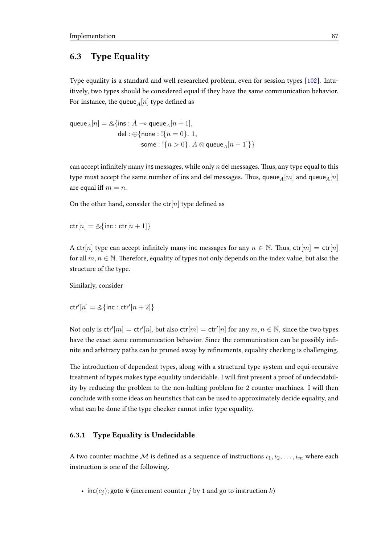# 6.3 Type Equality

Type equality is a standard and well researched problem, even for session types [\[102\]](#page-106-1). Intuitively, two types should be considered equal if they have the same communication behavior. For instance, the queue  $\!A[n]$  type defined as

queue<sub>A</sub> $[n] = \&$ {ins : A - queue<sub>A</sub> $[n + 1]$ , del :  $\bigoplus$ {none : !{ $n = 0$ }. 1, some : ! ${n > 0}$ .  $A \otimes$  queue<sub>A</sub>[n - 1]}}

can accept infinitely many ins messages, while only  $n$  del messages. Thus, any type equal to this type must accept the same number of ins and del messages. Thus, queue<sub>A</sub>[m] and queue<sub>A</sub>[n] are equal iff  $m = n$ .

On the other hand, consider the  $ctr[n]$  type defined as

 $ctr[n] = \&$ {inc : ctr[n + 1]}

A ctr[n] type can accept infinitely many inc messages for any  $n \in \mathbb{N}$ . Thus, ctr[n] = ctr[n] for all  $m, n \in \mathbb{N}$ . Therefore, equality of types not only depends on the index value, but also the structure of the type.

Similarly, consider

 $\mathsf{ctr}'[n] = \mathcal{A}\{\mathsf{inc} : \mathsf{ctr}'[n+2]\}$ 

Not only is  $\textsf{ctr}'[m] = \textsf{ctr}'[n]$ , but also  $\textsf{ctr}[m] = \textsf{ctr}'[n]$  for any  $m, n \in \mathbb{N}$ , since the two types have the exact same communication behavior. Since the communication can be possibly infinite and arbitrary paths can be pruned away by refinements, equality checking is challenging.

The introduction of dependent types, along with a structural type system and equi-recursive treatment of types makes type equality undecidable. I will first present a proof of undecidability by reducing the problem to the non-halting problem for 2 counter machines. I will then conclude with some ideas on heuristics that can be used to approximately decide equality, and what can be done if the type checker cannot infer type equality.

#### 6.3.1 Type Equality is Undecidable

A two counter machine M is defined as a sequence of instructions  $i_1, i_2, \ldots, i_m$  where each instruction is one of the following.

•  $inc(c_i)$ ; goto k (increment counter j by 1 and go to instruction k)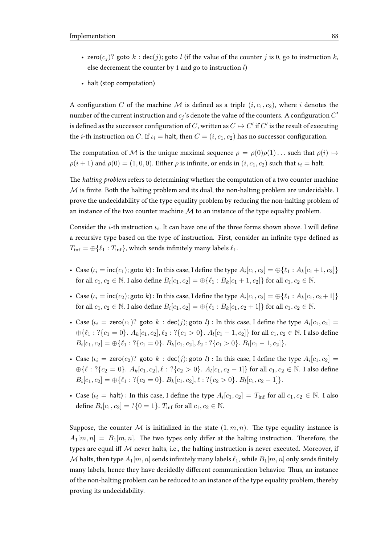- zero $(c_i)$ ? goto  $k : \text{dec}(j)$ ; goto l (if the value of the counter j is 0, go to instruction k, else decrement the counter by 1 and go to instruction  $l$ )
- halt (stop computation)

A configuration C of the machine M is defined as a triple  $(i, c_1, c_2)$ , where i denotes the number of the current instruction and  $c_j$  's denote the value of the counters. A configuration  $C^\prime$ is defined as the successor configuration of  $C$ , written as  $C \mapsto C'$  if  $C'$  is the result of executing the *i*-th instruction on C. If  $u_i =$  halt, then  $C = (i, c_1, c_2)$  has no successor configuration.

The computation of M is the unique maximal sequence  $\rho = \rho(0)\rho(1) \dots$  such that  $\rho(i) \mapsto$  $\rho(i + 1)$  and  $\rho(0) = (1, 0, 0)$ . Either  $\rho$  is infinite, or ends in  $(i, c_1, c_2)$  such that  $\iota_i =$  halt.

The halting problem refers to determining whether the computation of a two counter machine  $M$  is finite. Both the halting problem and its dual, the non-halting problem are undecidable. I prove the undecidability of the type equality problem by reducing the non-halting problem of an instance of the two counter machine  $M$  to an instance of the type equality problem.

Consider the *i*-th instruction  $\iota_i$ . It can have one of the three forms shown above. I will define a recursive type based on the type of instruction. First, consider an infinite type defined as  $T_{\text{inf}} = \bigoplus \{ \ell_1 : T_{\text{inf}} \}$ , which sends infinitely many labels  $\ell_1$ .

- Case  $(\iota_i = \textsf{inc}(c_1); \textsf{goto } k)$ : In this case, I define the type  $A_i[c_1, c_2] = \bigoplus \{ \ell_1 : A_k[c_1 + 1, c_2] \}$ for all  $c_1, c_2 \in \mathbb{N}$ . I also define  $B_i[c_1, c_2] = \bigoplus \{ \ell_1 : B_k[c_1 + 1, c_2] \}$  for all  $c_1, c_2 \in \mathbb{N}$ .
- Case  $(\iota_i = \text{inc}(c_2)$ ; goto  $k)$ : In this case, I define the type  $A_i[c_1, c_2] = \bigoplus \{ \ell_1 : A_k[c_1, c_2 + 1] \}$ for all  $c_1, c_2 \in \mathbb{N}$ . I also define  $B_i[c_1, c_2] = \bigoplus \{ \ell_1 : B_k[c_1, c_2 + 1] \}$  for all  $c_1, c_2 \in \mathbb{N}$ .
- Case  $(\iota_i = \text{zero}(c_1)$ ? goto  $k : \text{dec}(j)$ ; goto  $l)$  : In this case, I define the type  $A_i[c_1, c_2] =$  $\oplus \{\ell_1 : ?\{c_1 = 0\}$ .  $A_k[c_1, c_2], \ell_2 : ?\{c_1 > 0\}$ .  $A_l[c_1 - 1, c_2]\}$  for all  $c_1, c_2 \in \mathbb{N}$ . I also define  $B_i[c_1, c_2] = \bigoplus \{ \ell_1 : ?\{c_1 = 0\}. B_k[c_1, c_2], \ell_2 : ?\{c_1 > 0\}. B_l[c_1 - 1, c_2] \}.$
- Case  $(\iota_i = \textsf{zero}(c_2)$ ? goto  $k : \textsf{dec}(j)$ ; goto  $l)$  : In this case, I define the type  $A_i[c_1, c_2] =$  $\bigoplus \{ \ell : ?\{c_2 = 0\}$ .  $A_k[c_1, c_2], \ell : ?\{c_2 > 0\}$ .  $A_l[c_1, c_2 - 1] \}$  for all  $c_1, c_2 \in \mathbb{N}$ . I also define  $B_i[c_1, c_2] = \bigoplus \{ \ell_1 : ?\{c_2 = 0\}. B_k[c_1, c_2], \ell : ?\{c_2 > 0\}. B_l[c_1, c_2 - 1] \}.$
- Case  $(\iota_i = \text{halt})$ : In this case, I define the type  $A_i[c_1, c_2] = T_{\text{inf}}$  for all  $c_1, c_2 \in \mathbb{N}$ . I also define  $B_i[c_1, c_2] = ?\{0 = 1\}$ .  $T_{\text{inf}}$  for all  $c_1, c_2 \in \mathbb{N}$ .

Suppose, the counter M is initialized in the state  $(1, m, n)$ . The type equality instance is  $A_1[m,n] = B_1[m,n]$ . The two types only differ at the halting instruction. Therefore, the types are equal iff  $M$  never halts, i.e., the halting instruction is never executed. Moreover, if M halts, then type  $A_1[m, n]$  sends infinitely many labels  $\ell_1$ , while  $B_1[m, n]$  only sends finitely many labels, hence they have decidedly different communication behavior. Thus, an instance of the non-halting problem can be reduced to an instance of the type equality problem, thereby proving its undecidability.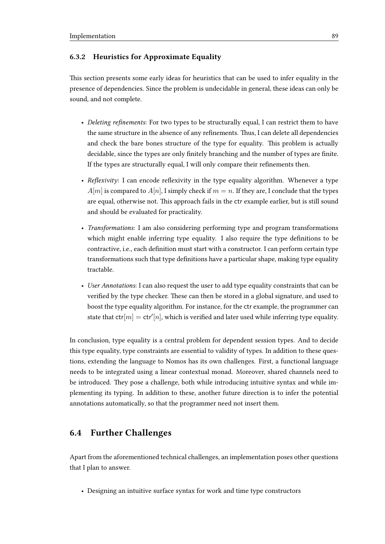#### 6.3.2 Heuristics for Approximate Equality

This section presents some early ideas for heuristics that can be used to infer equality in the presence of dependencies. Since the problem is undecidable in general, these ideas can only be sound, and not complete.

- Deleting refinements: For two types to be structurally equal, I can restrict them to have the same structure in the absence of any refinements. Thus, I can delete all dependencies and check the bare bones structure of the type for equality. This problem is actually decidable, since the types are only finitely branching and the number of types are finite. If the types are structurally equal, I will only compare their refinements then.
- Reflexivity: I can encode reflexivity in the type equality algorithm. Whenever a type  $A[m]$  is compared to  $A[n]$ , I simply check if  $m = n$ . If they are, I conclude that the types are equal, otherwise not. This approach fails in the ctr example earlier, but is still sound and should be evaluated for practicality.
- Transformations: I am also considering performing type and program transformations which might enable inferring type equality. I also require the type definitions to be contractive, i.e., each definition must start with a constructor. I can perform certain type transformations such that type definitions have a particular shape, making type equality tractable.
- User Annotations: I can also request the user to add type equality constraints that can be verified by the type checker. These can then be stored in a global signature, and used to boost the type equality algorithm. For instance, for the ctr example, the programmer can state that  $\mathsf{ctr}[m]=\mathsf{ctr'}[n],$  which is verified and later used while inferring type equality.

In conclusion, type equality is a central problem for dependent session types. And to decide this type equality, type constraints are essential to validity of types. In addition to these questions, extending the language to Nomos has its own challenges. First, a functional language needs to be integrated using a linear contextual monad. Moreover, shared channels need to be introduced. They pose a challenge, both while introducing intuitive syntax and while implementing its typing. In addition to these, another future direction is to infer the potential annotations automatically, so that the programmer need not insert them.

## 6.4 Further Challenges

Apart from the aforementioned technical challenges, an implementation poses other questions that I plan to answer.

• Designing an intuitive surface syntax for work and time type constructors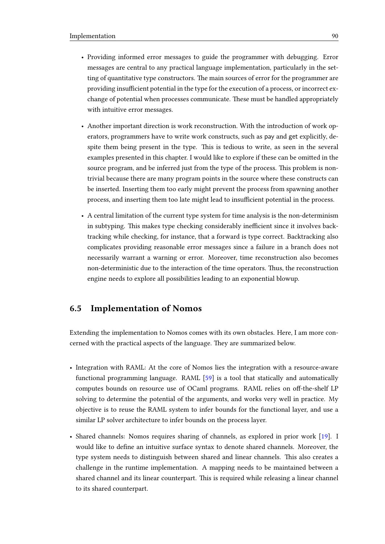- Providing informed error messages to guide the programmer with debugging. Error messages are central to any practical language implementation, particularly in the setting of quantitative type constructors. The main sources of error for the programmer are providing insufficient potential in the type for the execution of a process, or incorrect exchange of potential when processes communicate. These must be handled appropriately with intuitive error messages.
- Another important direction is work reconstruction. With the introduction of work operators, programmers have to write work constructs, such as pay and get explicitly, despite them being present in the type. This is tedious to write, as seen in the several examples presented in this chapter. I would like to explore if these can be omitted in the source program, and be inferred just from the type of the process. This problem is nontrivial because there are many program points in the source where these constructs can be inserted. Inserting them too early might prevent the process from spawning another process, and inserting them too late might lead to insufficient potential in the process.
- A central limitation of the current type system for time analysis is the non-determinism in subtyping. This makes type checking considerably inefficient since it involves backtracking while checking, for instance, that a forward is type correct. Backtracking also complicates providing reasonable error messages since a failure in a branch does not necessarily warrant a warning or error. Moreover, time reconstruction also becomes non-deterministic due to the interaction of the time operators. Thus, the reconstruction engine needs to explore all possibilities leading to an exponential blowup.

### 6.5 Implementation of Nomos

Extending the implementation to Nomos comes with its own obstacles. Here, I am more concerned with the practical aspects of the language. They are summarized below.

- Integration with RAML: At the core of Nomos lies the integration with a resource-aware functional programming language. RAML [\[59\]](#page-102-1) is a tool that statically and automatically computes bounds on resource use of OCaml programs. RAML relies on off-the-shelf LP solving to determine the potential of the arguments, and works very well in practice. My objective is to reuse the RAML system to infer bounds for the functional layer, and use a similar LP solver architecture to infer bounds on the process layer.
- Shared channels: Nomos requires sharing of channels, as explored in prior work [\[19\]](#page-99-1). I would like to define an intuitive surface syntax to denote shared channels. Moreover, the type system needs to distinguish between shared and linear channels. This also creates a challenge in the runtime implementation. A mapping needs to be maintained between a shared channel and its linear counterpart. This is required while releasing a linear channel to its shared counterpart.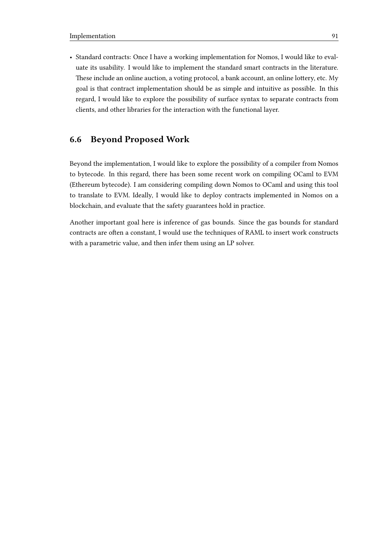• Standard contracts: Once I have a working implementation for Nomos, I would like to evaluate its usability. I would like to implement the standard smart contracts in the literature. These include an online auction, a voting protocol, a bank account, an online lottery, etc. My goal is that contract implementation should be as simple and intuitive as possible. In this regard, I would like to explore the possibility of surface syntax to separate contracts from clients, and other libraries for the interaction with the functional layer.

## 6.6 Beyond Proposed Work

Beyond the implementation, I would like to explore the possibility of a compiler from Nomos to bytecode. In this regard, there has been some recent work on compiling OCaml to EVM (Ethereum bytecode). I am considering compiling down Nomos to OCaml and using this tool to translate to EVM. Ideally, I would like to deploy contracts implemented in Nomos on a blockchain, and evaluate that the safety guarantees hold in practice.

Another important goal here is inference of gas bounds. Since the gas bounds for standard contracts are often a constant, I would use the techniques of RAML to insert work constructs with a parametric value, and then infer them using an LP solver.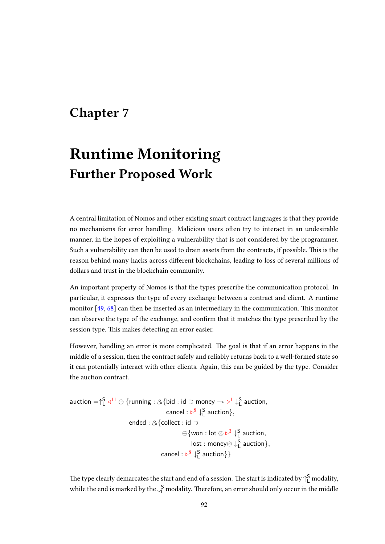# Chapter 7

# Runtime Monitoring Further Proposed Work

A central limitation of Nomos and other existing smart contract languages is that they provide no mechanisms for error handling. Malicious users often try to interact in an undesirable manner, in the hopes of exploiting a vulnerability that is not considered by the programmer. Such a vulnerability can then be used to drain assets from the contracts, if possible. This is the reason behind many hacks across different blockchains, leading to loss of several millions of dollars and trust in the blockchain community.

An important property of Nomos is that the types prescribe the communication protocol. In particular, it expresses the type of every exchange between a contract and client. A runtime monitor  $[49, 68]$  $[49, 68]$  $[49, 68]$  can then be inserted as an intermediary in the communication. This monitor can observe the type of the exchange, and confirm that it matches the type prescribed by the session type. This makes detecting an error easier.

However, handling an error is more complicated. The goal is that if an error happens in the middle of a session, then the contract safely and reliably returns back to a well-formed state so it can potentially interact with other clients. Again, this can be guided by the type. Consider the auction contract.

$$
\begin{aligned}\text{auction}=&\uparrow_{\mathsf{L}}^{\mathsf{S}}\triangleleft^{11}\oplus\{\text{running}: \&\{\text{bid}: \text{id} \supset \text{money} \multimap \vartriangleright^{\mathsf{1}}\downarrow_{\mathsf{L}}^{\mathsf{S}} \text{ auction}, \\ &\text{cancel}: \vartriangleright^{\mathsf{8}}\downarrow_{\mathsf{L}}^{\mathsf{S}} \text{ auction}\}, \\ &\text{ended}: \&\{\text{collect}: \text{id} \supset \\ &\oplus\{\text{won}: \text{lot} \otimes \vartriangleright^{\mathsf{3}}\downarrow_{\mathsf{L}}^{\mathsf{S}} \text{ auction}, \\ &\text{lost}: \text{money} \otimes \downarrow_{\mathsf{L}}^{\mathsf{S}} \text{ auction}\}, \\ &\text{cancel}: \vartriangleright^{\mathsf{8}}\downarrow_{\mathsf{L}}^{\mathsf{S}} \text{ auction}\}\end{aligned}
$$

The type clearly demarcates the start and end of a session. The start is indicated by  $\uparrow^{\mathsf{S}}_{\mathsf{L}}$  modality, while the end is marked by the  $\downarrow^{\mathsf{S}}_{\mathsf{L}}$  modality. Therefore, an error should only occur in the middle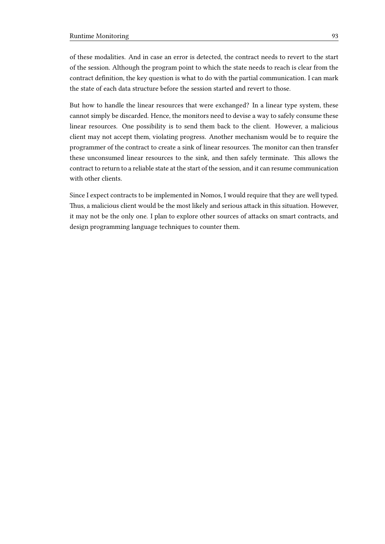of these modalities. And in case an error is detected, the contract needs to revert to the start of the session. Although the program point to which the state needs to reach is clear from the contract definition, the key question is what to do with the partial communication. I can mark the state of each data structure before the session started and revert to those.

But how to handle the linear resources that were exchanged? In a linear type system, these cannot simply be discarded. Hence, the monitors need to devise a way to safely consume these linear resources. One possibility is to send them back to the client. However, a malicious client may not accept them, violating progress. Another mechanism would be to require the programmer of the contract to create a sink of linear resources. The monitor can then transfer these unconsumed linear resources to the sink, and then safely terminate. This allows the contract to return to a reliable state at the start of the session, and it can resume communication with other clients.

Since I expect contracts to be implemented in Nomos, I would require that they are well typed. Thus, a malicious client would be the most likely and serious attack in this situation. However, it may not be the only one. I plan to explore other sources of attacks on smart contracts, and design programming language techniques to counter them.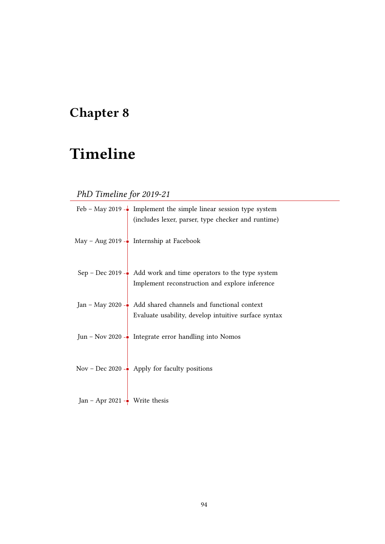# Chapter 8

# Timeline

# PhD Timeline for 2019-21

|                                         | Feb – May 2019 $\rightarrow$ Implement the simple linear session type system<br>(includes lexer, parser, type checker and runtime) |
|-----------------------------------------|------------------------------------------------------------------------------------------------------------------------------------|
|                                         | May – Aug 2019 - $\frac{1}{\bullet}$ Internship at Facebook                                                                        |
|                                         |                                                                                                                                    |
|                                         | Sep – Dec 2019 – $\bullet$ Add work and time operators to the type system<br>Implement reconstruction and explore inference        |
|                                         | Jan – May 2020 – Add shared channels and functional context<br>Evaluate usability, develop intuitive surface syntax                |
|                                         | Jun - Nov 2020 - Integrate error handling into Nomos                                                                               |
|                                         | Nov – Dec 2020 - $\bullet$ Apply for faculty positions                                                                             |
| Jan – Apr 2021 - $\bullet$ Write thesis |                                                                                                                                    |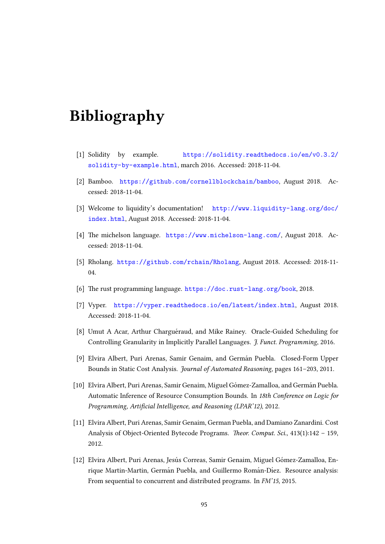# Bibliography

- <span id="page-98-0"></span>[1] Solidity by example. [https://solidity.readthedocs.io/en/v0.3.2/](https://solidity.readthedocs.io/en/v0.3.2/solidity-by-example.html) [solidity-by-example.html](https://solidity.readthedocs.io/en/v0.3.2/solidity-by-example.html), march 2016. Accessed: 2018-11-04.
- <span id="page-98-2"></span>[2] Bamboo. <https://github.com/cornellblockchain/bamboo>, August 2018. Accessed: 2018-11-04.
- <span id="page-98-5"></span>[3] Welcome to liquidity's documentation! [http://www.liquidity-lang.org/doc/](http://www.liquidity-lang.org/doc/index.html) [index.html](http://www.liquidity-lang.org/doc/index.html), August 2018. Accessed: 2018-11-04.
- <span id="page-98-4"></span>[4] The michelson language. <https://www.michelson-lang.com/>, August 2018. Accessed: 2018-11-04.
- <span id="page-98-3"></span>[5] Rholang. <https://github.com/rchain/Rholang>, August 2018. Accessed: 2018-11- 04.
- [6] The rust programming language. <https://doc.rust-lang.org/book>, 2018.
- <span id="page-98-1"></span>[7] Vyper. <https://vyper.readthedocs.io/en/latest/index.html>, August 2018. Accessed: 2018-11-04.
- [8] Umut A Acar, Arthur Charguéraud, and Mike Rainey. Oracle-Guided Scheduling for Controlling Granularity in Implicitly Parallel Languages. J. Funct. Programming, 2016.
- [9] Elvira Albert, Puri Arenas, Samir Genaim, and German Puebla. Closed-Form Upper ´ Bounds in Static Cost Analysis. Journal of Automated Reasoning, pages 161–203, 2011.
- [10] Elvira Albert, Puri Arenas, Samir Genaim, Miguel Gómez-Zamalloa, and Germán Puebla. Automatic Inference of Resource Consumption Bounds. In 18th Conference on Logic for Programming, Artificial Intelligence, and Reasoning (LPAR'12), 2012.
- [11] Elvira Albert, Puri Arenas, Samir Genaim, German Puebla, and Damiano Zanardini. Cost Analysis of Object-Oriented Bytecode Programs. Theor. Comput. Sci., 413(1):142 - 159, 2012.
- [12] Elvira Albert, Puri Arenas, Jesús Correas, Samir Genaim, Miguel Gómez-Zamalloa, Enrique Martin-Martin, Germán Puebla, and Guillermo Román-Díez. Resource analysis: From sequential to concurrent and distributed programs. In FM'15, 2015.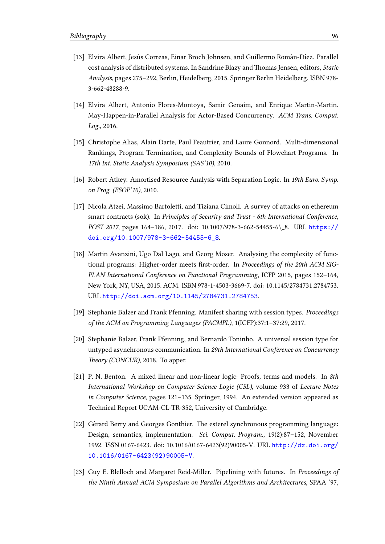- [13] Elvira Albert, Jesús Correas, Einar Broch Johnsen, and Guillermo Román-Díez. Parallel cost analysis of distributed systems. In Sandrine Blazy and Thomas Jensen, editors, Static Analysis, pages 275–292, Berlin, Heidelberg, 2015. Springer Berlin Heidelberg. ISBN 978- 3-662-48288-9.
- [14] Elvira Albert, Antonio Flores-Montoya, Samir Genaim, and Enrique Martin-Martin. May-Happen-in-Parallel Analysis for Actor-Based Concurrency. ACM Trans. Comput. Log., 2016.
- [15] Christophe Alias, Alain Darte, Paul Feautrier, and Laure Gonnord. Multi-dimensional Rankings, Program Termination, and Complexity Bounds of Flowchart Programs. In 17th Int. Static Analysis Symposium (SAS'10), 2010.
- [16] Robert Atkey. Amortised Resource Analysis with Separation Logic. In 19th Euro. Symp. on Prog. (ESOP'10), 2010.
- [17] Nicola Atzei, Massimo Bartoletti, and Tiziana Cimoli. A survey of attacks on ethereum smart contracts (sok). In Principles of Security and Trust - 6th International Conference, POST 2017, pages 164-186, 2017. doi: 10.1007/978-3-662-54455-6\ 8. URL [https://](https://doi.org/10.1007/978-3-662-54455-6_8) [doi.org/10.1007/978-3-662-54455-6\\_8](https://doi.org/10.1007/978-3-662-54455-6_8).
- <span id="page-99-0"></span>[18] Martin Avanzini, Ugo Dal Lago, and Georg Moser. Analysing the complexity of functional programs: Higher-order meets first-order. In Proceedings of the 20th ACM SIG-PLAN International Conference on Functional Programming, ICFP 2015, pages 152–164, New York, NY, USA, 2015. ACM. ISBN 978-1-4503-3669-7. doi: 10.1145/2784731.2784753. URL <http://doi.acm.org/10.1145/2784731.2784753>.
- <span id="page-99-1"></span>[19] Stephanie Balzer and Frank Pfenning. Manifest sharing with session types. Proceedings of the ACM on Programming Languages (PACMPL), 1(ICFP):37:1–37:29, 2017.
- [20] Stephanie Balzer, Frank Pfenning, and Bernardo Toninho. A universal session type for untyped asynchronous communication. In 29th International Conference on Concurrency Theory (CONCUR), 2018. To apper.
- [21] P. N. Benton. A mixed linear and non-linear logic: Proofs, terms and models. In 8th International Workshop on Computer Science Logic (CSL), volume 933 of Lecture Notes in Computer Science, pages 121–135. Springer, 1994. An extended version appeared as Technical Report UCAM-CL-TR-352, University of Cambridge.
- [22] Gérard Berry and Georges Gonthier. The esterel synchronous programming language: Design, semantics, implementation. Sci. Comput. Program., 19(2):87–152, November 1992. ISSN 0167-6423. doi: 10.1016/0167-6423(92)90005-V. URL [http://dx.doi.org/](http://dx.doi.org/10.1016/0167-6423(92)90005-V) [10.1016/0167-6423\(92\)90005-V](http://dx.doi.org/10.1016/0167-6423(92)90005-V).
- [23] Guy E. Blelloch and Margaret Reid-Miller. Pipelining with futures. In Proceedings of the Ninth Annual ACM Symposium on Parallel Algorithms and Architectures, SPAA '97,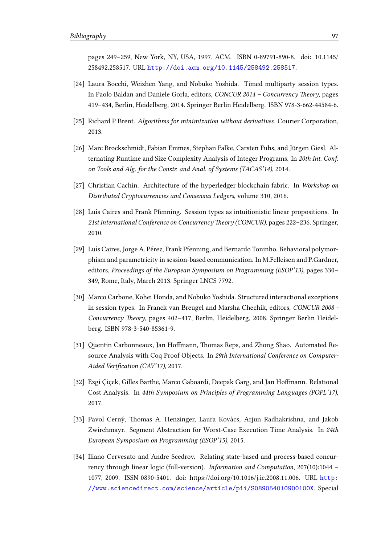pages 249–259, New York, NY, USA, 1997. ACM. ISBN 0-89791-890-8. doi: 10.1145/ 258492.258517. URL <http://doi.acm.org/10.1145/258492.258517>.

- [24] Laura Bocchi, Weizhen Yang, and Nobuko Yoshida. Timed multiparty session types. In Paolo Baldan and Daniele Gorla, editors, CONCUR 2014 – Concurrency Theory, pages 419–434, Berlin, Heidelberg, 2014. Springer Berlin Heidelberg. ISBN 978-3-662-44584-6.
- [25] Richard P Brent. Algorithms for minimization without derivatives. Courier Corporation, 2013.
- [26] Marc Brockschmidt, Fabian Emmes, Stephan Falke, Carsten Fuhs, and Jürgen Giesl. Alternating Runtime and Size Complexity Analysis of Integer Programs. In 20th Int. Conf. on Tools and Alg. for the Constr. and Anal. of Systems (TACAS'14), 2014.
- [27] Christian Cachin. Architecture of the hyperledger blockchain fabric. In Workshop on Distributed Cryptocurrencies and Consensus Ledgers, volume 310, 2016.
- [28] Luís Caires and Frank Pfenning. Session types as intuitionistic linear propositions. In 21st International Conference on Concurrency Theory (CONCUR), pages 222-236. Springer, 2010.
- [29] Luís Caires, Jorge A. Pérez, Frank Pfenning, and Bernardo Toninho. Behavioral polymorphism and parametricity in session-based communication. In M.Felleisen and P.Gardner, editors, Proceedings of the European Symposium on Programming (ESOP'13), pages 330– 349, Rome, Italy, March 2013. Springer LNCS 7792.
- [30] Marco Carbone, Kohei Honda, and Nobuko Yoshida. Structured interactional exceptions in session types. In Franck van Breugel and Marsha Chechik, editors, CONCUR 2008 - Concurrency Theory, pages 402-417, Berlin, Heidelberg, 2008. Springer Berlin Heidelberg. ISBN 978-3-540-85361-9.
- [31] Quentin Carbonneaux, Jan Hoffmann, Thomas Reps, and Zhong Shao. Automated Resource Analysis with Coq Proof Objects. In 29th International Conference on Computer-Aided Verification (CAV'17), 2017.
- <span id="page-100-0"></span>[32] Ezgi Çiçek, Gilles Barthe, Marco Gaboardi, Deepak Garg, and Jan Hoffmann. Relational Cost Analysis. In 44th Symposium on Principles of Programming Languages (POPL'17), 2017.
- [33] Pavol Cerný, Thomas A. Henzinger, Laura Kovács, Arjun Radhakrishna, and Jakob Zwirchmayr. Segment Abstraction for Worst-Case Execution Time Analysis. In 24th European Symposium on Programming (ESOP'15), 2015.
- [34] Iliano Cervesato and Andre Scedrov. Relating state-based and process-based concurrency through linear logic (full-version). Information and Computation, 207(10):1044 – 1077, 2009. ISSN 0890-5401. doi: https://doi.org/10.1016/j.ic.2008.11.006. URL [http:](http://www.sciencedirect.com/science/article/pii/S089054010900100X) [//www.sciencedirect.com/science/article/pii/S089054010900100X](http://www.sciencedirect.com/science/article/pii/S089054010900100X). Special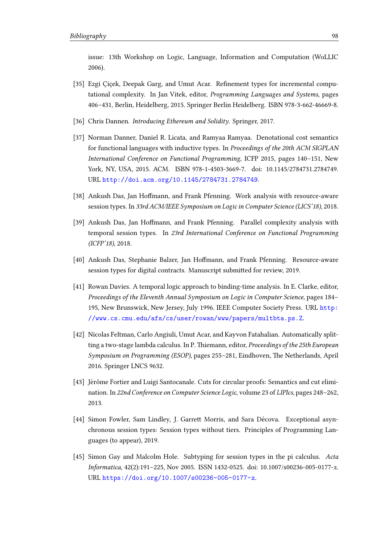issue: 13th Workshop on Logic, Language, Information and Computation (WoLLIC 2006).

- [35] Ezgi Çiçek, Deepak Garg, and Umut Acar. Refinement types for incremental computational complexity. In Jan Vitek, editor, Programming Languages and Systems, pages 406–431, Berlin, Heidelberg, 2015. Springer Berlin Heidelberg. ISBN 978-3-662-46669-8.
- [36] Chris Dannen. Introducing Ethereum and Solidity. Springer, 2017.
- <span id="page-101-0"></span>[37] Norman Danner, Daniel R. Licata, and Ramyaa Ramyaa. Denotational cost semantics for functional languages with inductive types. In Proceedings of the 20th ACM SIGPLAN International Conference on Functional Programming, ICFP 2015, pages 140–151, New York, NY, USA, 2015. ACM. ISBN 978-1-4503-3669-7. doi: 10.1145/2784731.2784749. URL <http://doi.acm.org/10.1145/2784731.2784749>.
- <span id="page-101-2"></span>[38] Ankush Das, Jan Hoffmann, and Frank Pfenning. Work analysis with resource-aware session types. In 33rd ACM/IEEE Symposium on Logic in Computer Science (LICS'18), 2018.
- [39] Ankush Das, Jan Hoffmann, and Frank Pfenning. Parallel complexity analysis with temporal session types. In 23rd International Conference on Functional Programming (ICFP'18), 2018.
- [40] Ankush Das, Stephanie Balzer, Jan Hoffmann, and Frank Pfenning. Resource-aware session types for digital contracts. Manuscript submitted for review, 2019.
- [41] Rowan Davies. A temporal logic approach to binding-time analysis. In E. Clarke, editor, Proceedings of the Eleventh Annual Symposium on Logic in Computer Science, pages 184– 195, New Brunswick, New Jersey, July 1996. IEEE Computer Society Press. URL [http:](http://www.cs.cmu.edu/afs/cs/user/rowan/www/papers/multbta.ps.Z) [//www.cs.cmu.edu/afs/cs/user/rowan/www/papers/multbta.ps.Z](http://www.cs.cmu.edu/afs/cs/user/rowan/www/papers/multbta.ps.Z).
- [42] Nicolas Feltman, Carlo Angiuli, Umut Acar, and Kayvon Fatahalian. Automatically splitting a two-stage lambda calculus. In P. Thiemann, editor, Proceedings of the 25th European Symposium on Programming (ESOP), pages 255-281, Eindhoven, The Netherlands, April 2016. Springer LNCS 9632.
- [43] Jérôme Fortier and Luigi Santocanale. Cuts for circular proofs: Semantics and cut elimination. In 22nd Conference on Computer Science Logic, volume 23 of LIPIcs, pages 248–262, 2013.
- [44] Simon Fowler, Sam Lindley, J. Garrett Morris, and Sara Décova. Exceptional asynchronous session types: Session types without tiers. Principles of Programming Languages (to appear), 2019.
- <span id="page-101-1"></span>[45] Simon Gay and Malcolm Hole. Subtyping for session types in the pi calculus. Acta Informatica, 42(2):191–225, Nov 2005. ISSN 1432-0525. doi: 10.1007/s00236-005-0177-z. URL <https://doi.org/10.1007/s00236-005-0177-z>.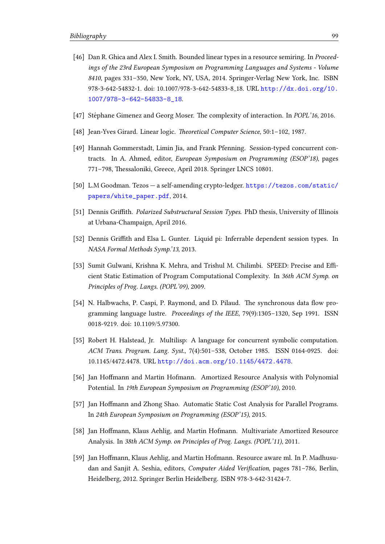- [46] Dan R. Ghica and Alex I. Smith. Bounded linear types in a resource semiring. In Proceedings of the 23rd European Symposium on Programming Languages and Systems - Volume 8410, pages 331–350, New York, NY, USA, 2014. Springer-Verlag New York, Inc. ISBN 978-3-642-54832-1. doi: 10.1007/978-3-642-54833-8 18. URL [http://dx.doi.org/10.](http://dx.doi.org/10.1007/978-3-642-54833-8_18) [1007/978-3-642-54833-8\\_18](http://dx.doi.org/10.1007/978-3-642-54833-8_18).
- [47] Stéphane Gimenez and Georg Moser. The complexity of interaction. In *POPL'16*, 2016.
- [48] Jean-Yves Girard. Linear logic. Theoretical Computer Science, 50:1-102, 1987.
- <span id="page-102-2"></span>[49] Hannah Gommerstadt, Limin Jia, and Frank Pfenning. Session-typed concurrent contracts. In A. Ahmed, editor, European Symposium on Programming (ESOP'18), pages 771–798, Thessaloniki, Greece, April 2018. Springer LNCS 10801.
- [50] L.M Goodman. Tezos a self-amending crypto-ledger. [https://tezos.com/static/](https://tezos.com/static/papers/white_paper.pdf) [papers/white\\_paper.pdf](https://tezos.com/static/papers/white_paper.pdf), 2014.
- [51] Dennis Griffith. *Polarized Substructural Session Types*. PhD thesis, University of Illinois at Urbana-Champaign, April 2016.
- [52] Dennis Griffith and Elsa L. Gunter. Liquid pi: Inferrable dependent session types. In NASA Formal Methods Symp.'13, 2013.
- [53] Sumit Gulwani, Krishna K. Mehra, and Trishul M. Chilimbi. SPEED: Precise and Efficient Static Estimation of Program Computational Complexity. In 36th ACM Symp. on Principles of Prog. Langs. (POPL'09), 2009.
- [54] N. Halbwachs, P. Caspi, P. Raymond, and D. Pilaud. The synchronous data flow programming language lustre. Proceedings of the IEEE, 79(9):1305–1320, Sep 1991. ISSN 0018-9219. doi: 10.1109/5.97300.
- [55] Robert H. Halstead, Jr. Multilisp: A language for concurrent symbolic computation. ACM Trans. Program. Lang. Syst., 7(4):501–538, October 1985. ISSN 0164-0925. doi: 10.1145/4472.4478. URL <http://doi.acm.org/10.1145/4472.4478>.
- [56] Jan Hoffmann and Martin Hofmann. Amortized Resource Analysis with Polynomial Potential. In 19th European Symposium on Programming (ESOP'10), 2010.
- [57] Jan Hoffmann and Zhong Shao. Automatic Static Cost Analysis for Parallel Programs. In 24th European Symposium on Programming (ESOP'15), 2015.
- <span id="page-102-0"></span>[58] Jan Hoffmann, Klaus Aehlig, and Martin Hofmann. Multivariate Amortized Resource Analysis. In 38th ACM Symp. on Principles of Prog. Langs. (POPL'11), 2011.
- <span id="page-102-1"></span>[59] Jan Hoffmann, Klaus Aehlig, and Martin Hofmann. Resource aware ml. In P. Madhusudan and Sanjit A. Seshia, editors, Computer Aided Verification, pages 781-786, Berlin, Heidelberg, 2012. Springer Berlin Heidelberg. ISBN 978-3-642-31424-7.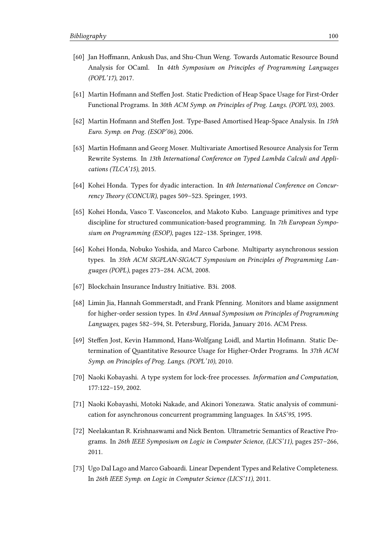- <span id="page-103-2"></span>[60] Jan Hoffmann, Ankush Das, and Shu-Chun Weng. Towards Automatic Resource Bound Analysis for OCaml. In 44th Symposium on Principles of Programming Languages (POPL'17), 2017.
- <span id="page-103-1"></span>[61] Martin Hofmann and Steffen Jost. Static Prediction of Heap Space Usage for First-Order Functional Programs. In 30th ACM Symp. on Principles of Prog. Langs. (POPL'03), 2003.
- [62] Martin Hofmann and Steffen Jost. Type-Based Amortised Heap-Space Analysis. In 15th Euro. Symp. on Prog. (ESOP'06), 2006.
- [63] Martin Hofmann and Georg Moser. Multivariate Amortised Resource Analysis for Term Rewrite Systems. In 13th International Conference on Typed Lambda Calculi and Applications (TLCA'15), 2015.
- [64] Kohei Honda. Types for dyadic interaction. In 4th International Conference on Concur $rency$  Theory (CONCUR), pages 509–523. Springer, 1993.
- [65] Kohei Honda, Vasco T. Vasconcelos, and Makoto Kubo. Language primitives and type discipline for structured communication-based programming. In 7th European Symposium on Programming (ESOP), pages 122–138. Springer, 1998.
- [66] Kohei Honda, Nobuko Yoshida, and Marco Carbone. Multiparty asynchronous session types. In 35th ACM SIGPLAN-SIGACT Symposium on Principles of Programming Languages (POPL), pages 273–284. ACM, 2008.
- [67] Blockchain Insurance Industry Initiative. B3i. 2008.
- <span id="page-103-3"></span>[68] Limin Jia, Hannah Gommerstadt, and Frank Pfenning. Monitors and blame assignment for higher-order session types. In 43rd Annual Symposium on Principles of Programming Languages, pages 582–594, St. Petersburg, Florida, January 2016. ACM Press.
- [69] Steffen Jost, Kevin Hammond, Hans-Wolfgang Loidl, and Martin Hofmann. Static Determination of Quantitative Resource Usage for Higher-Order Programs. In 37th ACM Symp. on Principles of Prog. Langs. (POPL'10), 2010.
- [70] Naoki Kobayashi. A type system for lock-free processes. Information and Computation, 177:122–159, 2002.
- [71] Naoki Kobayashi, Motoki Nakade, and Akinori Yonezawa. Static analysis of communication for asynchronous concurrent programming languages. In SAS'95, 1995.
- [72] Neelakantan R. Krishnaswami and Nick Benton. Ultrametric Semantics of Reactive Programs. In 26th IEEE Symposium on Logic in Computer Science, (LICS'11), pages 257–266, 2011.
- <span id="page-103-0"></span>[73] Ugo Dal Lago and Marco Gaboardi. Linear Dependent Types and Relative Completeness. In 26th IEEE Symp. on Logic in Computer Science (LICS'11), 2011.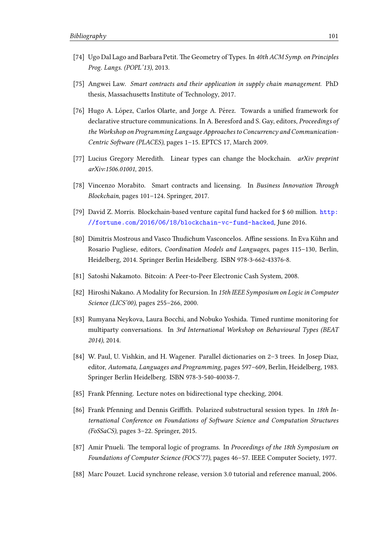- [74] Ugo Dal Lago and Barbara Petit. The Geometry of Types. In 40th ACM Symp. on Principles Prog. Langs. (POPL'13), 2013.
- [75] Angwei Law. Smart contracts and their application in supply chain management. PhD thesis, Massachusetts Institute of Technology, 2017.
- [76] Hugo A. López, Carlos Olarte, and Jorge A. Pérez. Towards a unified framework for declarative structure communications. In A. Beresford and S. Gay, editors, Proceedings of the Workshop on Programming Language Approaches to Concurrency and Communication-Centric Software (PLACES), pages 1-15. EPTCS 17, March 2009.
- [77] Lucius Gregory Meredith. Linear types can change the blockchain. arXiv preprint arXiv:1506.01001, 2015.
- [78] Vincenzo Morabito. Smart contracts and licensing. In Business Innovation Through Blockchain, pages 101–124. Springer, 2017.
- [79] David Z. Morris. Blockchain-based venture capital fund hacked for \$ 60 million. [http:](http://fortune.com/2016/06/18/blockchain-vc-fund-hacked) [//fortune.com/2016/06/18/blockchain-vc-fund-hacked](http://fortune.com/2016/06/18/blockchain-vc-fund-hacked), June 2016.
- [80] Dimitris Mostrous and Vasco Thudichum Vasconcelos. Affine sessions. In Eva Kühn and Rosario Pugliese, editors, Coordination Models and Languages, pages 115–130, Berlin, Heidelberg, 2014. Springer Berlin Heidelberg. ISBN 978-3-662-43376-8.
- [81] Satoshi Nakamoto. Bitcoin: A Peer-to-Peer Electronic Cash System, 2008.
- [82] Hiroshi Nakano. A Modality for Recursion. In 15th IEEE Symposium on Logic in Computer Science (LICS'00), pages 255–266, 2000.
- [83] Rumyana Neykova, Laura Bocchi, and Nobuko Yoshida. Timed runtime monitoring for multiparty conversations. In 3rd International Workshop on Behavioural Types (BEAT 2014), 2014.
- [84] W. Paul, U. Vishkin, and H. Wagener. Parallel dictionaries on 2–3 trees. In Josep Diaz, editor, Automata, Languages and Programming, pages 597–609, Berlin, Heidelberg, 1983. Springer Berlin Heidelberg. ISBN 978-3-540-40038-7.
- <span id="page-104-0"></span>[85] Frank Pfenning. Lecture notes on bidirectional type checking, 2004.
- [86] Frank Pfenning and Dennis Griffith. Polarized substructural session types. In 18th International Conference on Foundations of Software Science and Computation Structures (FoSSaCS), pages 3–22. Springer, 2015.
- [87] Amir Pnueli. The temporal logic of programs. In Proceedings of the 18th Symposium on Foundations of Computer Science (FOCS'77), pages 46–57. IEEE Computer Society, 1977.
- [88] Marc Pouzet. Lucid synchrone release, version 3.0 tutorial and reference manual, 2006.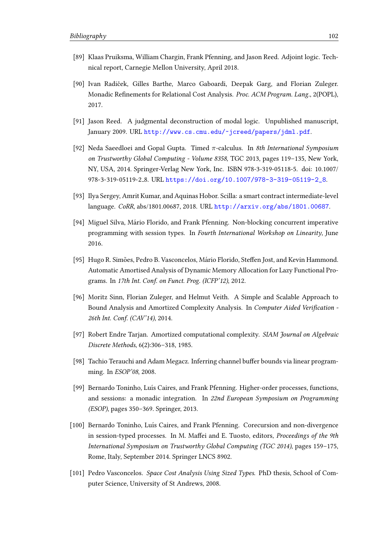- [89] Klaas Pruiksma, William Chargin, Frank Pfenning, and Jason Reed. Adjoint logic. Technical report, Carnegie Mellon University, April 2018.
- <span id="page-105-0"></span>[90] Ivan Radiček, Gilles Barthe, Marco Gaboardi, Deepak Garg, and Florian Zuleger. Monadic Refinements for Relational Cost Analysis. Proc. ACM Program. Lang., 2(POPL), 2017.
- [91] Jason Reed. A judgmental deconstruction of modal logic. Unpublished manuscript, January 2009. URL <http://www.cs.cmu.edu/~jcreed/papers/jdml.pdf>.
- [92] Neda Saeedloei and Gopal Gupta. Timed  $\pi$ -calculus. In 8th International Symposium on Trustworthy Global Computing - Volume 8358, TGC 2013, pages 119–135, New York, NY, USA, 2014. Springer-Verlag New York, Inc. ISBN 978-3-319-05118-5. doi: 10.1007/ 978-3-319-05119-2 8. URL [https://doi.org/10.1007/978-3-319-05119-2\\_8](https://doi.org/10.1007/978-3-319-05119-2_8).
- <span id="page-105-1"></span>[93] Ilya Sergey, Amrit Kumar, and Aquinas Hobor. Scilla: a smart contract intermediate-level language. CoRR, abs/1801.00687, 2018. URL <http://arxiv.org/abs/1801.00687>.
- [94] Miguel Silva, Mario Florido, and Frank Pfenning. Non-blocking concurrent imperative ´ programming with session types. In Fourth International Workshop on Linearity, June 2016.
- [95] Hugo R. Simões, Pedro B. Vasconcelos, Mário Florido, Steffen Jost, and Kevin Hammond. Automatic Amortised Analysis of Dynamic Memory Allocation for Lazy Functional Programs. In 17th Int. Conf. on Funct. Prog. (ICFP'12), 2012.
- [96] Moritz Sinn, Florian Zuleger, and Helmut Veith. A Simple and Scalable Approach to Bound Analysis and Amortized Complexity Analysis. In Computer Aided Verification -26th Int. Conf. (CAV'14), 2014.
- [97] Robert Endre Tarjan. Amortized computational complexity. SIAM Journal on Algebraic Discrete Methods, 6(2):306–318, 1985.
- [98] Tachio Terauchi and Adam Megacz. Inferring channel buffer bounds via linear programming. In ESOP'08, 2008.
- <span id="page-105-2"></span>[99] Bernardo Toninho, Luís Caires, and Frank Pfenning. Higher-order processes, functions, and sessions: a monadic integration. In 22nd European Symposium on Programming (ESOP), pages 350–369. Springer, 2013.
- [100] Bernardo Toninho, Luís Caires, and Frank Pfenning. Corecursion and non-divergence in session-typed processes. In M. Maffei and E. Tuosto, editors, Proceedings of the 9th International Symposium on Trustworthy Global Computing (TGC 2014), pages 159–175, Rome, Italy, September 2014. Springer LNCS 8902.
- [101] Pedro Vasconcelos. Space Cost Analysis Using Sized Types. PhD thesis, School of Computer Science, University of St Andrews, 2008.